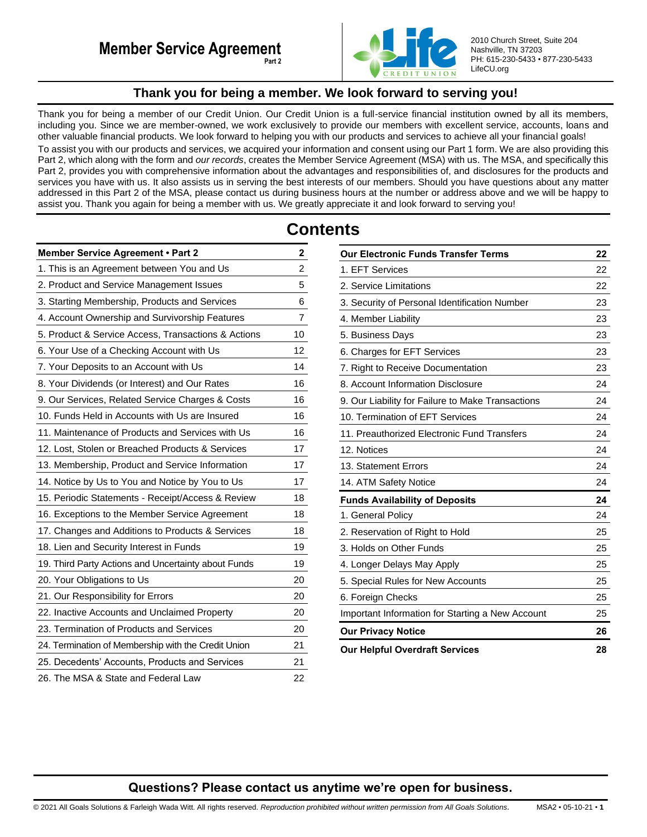

2010 Church Street, Suite 204 Nashville, TN 37203 PH: 615-230-5433 • 877-230-5433 LifeCU.org

# **Thank you for being a member. We look forward to serving you!**

<span id="page-0-0"></span>Thank you for being a member of our Credit Union. Our Credit Union is a full-service financial institution owned by all its members, including you. Since we are member-owned, we work exclusively to provide our members with excellent service, accounts, loans and other valuable financial products. We look forward to helping you with our products and services to achieve all your financial goals!

To assist you with our products and services, we acquired your information and consent using our Part 1 form. We are also providing this Part 2, which along with the form and *our records*, creates the Member Service Agreement (MSA) with us. The MSA, and specifically this Part 2, provides you with comprehensive information about the advantages and responsibilities of, and disclosures for the products and services you have with us. It also assists us in serving the best interests of our members. Should you have questions about any matter addressed in this Part 2 of the MSA, please contact us during business hours at the number or address above and we will be happy to assist you. Thank you again for being a member with us. We greatly appreciate it and look forward to serving you!

# **Contents**

| Member Service Agreement . Part 2                   | 2              |
|-----------------------------------------------------|----------------|
| 1. This is an Agreement between You and Us          | $\overline{c}$ |
| 2. Product and Service Management Issues            | 5              |
| 3. Starting Membership, Products and Services       | 6              |
| 4. Account Ownership and Survivorship Features      | 7              |
| 5. Product & Service Access, Transactions & Actions | 10             |
| 6. Your Use of a Checking Account with Us           | 12             |
| 7. Your Deposits to an Account with Us              | 14             |
| 8. Your Dividends (or Interest) and Our Rates       | 16             |
| 9. Our Services, Related Service Charges & Costs    | 16             |
| 10. Funds Held in Accounts with Us are Insured      | 16             |
| 11. Maintenance of Products and Services with Us    | 16             |
| 12. Lost, Stolen or Breached Products & Services    | 17             |
| 13. Membership, Product and Service Information     | 17             |
| 14. Notice by Us to You and Notice by You to Us     | 17             |
| 15. Periodic Statements - Receipt/Access & Review   | 18             |
| 16. Exceptions to the Member Service Agreement      | 18             |
| 17. Changes and Additions to Products & Services    | 18             |
| 18. Lien and Security Interest in Funds             | 19             |
| 19. Third Party Actions and Uncertainty about Funds | 19             |
| 20. Your Obligations to Us                          | 20             |
| 21. Our Responsibility for Errors                   | 20             |
| 22. Inactive Accounts and Unclaimed Property        | 20             |
| 23. Termination of Products and Services            | 20             |
| 24. Termination of Membership with the Credit Union | 21             |
| 25. Decedents' Accounts, Products and Services      | 21             |
| 26. The MSA & State and Federal Law                 | 22             |

| <b>Our Electronic Funds Transfer Terms</b>        | 22 |
|---------------------------------------------------|----|
| 1. EFT Services                                   | 22 |
| 2. Service Limitations                            | 22 |
| 3. Security of Personal Identification Number     | 23 |
| 4. Member Liability                               | 23 |
| 5. Business Days                                  | 23 |
| 6. Charges for EFT Services                       | 23 |
| 7. Right to Receive Documentation                 | 23 |
| 8. Account Information Disclosure                 | 24 |
| 9. Our Liability for Failure to Make Transactions | 24 |
| 10. Termination of EFT Services                   | 24 |
| 11. Preauthorized Electronic Fund Transfers       | 24 |
| 12. Notices                                       | 24 |
| 13. Statement Errors                              | 24 |
| 14. ATM Safety Notice                             | 24 |
| <b>Funds Availability of Deposits</b>             | 24 |
| 1. General Policy                                 | 24 |
| 2. Reservation of Right to Hold                   | 25 |
| 3. Holds on Other Funds                           | 25 |
| 4. Longer Delays May Apply                        | 25 |
| 5. Special Rules for New Accounts                 | 25 |
| 6. Foreign Checks                                 | 25 |
| Important Information for Starting a New Account  | 25 |
| <b>Our Privacy Notice</b>                         | 26 |
| <b>Our Helpful Overdraft Services</b>             | 28 |

# **Questions? Please contact us anytime we're open for business.**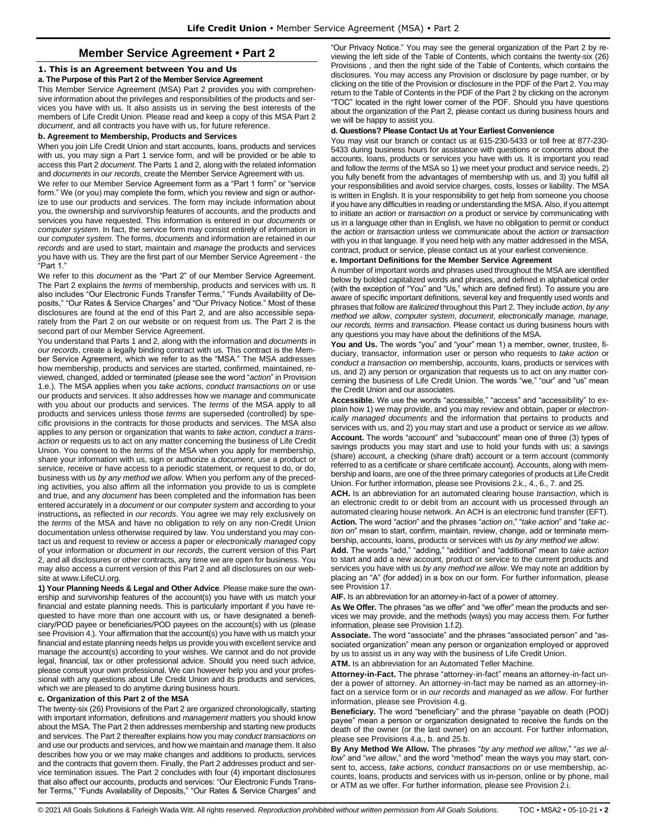# **Member Service Agreement • Part 2**

### <span id="page-1-1"></span><span id="page-1-0"></span>**1. This is an Agreement between You and Us**

### **a. The Purpose of this Part 2 of the Member Service Agreement**

This Member Service Agreement (MSA) Part 2 provides you with comprehensive information about the privileges and responsibilities of the products and services you have with us. It also assists us in serving the best interests of the members of Life Credit Union. Please read and keep a copy of this MSA Part 2 *document*, and all contracts you have with us, for future reference.

### **b. Agreement to Membership, Products and Services**

When you join Life Credit Union and start accounts, loans, products and services with us, you may sign a Part 1 service form, and will be provided or be able to access this Part 2 *document*. The Parts 1 and 2, along with the related information and *documents* in *our records*, create the Member Service Agreement with us.

We refer to our Member Service Agreement form as a "Part 1 form" or "service form." We (or you) may complete the form, which you review and sign or authorize to use our products and services. The form may include information about you, the ownership and survivorship features of accounts, and the products and services you have requested. This information is entered in our *documents* or *computer system*. In fact, the service form may consist entirely of information in our *computer system*. The forms, *documents* and information are retained in *our records* and are used to start, maintain and *manage* the products and services you have with us. They are the first part of our Member Service Agreement - the "Part 1."

We refer to this *document* as the "Part 2" of our Member Service Agreement. The Part 2 explains the *terms* of membership, products and services with us. It also includes "Our Electronic Funds Transfer Terms," "Funds Availability of Deposits," "Our Rates & Service Charges" and "Our Privacy Notice." Most of these disclosures are found at the end of this Part 2, and are also accessible separately from the Part 2 on our website or on request from us. The Part 2 is the second part of our Member Service Agreement.

You understand that Parts 1 and 2, along with the information and *documents* in *our records*, create a legally binding contract with us. This contract is the Member Service Agreement, which we refer to as the "MSA." The MSA addresses how membership, products and services are started, confirmed, maintained, reviewed, changed, added or terminated (please see the word "*action*" in Provision 1.e.). The MSA applies when you *take actions, conduct transactions on* or use our products and services. It also addresses how we *manage* and communicate with you about our products and services. The *terms* of the MSA apply to all products and services unless those *terms* are superseded (controlled) by specific provisions in the contracts for those products and services. The MSA also applies to any person or organization that wants to *take action*, *conduct a transaction* or requests us to act on any matter concerning the business of Life Credit Union. You consent to the *terms* of the MSA when you apply for membership, share your information with us, sign or authorize a *document*, use a product or service, receive or have access to a periodic statement, or request to do, or do, business with us *by any method we allow*. When you perform any of the preceding activities, you also affirm all the information you provide to us is complete and true, and any *document* has been completed and the information has been entered accurately in a *document* or our *computer system* and according to your instructions**,** as reflected in *our records*. You agree we may rely exclusively on the *terms* of the MSA and have no obligation to rely on any non-Credit Union documentation unless otherwise required by law. You understand you may contact us and request to review or access a paper or *electronically managed* copy of your information or *document* in *our records*, the current version of this Part 2, and all disclosures or other contracts, any time we are open for business. You may also access a current version of this Part 2 and all disclosures on our website at www.LifeCU.org.

**1) Your Planning Needs & Legal and Other Advice**. Please make sure the ownership and survivorship features of the account(s) you have with us match your financial and estate planning needs. This is particularly important if you have requested to have more than one account with us, or have designated a beneficiary/POD payee or beneficiaries/POD payees on the account(s) with us (please see Provision 4.). Your affirmation that the account(s) you have with us match your financial and estate planning needs helps us provide you with excellent service and manage the account(s) according to your wishes. We cannot and do not provide legal, financial, tax or other professional advice. Should you need such advice, please consult your own professional. We can however help you and your professional with any questions about Life Credit Union and its products and services, which we are pleased to do anytime during business hours.

#### **c. Organization of this Part 2 of the MSA**

The twenty-six (26) Provisions of the Part 2 are organized chronologically, starting with important information, definitions and *management* matters you should know about the MSA. The Part 2 then addresses membership and starting new products and services. The Part 2 thereafter explains how you may *conduct transactions on* and use our products and services, and how we maintain and *manage* them. It also describes how you or we may make changes and additions to products, services and the contracts that govern them. Finally, the Part 2 addresses product and service termination issues. The Part 2 concludes with four (4) important disclosures that also affect our accounts, products and services: "Our Electronic Funds Transfer Terms," "Funds Availability of Deposits," "Our Rates & Service Charges" and "Our Privacy Notice." You may see the general organization of the Part 2 by reviewing the left side of the Table of Contents, which contains the twenty-six (26) Provisions , and then the right side of the Table of Contents, which contains the disclosures. You may access any Provision or disclosure by page number, or by clicking on the title of the Provision or disclosure in the PDF of the Part 2. You may return to the Table of Contents in the PDF of the Part 2 by clicking on the acronym "TOC" located in the right lower corner of the PDF. Should you have questions about the organization of the Part 2, please contact us during business hours and we will be happy to assist you.

### **d. Questions? Please Contact Us at Your Earliest Convenience**

You may visit our branch or contact us at 615-230-5433 or toll free at 877-230- 5433 during business hours for assistance with questions or concerns about the accounts, loans, products or services you have with us. It is important you read and follow the *terms* of the MSA so 1) we meet your product and service needs, 2) you fully benefit from the advantages of membership with us, and 3) you fulfill all your responsibilities and avoid service charges, costs, losses or liability. The MSA is written in English. It is your responsibility to get help from someone you choose if you have any difficulties in reading or understanding the MSA. Also, if you attempt to initiate an *action* or *transaction on* a product or service by communicating with us in a language other than in English, we have no obligation to permit or conduct the *action* or *transaction* unless we communicate about the *action or transaction*  with you in that language. If you need help with any matter addressed in the MSA, contract, product or service, please contact us at your earliest convenience.

### **e. Important Definitions for the Member Service Agreement**

A number of important words and phrases used throughout the MSA are identified below by bolded capitalized words and phrases, and defined in alphabetical order (with the exception of "You" and "Us," which are defined first). To assure you are aware of specific important definitions, several key and frequently used words and phrases that follow are *italicized* throughout this Part 2. They include *action*, *by any method we allow*, *computer system*, *document*, *electronically manage, manage, our records, terms* and *transaction*. Please contact us during business hours with any questions you may have about the definitions of the MSA.

**You and Us.** The words "you" and "your" mean 1) a member, owner, trustee, fiduciary, transactor, information user or person who requests to *take action* or *conduct a transaction on* membership, accounts, loans, products or services with us, and 2) any person or organization that requests us to act on any matter concerning the business of Life Credit Union. The words "we," "our" and "us" mean the Credit Union and our associates.

**Accessible.** We use the words "accessible," "access" and "accessibility" to explain how 1) we may provide, and you may review and obtain, paper or *electronically managed documents* and the information that pertains to products and services with us, and 2) you may start and use a product or service *as we allow.*  **Account.** The words "account" and "subaccount" mean one of three (3) types of savings products you may start and use to hold your funds with us: a savings (share) account, a checking (share draft) account or a term account (commonly referred to as a certificate or share certificate account). Accounts, along with membership and loans, are one of the three primary categories of products at Life Credit Union. For further information, please see Provisions 2.k., 4., 6., 7. and 25.

**ACH.** Is an abbreviation for an automated clearing house *transaction*, which is an electronic credit to or debit from an account with us processed through an automated clearing house network. An ACH is an electronic fund transfer (EFT). **Action.** The word "*action*" and the phrases "*action on*," "*take action*" and "*take action on*" mean to start, confirm, maintain, review, change, add or terminate membership, accounts, loans, products or services with us *by any method we allow*.

**Add.** The words "add," "adding," "addition" and "additional" mean to *take action* to start and add a new account, product or service to the current products and services you have with us *by any method we allow*. We may note an addition by placing an "A" (for added) in a box on our form. For further information, please see Provision 17.

**AIF.** Is an abbreviation for an attorney-in-fact of a power of attorney.

**As We Offer.** The phrases "as we offer" and "we offer" mean the products and services we may provide, and the methods (ways) you may access them. For further information, please see Provision 1.f.2).

**Associate.** The word "associate" and the phrases "associated person" and "associated organization" mean any person or organization employed or approved by us to assist us in any way with the business of Life Credit Union.

**ATM.** Is an abbreviation for an Automated Teller Machine.

**Attorney-in-Fact.** The phrase "attorney-in-fact" means an attorney-in-fact under a power of attorney. An attorney-in-fact may be named as an attorney-infact on a service form or in *our records* and *managed* as *we allow*. For further information, please see Provision 4.g.

**Beneficiary.** The word "beneficiary" and the phrase "payable on death (POD) payee" mean a person or organization designated to receive the funds on the death of the owner (or the last owner) on an account. For further information, please see Provisions 4.a., b. and 25.b.

**By Any Method We Allow.** The phrases "*by any method we allow*," "*as we allow*" and "*we allow*," and the word "method" mean the ways you may start, consent to, access, *take actions, conduct transactions on* or use membership, accounts, loans, products and services with us in-person, online or by phone, mail or ATM as we offer. For further information, please see Provision 2.i.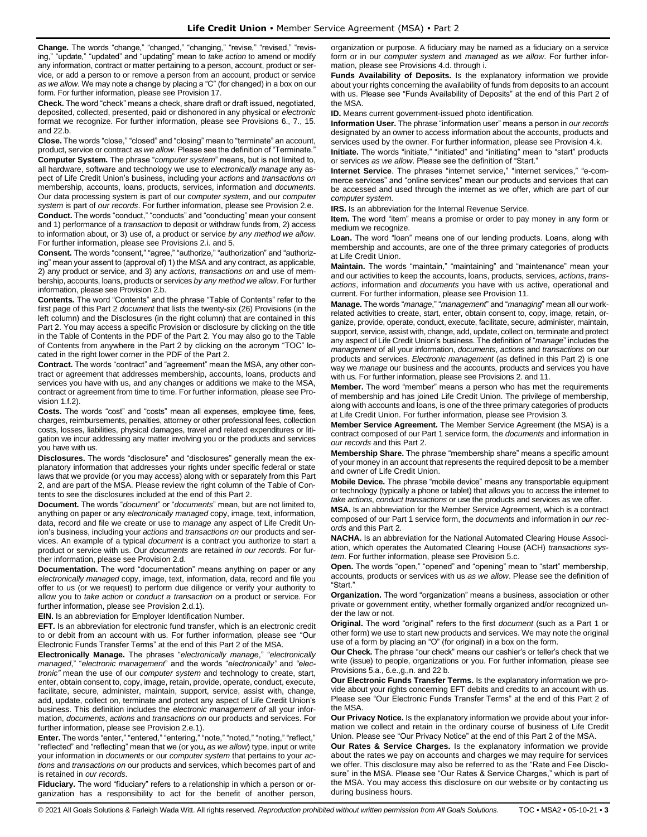**Change.** The words "change," "changed," "changing," "revise," "revised," "revising," "update," "updated" and "updating" mean to *take action* to amend or modify any information, contract or matter pertaining to a person, account, product or service, or add a person to or remove a person from an account, product or service *as we allow*. We may note a change by placing a "C" (for changed) in a box on our form. For further information, please see Provision 17.

**Check.** The word "check" means a check, share draft or draft issued, negotiated, deposited, collected, presented, paid or dishonored in any physical or *electronic* format we recognize. For further information, please see Provisions 6., 7., 15. and 22.b.

**Close.** The words "close," "closed" and "closing" mean to "terminate" an account, product, service or contract *as we allow*. Please see the definition of "Terminate." **Computer System.** The phrase "*computer system*" means, but is not limited to, all hardware, software and technology we use to *electronically manage* any aspect of Life Credit Union's business, including your *actions* and *transactions on* membership, accounts, loans, products, services, information and *documents*. Our data processing system is part of our *computer system*, and our *computer system* is part of *our records*. For further information, please see Provision 2.e.

**Conduct.** The words "conduct," "conducts" and "conducting" mean your consent and 1) performance of a *transaction* to deposit or withdraw funds from, 2) access to information about, or 3) use of, a product or service *by any method we allow*. For further information, please see Provisions 2.i. and 5.

**Consent.** The words "consent," "agree," "authorize," "authorization" and "authorizing" mean your assent to (approval of) 1) the MSA and any contract, as applicable, 2) any product or service, and 3) any *actions, transactions on* and use of membership, accounts, loans, products or services *by any method we allow*. For further information, please see Provision 2.b.

**Contents.** The word "Contents" and the phrase "Table of Contents" refer to the first page of this Part 2 *document* that lists the twenty-six (26) Provisions (in the left column) and the Disclosures (in the right column) that are contained in this Part 2. You may access a specific Provision or disclosure by clicking on the title in the Table of Contents in the PDF of the Part 2. You may also go to the Table of Contents from anywhere in the Part 2 by clicking on the acronym "TOC" located in the right lower corner in the PDF of the Part 2.

**Contract.** The words "contract" and "agreement" mean the MSA, any other contract or agreement that addresses membership, accounts, loans, products and services you have with us, and any changes or additions we make to the MSA, contract or agreement from time to time. For further information, please see Provision 1.f.2).

**Costs.** The words "cost" and "costs" mean all expenses, employee time, fees, charges, reimbursements, penalties, attorney or other professional fees, collection costs, losses, liabilities, physical damages, travel and related expenditures or litigation we incur addressing any matter involving you or the products and services you have with us.

**Disclosures.** The words "disclosure" and "disclosures" generally mean the explanatory information that addresses your rights under specific federal or state laws that we provide (or you may access) along with or separately from this Part 2, and are part of the MSA. Please review the right column of the Table of Contents to see the disclosures included at the end of this Part 2.

**Document.** The words "*document*" or "*documents*" mean, but are not limited to, anything on paper or any *electronically managed* copy, image, text, information, data, record and file we create or use to *manage* any aspect of Life Credit Union's business, including your *actions* and *transactions on* our products and services. An example of a typical *document* is a contract you authorize to start a product or service with us. Our *documents* are retained *in our records*. For further information, please see Provision 2.d.

**Documentation.** The word "documentation" means anything on paper or any *electronically managed* copy, image, text, information, data, record and file you offer to us (or we request) to perform due diligence or verify your authority to allow you to *take action* or *conduct a transaction on* a product or service. For further information, please see Provision 2.d.1).

**EIN.** Is an abbreviation for Employer Identification Number.

**EFT.** Is an abbreviation for electronic fund transfer, which is an electronic credit to or debit from an account with us. For further information, please see "Our Electronic Funds Transfer Terms" at the end of this Part 2 of the MSA.

**Electronically Manage.** The phrases "*electronically manage*," "*electronically managed*," "*electronic management*" and the words "*electronically"* and *"electronic"* mean the use of our *computer system* and technology to create, start, enter, obtain consent to, copy, image, retain, provide, operate, conduct, execute, facilitate, secure, administer, maintain, support, service, assist with, change, add, update, collect on, terminate and protect any aspect of Life Credit Union's business. This definition includes the *electronic management of* all your information, *documents*, *actions* and *transactions on* our products and services. For further information, please see Provision 2.e.1).

**Enter.** The words "enter," "entered," "entering," "note," "noted," "noting," "reflect," "reflected" and "reflecting" mean that we (or you**,** *as we allow*) type, input or write your information in *documents* or our *computer system* that pertains to your *actions* and *transactions on* our products and services, which becomes part of and is retained in *our records*.

**Fiduciary.** The word "fiduciary" refers to a relationship in which a person or organization has a responsibility to act for the benefit of another person, organization or purpose. A fiduciary may be named as a fiduciary on a service form or in our *computer system* and *managed* as *we allow*. For further information, please see Provisions 4.d. through i.

**Funds Availability of Deposits.** Is the explanatory information we provide about your rights concerning the availability of funds from deposits to an account with us. Please see "Funds Availability of Deposits" at the end of this Part 2 of the MSA.

**ID.** Means current government-issued photo identification.

**Information User.** The phrase "information user" means a person in *our records* designated by an owner to access information about the accounts, products and services used by the owner. For further information, please see Provision 4.k.

**Initiate.** The words "initiate," "initiated" and "initiating" mean to "start" products or services *as we allow*. Please see the definition of "Start."

**Internet Service**. The phrases "internet service," "internet services," "e-commerce services" and "online services" mean our products and services that can be accessed and used through the internet as we offer, which are part of our *computer system*.

**IRS.** Is an abbreviation for the Internal Revenue Service.

**Item.** The word "item" means a promise or order to pay money in any form or medium we recognize.

Loan. The word "loan" means one of our lending products. Loans, along with membership and accounts, are one of the three primary categories of products at Life Credit Union.

**Maintain.** The words "maintain," "maintaining" and "maintenance" mean your and our activities to keep the accounts, loans, products, services, *actions*, *transactions*, information and *documents* you have with us active, operational and current. For further information, please see Provision 11.

**Manage.** The words "*manage*," "*management*" and "*managing*" mean all our workrelated activities to create, start, enter, obtain consent to, copy, image, retain, organize, provide, operate, conduct, execute, facilitate, secure, administer, maintain, support, service, assist with, change, add, update, collect on, terminate and protect any aspect of Life Credit Union's business. The definition of "*manage*" includes the *management* of all your information, *documents*, *actions* and *transactions on* our products and services. *Electronic management* (as defined in this Part 2) is one way we *manage* our business and the accounts, products and services you have with us. For further information, please see Provisions 2. and 11.

**Member.** The word "member" means a person who has met the requirements of membership and has joined Life Credit Union. The privilege of membership, along with accounts and loans, is one of the three primary categories of products at Life Credit Union. For further information, please see Provision 3.

**Member Service Agreement.** The Member Service Agreement (the MSA) is a contract composed of our Part 1 service form, the *documents* and information in *our records* and this Part 2.

**Membership Share.** The phrase "membership share" means a specific amount of your money in an account that represents the required deposit to be a member and owner of Life Credit Union.

**Mobile Device.** The phrase "mobile device" means any transportable equipment or technology (typically a phone or tablet) that allows you to access the internet to *take actions*, *conduct transactions* or use the products and services as we offer.

**MSA.** Is an abbreviation for the Member Service Agreement, which is a contract composed of our Part 1 service form, the *documents* and information in *our records* and this Part 2.

**NACHA.** Is an abbreviation for the National Automated Clearing House Association, which operates the Automated Clearing House (ACH) *transactions system*. For further information, please see Provision 5.c.

**Open.** The words "open," "opened" and "opening" mean to "start" membership, accounts, products or services with us *as we allow*. Please see the definition of "Start."

**Organization.** The word "organization" means a business, association or other private or government entity, whether formally organized and/or recognized under the law or not.

**Original.** The word "original" refers to the first *document* (such as a Part 1 or other form) we use to start new products and services. We may note the original use of a form by placing an "O" (for original) in a box on the form.

**Our Check.** The phrase "our check" means our cashier's or teller's check that we write (issue) to people, organizations or you. For further information, please see Provisions 5.a., 6.e.,g.,n. and 22 b.

**Our Electronic Funds Transfer Terms.** Is the explanatory information we provide about your rights concerning EFT debits and credits to an account with us. Please see "Our Electronic Funds Transfer Terms" at the end of this Part 2 of the MSA.

**Our Privacy Notice.** Is the explanatory information we provide about your information we collect and retain in the ordinary course of business of Life Credit Union. Please see "Our Privacy Notice" at the end of this Part 2 of the MSA.

**Our Rates & Service Charges.** Is the explanatory information we provide about the rates we pay on accounts and charges we may require for services we offer. This disclosure may also be referred to as the "Rate and Fee Disclosure" in the MSA. Please see "Our Rates & Service Charges," which is part of the MSA. You may access this disclosure on our website or by contacting us during business hours.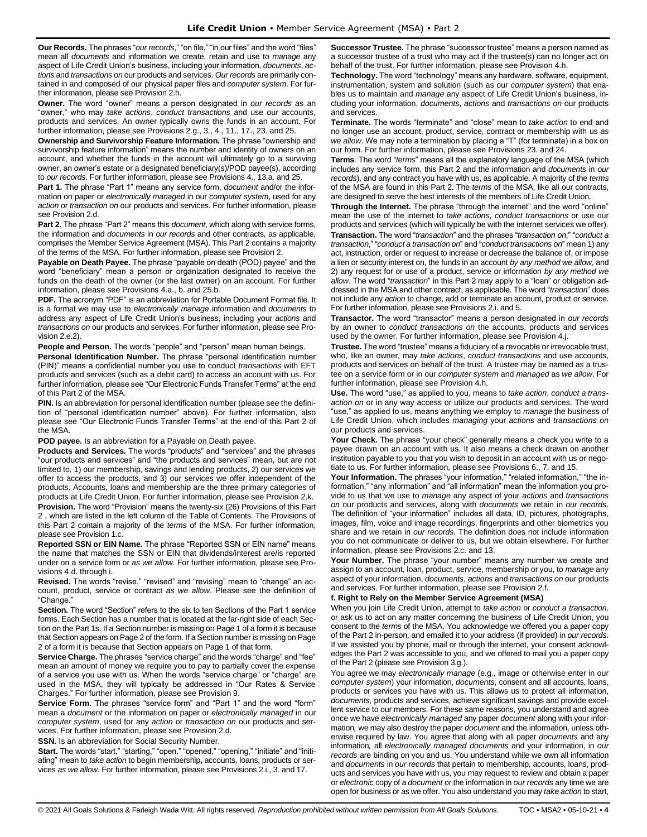**Our Records.** The phrases "*our records*," "on file," "in our files" and the word "files" mean all *documents* and information we create, retain and use to *manage* any aspect of Life Credit Union's business, including your information, *documents*, *actions* and *transactions on* our products and services. *Our records* are primarily contained in and composed of our physical paper files and *computer system*. For further information, please see Provision 2.h.

**Owner.** The word "owner" means a person designated in *our records* as an "owner," who may *take actions*, *conduct transactions* and use our accounts, products and services. An owner typically owns the funds in an account. For further information, please see Provisions 2.g., 3., 4., 11., 17., 23. and 25.

**Ownership and Survivorship Feature Information.** The phrase "ownership and survivorship feature information" means the number and identity of owners on an account, and whether the funds in the account will ultimately go to a surviving owner, an owner's estate or a designated beneficiary(s)/POD payee(s), according to *our records*. For further information, please see Provisions 4., 13.a. and 25.

**Part 1.** The phrase "Part 1" means any service form, *document* and/or the information on paper or *electronically managed* in our *computer system*, used for any *action* or *transaction on* our products and services. For further information, please see Provision 2.d.

**Part 2.** The phrase "Part 2" means this *document*, which along with service forms, the information and *documents* in *our records* and other contracts, as applicable, comprises the Member Service Agreement (MSA). This Part 2 contains a majority of the *terms* of the MSA. For further information, please see Provision 2.

**Payable on Death Payee.** The phrase "payable on death (POD) payee" and the word "beneficiary" mean a person or organization designated to receive the funds on the death of the owner (or the last owner) on an account. For further information, please see Provisions 4.a., b. and 25.b.

**PDF.** The acronym "PDF" is an abbreviation for Portable Document Format file. It is a format we may use to *electronically manage* information and *documents* to address any aspect of Life Credit Union's business, including your *actions* and *transactions on* our products and services. For further information, please see Provision 2.e.2).

**People and Person.** The words "people" and "person" mean human beings.

**Personal Identification Number.** The phrase "personal identification number (PIN)" means a confidential number you use to conduct *transactions* with EFT products and services (such as a debit card) to access an account with us. For further information, please see "Our Electronic Funds Transfer Terms" at the end of this Part 2 of the MSA.

**PIN.** Is an abbreviation for personal identification number (please see the definition of "personal identification number" above). For further information, also please see "Our Electronic Funds Transfer Terms" at the end of this Part 2 of the MSA.

### **POD payee.** Is an abbreviation for a Payable on Death payee.

**Products and Services.** The words "products" and "services" and the phrases "our products and services" and "the products and services" mean, but are not limited to, 1) our membership, savings and lending products, 2) our services we offer to access the products, and 3) our services we offer independent of the products. Accounts, loans and membership are the three primary categories of products at Life Credit Union. For further information, please see Provision 2.k.

**Provision.** The word "Provision" means the twenty-six (26) Provisions of this Part 2 , which are listed in the left column of the Table of Contents. The Provisions of this Part 2 contain a majority of the *terms* of the MSA. For further information, please see Provision 1.c.

**Reported SSN or EIN Name.** The phrase "Reported SSN or EIN name" means the name that matches the SSN or EIN that dividends/interest are/is reported under on a service form or *as we allow*. For further information, please see Provisions 4.d. through i.

**Revised.** The words "revise," "revised" and "revising" mean to "change" an account, product, service or contract *as we allow*. Please see the definition of "Change."

**Section.** The word "Section" refers to the six to ten Sections of the Part 1 service forms. Each Section has a number that is located at the far-right side of each Section on the Part 1s. If a Section number is missing on Page 1 of a form it is because that Section appears on Page 2 of the form. If a Section number is missing on Page 2 of a form it is because that Section appears on Page 1 of that form.

**Service Charge.** The phrases "service charge" and the words "charge" and "fee" mean an amount of money we require you to pay to partially cover the expense of a service you use with us. When the words "service charge" or "charge" are used in the MSA, they will typically be addressed in "Our Rates & Service Charges." For further information, please see Provision 9.

**Service Form.** The phrases "service form" and "Part 1" and the word "form" mean a *document* or the information on paper or *electronically managed* in our *computer system*, used for any *action* or *transaction on* our products and services. For further information, please see Provision 2.d.

**SSN.** Is an abbreviation for Social Security Number.

**Start.** The words "start," "starting," "open," "opened," "opening," "initiate" and "initiating" mean to *take action* to begin membership**,** accounts, loans, products or services *as we allow*. For further information, please see Provisions 2.i., 3. and 17.

**Successor Trustee.** The phrase "successor trustee" means a person named as a successor trustee of a trust who may act if the trustee(s) can no longer act on behalf of the trust. For further information, please see Provision 4.h.

**Technology.** The word "technology" means any hardware, software, equipment, instrumentation, system and solution (such as our *computer system*) that enables us to maintain and *manage* any aspect of Life Credit Union's business, including your information, *documents*, *actions* and *transactions on* our products and services.

**Terminate.** The words "terminate" and "close" mean to *take action* to end and no longer use an account, product, service, contract or membership with us *as we allow*. We may note a termination by placing a "T" (for terminate) in a box on our form. For further information, please see Provisions 23. and 24.

**Terms**. The word "*terms*" means all the explanatory language of the MSA (which includes any service form, this Part 2 and the information and *documents* in *our records*), and any contract you have with us, as applicable. A majority of the *terms* of the MSA are found in this Part 2. The *terms* of the MSA, like all our contracts, are designed to serve the best interests of the members of Life Credit Union.

**Through the Internet.** The phrase "through the internet" and the word "online" mean the use of the internet to *take actions*, *conduct transactions* or use our products and services (which will typically be with the internet services we offer). **Transaction.** The word "*transaction*" and the phrases "*transaction on*," "*conduct a transaction*," "*conduct a transaction on*" and "*conduct transactions on*" mean 1) any act, instruction, order or request to increase or decrease the balance of, or impose a lien or security interest on, the funds in an account *by any method we allow*, and 2) any request for or use of a product, service or information *by any method we allow*. The word "*transaction*" in this Part 2 may apply to a "loan" or obligation addressed in the MSA and other contract, as applicable. The word "*transaction*" does not include any *action* to change, add or terminate an account, product or service. For further information, please see Provisions 2.i. and 5.

**Transactor.** The word "transactor" means a person designated in *our records* by an owner to *conduct transactions on* the accounts, products and services used by the owner. For further information, please see Provision 4.j.

**Trustee.** The word "trustee" means a fiduciary of a revocable or irrevocable trust, who, like an owner, may *take actions*, *conduct transactions* and use accounts, products and services on behalf of the trust. A trustee may be named as a trustee on a service form or in our *computer system* and *managed* as *we allow*. For further information, please see Provision 4.h.

**Use.** The word "use," as applied to you, means to *take action*, *conduct a transaction on* or in any way access or utilize our products and services. The word "use," as applied to us, means anything we employ to *manage* the business of Life Credit Union, which includes *managing* your *actions* and *transactions on* our products and services.

**Your Check.** The phrase "your check" generally means a check you write to a payee drawn on an account with us. It also means a check drawn on another institution payable to you that you wish to deposit in an account with us or negotiate to us. For further information, please see Provisions 6., 7. and 15.

Your Information. The phrases "your information," "related information," "the information," "any information" and "all information" mean the information you provide to us that we use to *manage* any aspect of your *actions* and *transactions on* our products and services, along with *documents* we retain in *our records*. The definition of "your information" includes all data, ID, pictures, photographs, images, film, voice and image recordings, fingerprints and other biometrics you share and we retain in *our records*. The definition does not include information you do not communicate or deliver to us, but we obtain elsewhere. For further information, please see Provisions 2.c. and 13.

**Your Number.** The phrase "your number" means any number we create and assign to an account, loan, product, service, membership or you, to *manage* any aspect of your information, *documents*, *actions* and *transactions on* our products and services. For further information, please see Provision 2.f.

### **f. Right to Rely on the Member Service Agreement (MSA)**

When you join Life Credit Union, attempt to *take action* or *conduct a transaction,*  or ask us to act on any matter concerning the business of Life Credit Union, you consent to the *terms* of the MSA. You acknowledge we offered you a paper copy of the Part 2 in-person, and emailed it to your address (if provided) in *our records*. If we assisted you by phone, mail or through the internet, your consent acknowledges the Part 2 was accessible to you, and we offered to mail you a paper copy of the Part 2 (please see Provision 3.g.).

You agree we may *electronically manage* (e.g., image or otherwise enter in our *computer system*) your information, *documents*, consent and all accounts, loans, products or services you have with us. This allows us to protect all information, *documents,* products and services, achieve significant savings and provide excellent service to our members. For these same reasons, you understand and agree once we have *electronically managed* any paper *document* along with your information*,* we may also destroy the paper *document* and the information, unless otherwise required by law. You agree that along with all paper *documents* and any information*,* all *electronically managed documents* and your information, in *our records* are binding on you and us. You understand while we own all information and *documents* in *our records* that pertain to membership, accounts, loans, products and services you have with us, you may request to review and obtain a paper or *electronic* copy of a *document* or the information in *our records* any time we are open for business or as we offer. You also understand you may *take action* to start,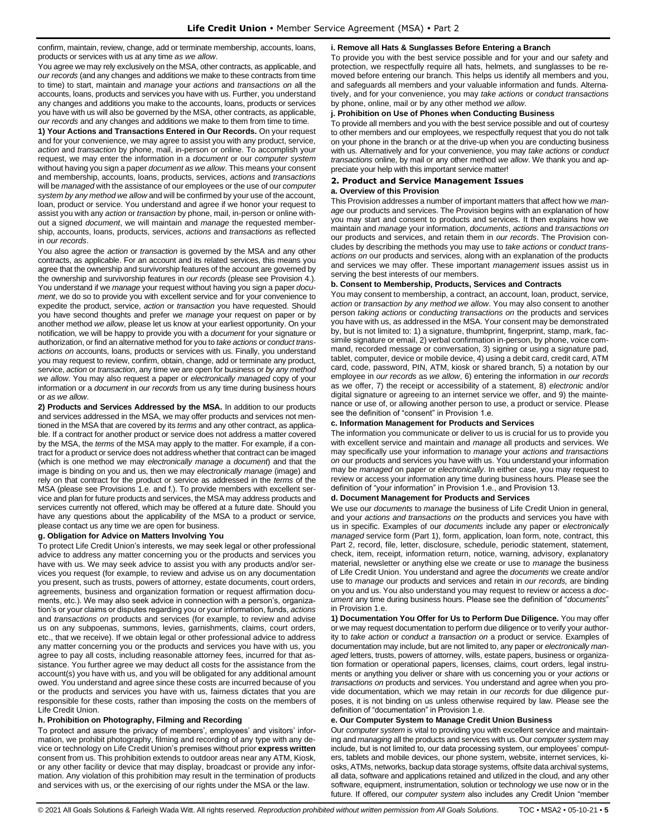confirm, maintain, review, change, add or terminate membership, accounts, loans, products or services with us at any time *as we allow*.

You agree we may rely exclusively on the MSA, other contracts, as applicable, and *our records* (and any changes and additions we make to these contracts from time to time) to start, maintain and *manage* your *actions* and *transactions on* all the accounts, loans, products and services you have with us. Further, you understand any changes and additions you make to the accounts, loans, products or services you have with us will also be governed by the MSA, other contracts, as applicable, *our records* and any changes and additions we make to them from time to time.

**1) Your Actions and Transactions Entered in Our Records.** On your request and for your convenience, we may agree to assist you with any product, service, *action* and *transaction* by phone, mail, in-person or online. To accomplish your request, we may enter the information in a *document* or our *computer system*  without having you sign a paper *document as we allow*. This means your consent and membership, accounts, loans, products, services, *actions* and *transactions*  will be *managed* with the assistance of our employees or the use of our *computer system by any method we allow* and will be confirmed by your use of the account, loan, product or service. You understand and agree if we honor your request to assist you with any *action* or *transaction* by phone, mail, in-person or online without a signed *document*, we will maintain and *manage* the requested membership, accounts, loans, products, services, *actions* and *transactions* as reflected in *our records*.

You also agree the *action* or *transaction* is governed by the MSA and any other contracts, as applicable. For an account and its related services, this means you agree that the ownership and survivorship features of the account are governed by the ownership and survivorship features in *our records* (please see Provision 4.). You understand if we *manage* your request without having you sign a paper *document*, we do so to provide you with excellent service and for your convenience to expedite the product, service, *action* or *transaction* you have requested. Should you have second thoughts and prefer we *manage* your request on paper or by another method *we allow*, please let us know at your earliest opportunity. On your notification, we will be happy to provide you with a *document* for your signature or authorization, or find an alternative method for you to *take actions* or *conduct transactions on* accounts, loans, products or services with us. Finally, you understand you may request to review, confirm, obtain, change, add or terminate any product, service, *action* or *transaction*, any time we are open for business or *by any method we allow*. You may also request a paper or *electronically managed* copy of your information or a *document* in *our records* from us any time during business hours or *as we allow*.

**2) Products and Services Addressed by the MSA.** In addition to our products and services addressed in the MSA, we may offer products and services not mentioned in the MSA that are covered by its *terms* and any other contract, as applicable. If a contract for another product or service does not address a matter covered by the MSA, the *terms* of the MSA may apply to the matter. For example, if a contract for a product or service does not address whether that contract can be imaged (which is one method we may *electronically manage* a *document*) and that the image is binding on you and us, then we may *electronically manage* (image) and rely on that contract for the product or service as addressed in the *terms* of the MSA (please see Provisions 1.e. and f.). To provide members with excellent service and plan for future products and services, the MSA may address products and services currently not offered, which may be offered at a future date. Should you have any questions about the applicability of the MSA to a product or service, please contact us any time we are open for business.

### **g. Obligation for Advice on Matters Involving You**

To protect Life Credit Union's interests, we may seek legal or other professional advice to address any matter concerning you or the products and services you have with us. We may seek advice to assist you with any products and/or services you request (for example, to review and advise us on any documentation you present, such as trusts, powers of attorney, estate documents, court orders, agreements, business and organization formation or request affirmation documents, etc.). We may also seek advice in connection with a person's, organization's or your claims or disputes regarding you or your information, funds, *actions* and *transactions on* products and services (for example, to review and advise us on any subpoenas, summons, levies, garnishments, claims, court orders, etc., that we receive). If we obtain legal or other professional advice to address any matter concerning you or the products and services you have with us, you agree to pay all costs, including reasonable attorney fees, incurred for that assistance. You further agree we may deduct all costs for the assistance from the account(s) you have with us, and you will be obligated for any additional amount owed. You understand and agree since these costs are incurred because of you or the products and services you have with us, fairness dictates that you are responsible for these costs, rather than imposing the costs on the members of Life Credit Union.

### **h. Prohibition on Photography, Filming and Recording**

To protect and assure the privacy of members', employees' and visitors' information, we prohibit photography, filming and recording of any type with any device or technology on Life Credit Union's premises without prior **express written** consent from us. This prohibition extends to outdoor areas near any ATM, Kiosk, or any other facility or device that may display, broadcast or provide any information. Any violation of this prohibition may result in the termination of products and services with us, or the exercising of our rights under the MSA or the law.

#### **i. Remove all Hats & Sunglasses Before Entering a Branch**

To provide you with the best service possible and for your and our safety and protection, we respectfully require all hats, helmets, and sunglasses to be removed before entering our branch. This helps us identify all members and you, and safeguards all members and your valuable information and funds. Alternatively, and for your convenience, you may *take actions* or *conduct transactions* by phone, online, mail or by any other method *we allow*.

### **j. Prohibition on Use of Phones when Conducting Business**

To provide all members and you with the best service possible and out of courtesy to other members and our employees, we respectfully request that you do not talk on your phone in the branch or at the drive-up when you are conducting business with us. Alternatively and for your convenience, you may *take actions* or *conduct transactions* online, by mail or any other method *we allow*. We thank you and appreciate your help with this important service matter!

### <span id="page-4-0"></span>**2. Product and Service Management Issues**

#### **a. Overview of this Provision**

This Provision addresses a number of important matters that affect how we *manage* our products and services. The Provision begins with an explanation of how you may start and consent to products and services. It then explains how we maintain and *manage* your information, *documents*, *actions* and *transactions on* our products and services, and retain them in *our records*. The Provision concludes by describing the methods you may use to *take actions* or *conduct transactions on* our products and services, along with an explanation of the products and services we may offer. These important *management* issues assist us in serving the best interests of our members.

### **b. Consent to Membership, Products, Services and Contracts**

You may consent to membership, a contract, an account, loan, product, service, *action* or *transaction by any method we allow*. You may also consent to another person *taking actions* or *conducting transactions on* the products and services you have with us, as addressed in the MSA. Your consent may be demonstrated by, but is not limited to: 1) a signature, thumbprint, fingerprint, stamp, mark, facsimile signature or email, 2) verbal confirmation in-person, by phone, voice command, recorded message or conversation, 3) signing or using a signature pad, tablet, computer, device or mobile device, 4) using a debit card, credit card, ATM card, code, password, PIN, ATM, kiosk or shared branch, 5) a notation by our employee in *our records* as *we allow*, 6) entering the information in *our records* as we offer, 7) the receipt or accessibility of a statement, 8) *electronic* and/or digital signature or agreeing to an internet service we offer, and 9) the maintenance or use of, or allowing another person to use, a product or service. Please see the definition of "consent" in Provision 1.e.

#### **c. Information Management for Products and Services**

The information you communicate or deliver to us is crucial for us to provide you with excellent service and maintain and *manage* all products and services. We may specifically use your information to *manage* your *actions and transactions on* our products and services you have with us. You understand your information may be *managed* on paper or *electronically*. In either case, you may request to review or access your information any time during business hours. Please see the definition of "your information" in Provision 1.e., and Provision 13.

#### **d. Document Management for Products and Services**

We use our *documents* to *manage* the business of Life Credit Union in general, and your *actions and transactions on* the products and services you have with us in specific. Examples of our *documents* include any paper or *electronically managed* service form (Part 1), form, application, loan form, note, contract, this Part 2, record, file, letter, disclosure, schedule, periodic statement, statement, check, item, receipt, information return, notice, warning, advisory, explanatory material, newsletter or anything else we create or use to *manage* the business of Life Credit Union. You understand and agree the *documents* we create and/or use to *manage* our products and services and retain in *our records,* are binding on you and us. You also understand you may request to review or access a *document* any time during business hours. Please see the definition of "*documents*" in Provision 1.e.

**1) Documentation You Offer for Us to Perform Due Diligence.** You may offer or we may request documentation to perform due diligence or to verify your authority to *take action* or *conduct a transaction on* a product or service. Examples of documentation may include, but are not limited to, any paper or *electronically managed* letters, trusts, powers of attorney, wills, estate papers, business or organization formation or operational papers, licenses, claims, court orders, legal instruments or anything you deliver or share with us concerning you or your *actions* or *transactions on* products and services. You understand and agree when you provide documentation, which we may retain in *our records* for due diligence purposes, it is not binding on us unless otherwise required by law. Please see the definition of "documentation" in Provision 1.e.

#### **e. Our Computer System to Manage Credit Union Business**

Our *computer system* is vital to providing you with excellent service and maintaining and *managing* all the products and services with us. Our *computer system* may include, but is not limited to, our data processing system, our employees' computers, tablets and mobile devices, our phone system, website, internet services, kiosks, ATMs, networks, backup data storage systems, offsite data archival systems, all data, software and applications retained and utilized in the cloud, and any other software, equipment, instrumentation, solution or technology we use now or in the future. If offered, our *computer system* also includes any Credit Union "member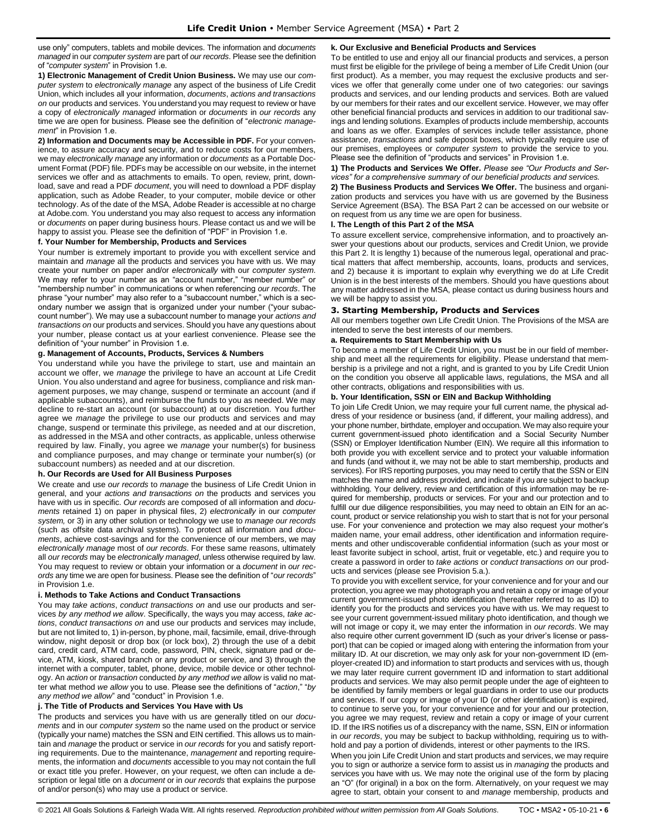use only" computers, tablets and mobile devices. The information and *documents managed* in our *computer system* are part of *our records*. Please see the definition of "*computer system*" in Provision 1.e.

**1) Electronic Management of Credit Union Business.** We may use our *computer system* to *electronically manage* any aspect of the business of Life Credit Union, which includes all your information, *documents*, *actions and transactions on* our products and services. You understand you may request to review or have a copy of *electronically managed* information or *documents* in *our records* any time we are open for business. Please see the definition of "*electronic management*" in Provision 1.e.

**2) Information and Documents may be Accessible in PDF.** For your convenience, to assure accuracy and security, and to reduce costs for our members, we may *electronically manage* any information or *documents* as a Portable Document Format (PDF) file. PDFs may be accessible on our website, in the internet services we offer and as attachments to emails. To open, review, print, download, save and read a PDF *document*, you will need to download a PDF display application, such as Adobe Reader, to your computer, mobile device or other technology. As of the date of the MSA, Adobe Reader is accessible at no charge at Adobe.com. You understand you may also request to access any information or *documents* on paper during business hours. Please contact us and we will be happy to assist you. Please see the definition of "PDF" in Provision 1.e.

### **f. Your Number for Membership, Products and Services**

Your number is extremely important to provide you with excellent service and maintain and *manage* all the products and services you have with us. We may create your number on paper and/or *electronically* with our *computer system*. We may refer to your number as an "account number," "member number" or "membership number" in communications or when referencing *our records*. The phrase "your number" may also refer to a "subaccount number," which is a secondary number we assign that is organized under your number ("your subaccount number"). We may use a subaccount number to manage your *actions and transactions on* our products and services. Should you have any questions about your number, please contact us at your earliest convenience. Please see the definition of "your number" in Provision 1.e.

### **g. Management of Accounts, Products, Services & Numbers**

You understand while you have the privilege to start, use and maintain an account we offer, we *manage* the privilege to have an account at Life Credit Union. You also understand and agree for business, compliance and risk management purposes, we may change, suspend or terminate an account (and if applicable subaccounts), and reimburse the funds to you as needed. We may decline to re-start an account (or subaccount) at our discretion. You further agree we *manage* the privilege to use our products and services and may change, suspend or terminate this privilege, as needed and at our discretion, as addressed in the MSA and other contracts, as applicable, unless otherwise required by law. Finally, you agree we *manage* your number(s) for business and compliance purposes, and may change or terminate your number(s) (or subaccount numbers) as needed and at our discretion.

### **h. Our Records are Used for All Business Purposes**

We create and use *our records* to *manage* the business of Life Credit Union in general, and your *actions and transactions on* the products and services you have with us in specific. *Our records* are composed of all information and *documents* retained 1) on paper in physical files, 2) *electronically* in our *computer system,* or 3) in any other solution or technology we use to *manage our records* (such as offsite data archival systems). To protect all information and *documents*, achieve cost-savings and for the convenience of our members, we may *electronically manage* most of *our records*. For these same reasons, ultimately all *our records* may be *electronically managed*, unless otherwise required by law. You may request to review or obtain your information or a *document* in *our records* any time we are open for business. Please see the definition of "*our records*" in Provision 1.e.

#### **i. Methods to Take Actions and Conduct Transactions**

You may *take actions*, *conduct transactions on* and use our products and services *by any method we allow*. Specifically, the ways you may access, *take actions*, *conduct transactions on* and use our products and services may include, but are not limited to, 1) in-person, by phone, mail, facsimile, email, drive-through window, night deposit or drop box (or lock box), 2) through the use of a debit card, credit card, ATM card, code, password, PIN, check, signature pad or device, ATM, kiosk, shared branch or any product or service, and 3) through the internet with a computer, tablet, phone, device, mobile device or other technology. An *action* or *transaction* conducted *by any method we allow* is valid no matter what method *we allow* you to use. Please see the definitions of "*action*," "*by any method we allow*" and "conduct" in Provision 1.e.

#### **j. The Title of Products and Services You Have with Us**

The products and services you have with us are generally titled on our *documents* and in our *computer system* so the name used on the product or service (typically your name) matches the SSN and EIN certified. This allows us to maintain and *manage* the product or service in *our records* for you and satisfy reporting requirements. Due to the maintenance, *management* and reporting requirements, the information and *documents* accessible to you may not contain the full or exact title you prefer. However, on your request, we often can include a description or legal title on a *document* or in *our records* that explains the purpose of and/or person(s) who may use a product or service.

### **k. Our Exclusive and Beneficial Products and Services**

To be entitled to use and enjoy all our financial products and services, a person must first be eligible for the privilege of being a member of Life Credit Union (our first product). As a member, you may request the exclusive products and services we offer that generally come under one of two categories: our savings products and services, and our lending products and services. Both are valued by our members for their rates and our excellent service. However, we may offer other beneficial financial products and services in addition to our traditional savings and lending solutions. Examples of products include membership, accounts and loans as we offer. Examples of services include teller assistance, phone assistance, *transactions* and safe deposit boxes, which typically require use of our premises, employees or *computer system* to provide the service to you. Please see the definition of "products and services" in Provision 1.e.

**1) The Products and Services We Offer.** *Please see "Our Products and Services" for a comprehensive summary of our beneficial products and services.*

**2) The Business Products and Services We Offer.** The business and organization products and services you have with us are governed by the Business Service Agreement (BSA). The BSA Part 2 can be accessed on our website or on request from us any time we are open for business.

### **l. The Length of this Part 2 of the MSA**

To assure excellent service, comprehensive information, and to proactively answer your questions about our products, services and Credit Union, we provide this Part 2. It is lengthy 1) because of the numerous legal, operational and practical matters that affect membership, accounts, loans, products and services, and 2) because it is important to explain why everything we do at Life Credit Union is in the best interests of the members. Should you have questions about any matter addressed in the MSA, please contact us during business hours and we will be happy to assist you.

### <span id="page-5-0"></span>**3. Starting Membership, Products and Services**

All our members together own Life Credit Union. The Provisions of the MSA are intended to serve the best interests of our members.

### **a. Requirements to Start Membership with Us**

To become a member of Life Credit Union, you must be in our field of membership and meet all the requirements for eligibility. Please understand that membership is a privilege and not a right, and is granted to you by Life Credit Union on the condition you observe all applicable laws, regulations, the MSA and all other contracts, obligations and responsibilities with us.

### **b. Your Identification, SSN or EIN and Backup Withholding**

To join Life Credit Union, we may require your full current name, the physical address of your residence or business (and, if different, your mailing address), and your phone number, birthdate, employer and occupation. We may also require your current government-issued photo identification and a Social Security Number (SSN) or Employer Identification Number (EIN). We require all this information to both provide you with excellent service and to protect your valuable information and funds (and without it, we may not be able to start membership, products and services). For IRS reporting purposes, you may need to certify that the SSN or EIN matches the name and address provided, and indicate if you are subject to backup withholding. Your delivery, review and certification of this information may be required for membership, products or services. For your and our protection and to fulfill our due diligence responsibilities, you may need to obtain an EIN for an account, product or service relationship you wish to start that is not for your personal use. For your convenience and protection we may also request your mother's maiden name, your email address, other identification and information requirements and other undiscoverable confidential information (such as your most or least favorite subject in school, artist, fruit or vegetable, etc.) and require you to create a password in order to *take actions* or *conduct transactions on* our products and services (please see Provision 5.a.).

To provide you with excellent service, for your convenience and for your and our protection, you agree we may photograph you and retain a copy or image of your current government-issued photo identification (hereafter referred to as ID) to identify you for the products and services you have with us. We may request to see your current government-issued military photo identification, and though we will not image or copy it, we may enter the information in *our records*. We may also require other current government ID (such as your driver's license or passport) that can be copied or imaged along with entering the information from your military ID. At our discretion, we may only ask for your non-government ID (employer-created ID) and information to start products and services with us, though we may later require current government ID and information to start additional products and services. We may also permit people under the age of eighteen to be identified by family members or legal guardians in order to use our products and services. If our copy or image of your ID (or other identification) is expired, to continue to serve you, for your convenience and for your and our protection, you agree we may request, review and retain a copy or image of your current ID. If the IRS notifies us of a discrepancy with the name, SSN, EIN or information in *our records*, you may be subject to backup withholding, requiring us to withhold and pay a portion of dividends, interest or other payments to the IRS.

When you join Life Credit Union and start products and services, we may require you to sign or authorize a service form to assist us in *managing* the products and services you have with us. We may note the original use of the form by placing an "O" (for original) in a box on the form. Alternatively, on your request we may agree to start, obtain your consent to and *manage* membership, products and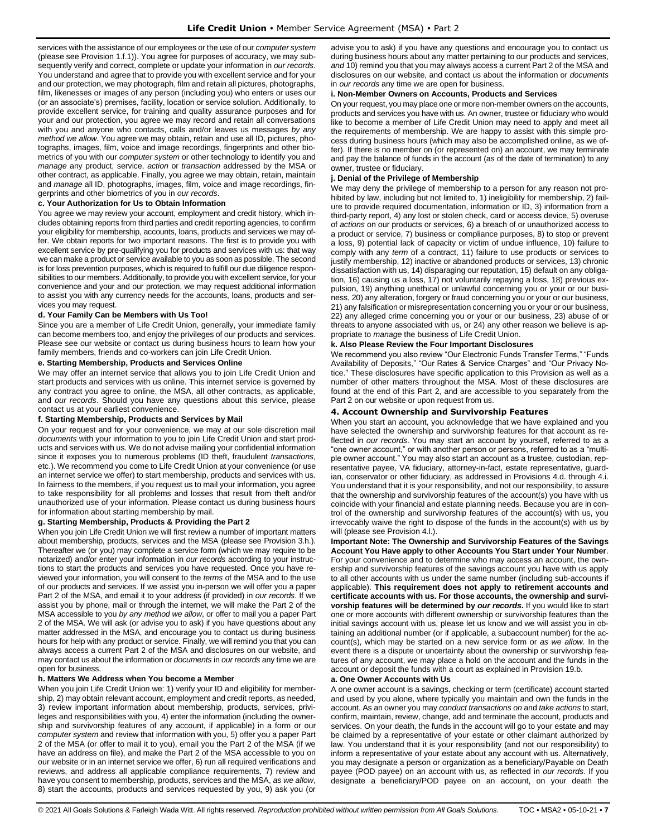services with the assistance of our employees or the use of our *computer system*  (please see Provision 1.f.1)). You agree for purposes of accuracy, we may subsequently verify and correct, complete or update your information in *our records*. You understand and agree that to provide you with excellent service and for your and our protection, we may photograph, film and retain all pictures, photographs, film, likenesses or images of any person (including you) who enters or uses our (or an associate's) premises, facility, location or service solution. Additionally, to provide excellent service, for training and quality assurance purposes and for your and our protection, you agree we may record and retain all conversations with you and anyone who contacts, calls and/or leaves us messages *by any method we allow*. You agree we may obtain, retain and use all ID, pictures, photographs, images, film, voice and image recordings, fingerprints and other biometrics of you with our *computer system* or other technology to identify you and *manage* any product, service, *action* or *transaction* addressed by the MSA or other contract, as applicable. Finally, you agree we may obtain, retain, maintain and *manage* all ID, photographs, images, film, voice and image recordings, fingerprints and other biometrics of you in *our records*.

### **c. Your Authorization for Us to Obtain Information**

You agree we may review your account, employment and credit history, which includes obtaining reports from third parties and credit reporting agencies, to confirm your eligibility for membership, accounts, loans, products and services we may offer. We obtain reports for two important reasons. The first is to provide you with excellent service by pre-qualifying you for products and services with us: that way we can make a product or service available to you as soon as possible. The second is for loss prevention purposes, which is required to fulfill our due diligence responsibilities to our members. Additionally, to provide you with excellent service, for your convenience and your and our protection, we may request additional information to assist you with any currency needs for the accounts, loans, products and services you may request.

### **d. Your Family Can be Members with Us Too!**

Since you are a member of Life Credit Union, generally, your immediate family can become members too, and enjoy the privileges of our products and services. Please see our website or contact us during business hours to learn how your family members, friends and co-workers can join Life Credit Union.

### **e. Starting Membership, Products and Services Online**

We may offer an internet service that allows you to join Life Credit Union and start products and services with us online. This internet service is governed by any contract you agree to online, the MSA, all other contracts, as applicable, and *our records*. Should you have any questions about this service, please contact us at your earliest convenience.

#### **f. Starting Membership, Products and Services by Mail**

On your request and for your convenience, we may at our sole discretion mail *documents* with your information to you to join Life Credit Union and start products and services with us. We do not advise mailing your confidential information since it exposes you to numerous problems (ID theft, fraudulent *transactions*, etc.). We recommend you come to Life Credit Union at your convenience (or use an internet service we offer) to start membership, products and services with us. In fairness to the members, if you request us to mail your information, you agree to take responsibility for all problems and losses that result from theft and/or unauthorized use of your information. Please contact us during business hours for information about starting membership by mail.

### **g. Starting Membership, Products & Providing the Part 2**

When you join Life Credit Union we will first review a number of important matters about membership, products, services and the MSA (please see Provision 3.h.). Thereafter we (or you) may complete a service form (which we may require to be notarized) and/or enter your information in *our records* according to your instructions to start the products and services you have requested. Once you have reviewed your information, you will consent to the *terms* of the MSA and to the use of our products and services. If we assist you in-person we will offer you a paper Part 2 of the MSA, and email it to your address (if provided) in *our records*. If we assist you by phone, mail or through the internet, we will make the Part 2 of the MSA accessible to you *by any method we allow*, or offer to mail you a paper Part 2 of the MSA. We will ask (or advise you to ask) if you have questions about any matter addressed in the MSA, and encourage you to contact us during business hours for help with any product or service. Finally, we will remind you that you can always access a current Part 2 of the MSA and disclosures on our website, and may contact us about the information or *documents* in *our records* any time we are open for business.

### **h. Matters We Address when You become a Member**

When you join Life Credit Union we: 1) verify your ID and eligibility for membership, 2) may obtain relevant account, employment and credit reports, as needed, 3) review important information about membership, products, services, privileges and responsibilities with you, 4) enter the information (including the ownership and survivorship features of any account, if applicable) in a form or our *computer system* and review that information with you, 5) offer you a paper Part 2 of the MSA (or offer to mail it to you), email you the Part 2 of the MSA (if we have an address on file), and make the Part 2 of the MSA accessible to you on our website or in an internet service we offer, 6) run all required verifications and reviews, and address all applicable compliance requirements, 7) review and have you consent to membership, products, services and the MSA, *as we allow*, 8) start the accounts, products and services requested by you, 9) ask you (or

advise you to ask) if you have any questions and encourage you to contact us during business hours about any matter pertaining to our products and services, *and* 10) remind you that you may always access a current Part 2 of the MSA and disclosures on our website, and contact us about the information or *documents*  in *our records* any time we are open for business.

### **i. Non-Member Owners on Accounts, Products and Services**

On your request, you may place one or more non-member owners on the accounts, products and services you have with us. An owner, trustee or fiduciary who would like to become a member of Life Credit Union may need to apply and meet all the requirements of membership. We are happy to assist with this simple process during business hours (which may also be accomplished online, as we offer). If there is no member on (or represented on) an account, we may terminate and pay the balance of funds in the account (as of the date of termination) to any owner, trustee or fiduciary.

### **j. Denial of the Privilege of Membership**

We may deny the privilege of membership to a person for any reason not prohibited by law, including but not limited to, 1) ineligibility for membership, 2) failure to provide required documentation, information or ID, 3) information from a third-party report, 4) any lost or stolen check, card or access device, 5) overuse of *actions* on our products or services, 6) a breach of or unauthorized access to a product or service, 7) business or compliance purposes, 8) to stop or prevent a loss, 9) potential lack of capacity or victim of undue influence, 10) failure to comply with any *term* of a contract, 11) failure to use products or services to justify membership, 12) inactive or abandoned products or services, 13) chronic dissatisfaction with us, 14) disparaging our reputation, 15) default on any obligation, 16) causing us a loss, 17) not voluntarily repaying a loss, 18) previous expulsion, 19) anything unethical or unlawful concerning you or your or our business, 20) any alteration, forgery or fraud concerning you or your or our business, 21) any falsification or misrepresentation concerning you or your or our business, 22) any alleged crime concerning you or your or our business, 23) abuse of or threats to anyone associated with us, or 24) any other reason we believe is appropriate to *manage* the business of Life Credit Union.

### **k. Also Please Review the Four Important Disclosures**

We recommend you also review "Our Electronic Funds Transfer Terms," "Funds Availability of Deposits," "Our Rates & Service Charges" and "Our Privacy Notice." These disclosures have specific application to this Provision as well as a number of other matters throughout the MSA. Most of these disclosures are found at the end of this Part 2, and are accessible to you separately from the Part 2 on our website or upon request from us.

### <span id="page-6-0"></span>**4. Account Ownership and Survivorship Features**

When you start an account, you acknowledge that we have explained and you have selected the ownership and survivorship features for that account as reflected in *our records*. You may start an account by yourself, referred to as a "one owner account," or with another person or persons, referred to as a "multiple owner account." You may also start an account as a trustee, custodian, representative payee, VA fiduciary, attorney-in-fact, estate representative, guardian, conservator or other fiduciary, as addressed in Provisions 4.d. through 4.i. You understand that it is your responsibility, and not our responsibility, to assure that the ownership and survivorship features of the account(s) you have with us coincide with your financial and estate planning needs. Because you are in control of the ownership and survivorship features of the account(s) with us, you irrevocably waive the right to dispose of the funds in the account(s) with us by will (please see Provision 4.l.).

**Important Note: The Ownership and Survivorship Features of the Savings Account You Have apply to other Accounts You Start under Your Number**. For your convenience and to determine who may access an account, the ownership and survivorship features of the savings account you have with us apply to all other accounts with us under the same number (including sub-accounts if applicable). **This requirement does not apply to retirement accounts and certificate accounts with us. For those accounts, the ownership and survivorship features will be determined by** *our records***.** If you would like to start one or more accounts with different ownership or survivorship features than the initial savings account with us, please let us know and we will assist you in obtaining an additional number (or if applicable, a subaccount number) for the account(s), which may be started on a new service form or *as we allow*. In the event there is a dispute or uncertainty about the ownership or survivorship features of any account, we may place a hold on the account and the funds in the account or deposit the funds with a court as explained in Provision 19.b.

#### **a. One Owner Accounts with Us**

A one owner account is a savings, checking or term (certificate) account started and used by you alone, where typically you maintain and own the funds in the account. As an owner you may *conduct transactions on* and *take actions* to start, confirm, maintain, review, change, add and terminate the account, products and services. On your death, the funds in the account will go to your estate and may be claimed by a representative of your estate or other claimant authorized by law. You understand that it is your responsibility (and not our responsibility) to inform a representative of your estate about any account with us. Alternatively, you may designate a person or organization as a beneficiary/Payable on Death payee (POD payee) on an account with us, as reflected in *our records*. If you designate a beneficiary/POD payee on an account, on your death the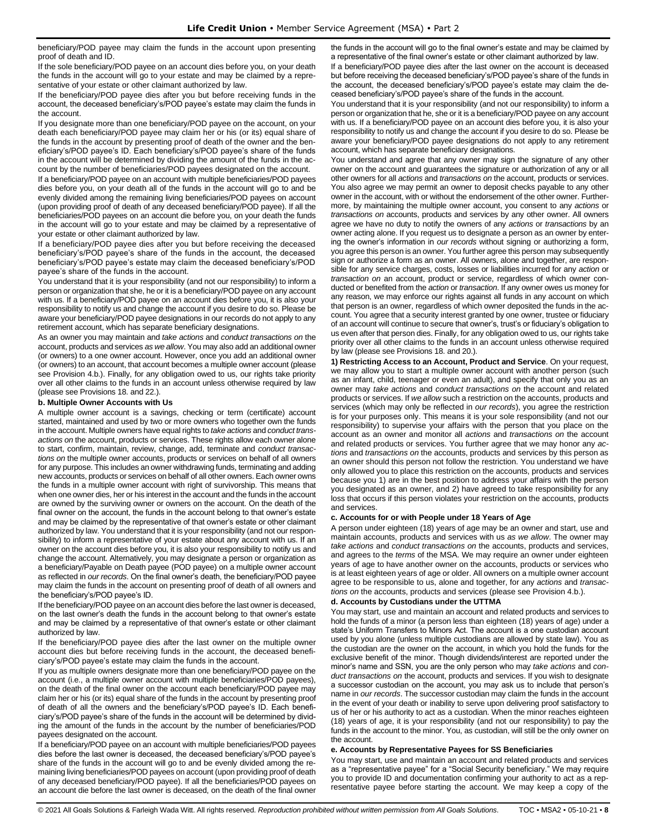beneficiary/POD payee may claim the funds in the account upon presenting proof of death and ID.

If the sole beneficiary/POD payee on an account dies before you, on your death the funds in the account will go to your estate and may be claimed by a representative of your estate or other claimant authorized by law.

If the beneficiary/POD payee dies after you but before receiving funds in the account, the deceased beneficiary's/POD payee's estate may claim the funds in the account.

If you designate more than one beneficiary/POD payee on the account, on your death each beneficiary/POD payee may claim her or his (or its) equal share of the funds in the account by presenting proof of death of the owner and the beneficiary's/POD payee's ID. Each beneficiary's/POD payee's share of the funds in the account will be determined by dividing the amount of the funds in the account by the number of beneficiaries/POD payees designated on the account.

If a beneficiary/POD payee on an account with multiple beneficiaries/POD payees dies before you, on your death all of the funds in the account will go to and be evenly divided among the remaining living beneficiaries/POD payees on account (upon providing proof of death of any deceased beneficiary/POD payee). If all the beneficiaries/POD payees on an account die before you, on your death the funds in the account will go to your estate and may be claimed by a representative of your estate or other claimant authorized by law.

If a beneficiary/POD payee dies after you but before receiving the deceased beneficiary's/POD payee's share of the funds in the account, the deceased beneficiary's/POD payee's estate may claim the deceased beneficiary's/POD payee's share of the funds in the account.

You understand that it is your responsibility (and not our responsibility) to inform a person or organization that she, he or it is a beneficiary/POD payee on any account with us. If a beneficiary/POD payee on an account dies before you, it is also your responsibility to notify us and change the account if you desire to do so. Please be aware your beneficiary/POD payee designations in our records do not apply to any retirement account, which has separate beneficiary designations.

As an owner you may maintain and *take actions* and *conduct transactions on* the account, products and services *as we allow*. You may also add an additional owner (or owners) to a one owner account. However, once you add an additional owner (or owners) to an account, that account becomes a multiple owner account (please see Provision 4.b.). Finally, for any obligation owed to us, our rights take priority over all other claims to the funds in an account unless otherwise required by law (please see Provisions 18. and 22.).

### **b. Multiple Owner Accounts with Us**

A multiple owner account is a savings, checking or term (certificate) account started, maintained and used by two or more owners who together own the funds in the account. Multiple owners have equal rights to *take actions* and *conduct transactions on* the account, products or services. These rights allow each owner alone to start, confirm, maintain, review, change, add, terminate and *conduct transactions on* the multiple owner accounts, products or services on behalf of all owners for any purpose. This includes an owner withdrawing funds, terminating and adding new accounts, products or services on behalf of all other owners. Each owner owns the funds in a multiple owner account with right of survivorship. This means that when one owner dies, her or his interest in the account and the funds in the account are owned by the surviving owner or owners on the account. On the death of the final owner on the account, the funds in the account belong to that owner's estate and may be claimed by the representative of that owner's estate or other claimant authorized by law. You understand that it is your responsibility (and not our responsibility) to inform a representative of your estate about any account with us. If an owner on the account dies before you, it is also your responsibility to notify us and change the account. Alternatively, you may designate a person or organization as a beneficiary/Payable on Death payee (POD payee) on a multiple owner account as reflected in *our records*. On the final owner's death, the beneficiary/POD payee may claim the funds in the account on presenting proof of death of all owners and the beneficiary's/POD payee's ID.

If the beneficiary/POD payee on an account dies before the last owner is deceased, on the last owner's death the funds in the account belong to that owner's estate and may be claimed by a representative of that owner's estate or other claimant authorized by law.

If the beneficiary/POD payee dies after the last owner on the multiple owner account dies but before receiving funds in the account, the deceased beneficiary's/POD payee's estate may claim the funds in the account.

If you as multiple owners designate more than one beneficiary/POD payee on the account (i.e., a multiple owner account with multiple beneficiaries/POD payees), on the death of the final owner on the account each beneficiary/POD payee may claim her or his (or its) equal share of the funds in the account by presenting proof of death of all the owners and the beneficiary's/POD payee's ID. Each beneficiary's/POD payee's share of the funds in the account will be determined by dividing the amount of the funds in the account by the number of beneficiaries/POD payees designated on the account.

If a beneficiary/POD payee on an account with multiple beneficiaries/POD payees dies before the last owner is deceased, the deceased beneficiary's/POD payee's share of the funds in the account will go to and be evenly divided among the remaining living beneficiaries/POD payees on account (upon providing proof of death of any deceased beneficiary/POD payee). If all the beneficiaries/POD payees on an account die before the last owner is deceased, on the death of the final owner the funds in the account will go to the final owner's estate and may be claimed by a representative of the final owner's estate or other claimant authorized by law.

If a beneficiary/POD payee dies after the last owner on the account is deceased but before receiving the deceased beneficiary's/POD payee's share of the funds in the account, the deceased beneficiary's/POD payee's estate may claim the deceased beneficiary's/POD payee's share of the funds in the account.

You understand that it is your responsibility (and not our responsibility) to inform a person or organization that he, she or it is a beneficiary/POD payee on any account with us. If a beneficiary/POD payee on an account dies before you, it is also your responsibility to notify us and change the account if you desire to do so. Please be aware your beneficiary/POD payee designations do not apply to any retirement account, which has separate beneficiary designations.

You understand and agree that any owner may sign the signature of any other owner on the account and guarantees the signature or authorization of any or all other owners for all *actions* and *transactions on* the account, products or services. You also agree we may permit an owner to deposit checks payable to any other owner in the account, with or without the endorsement of the other owner. Furthermore, by maintaining the multiple owner account, you consent to any *actions* or *transactions on* accounts, products and services by any other owner. All owners agree we have no duty to notify the owners of any *actions* or *transactions* by an owner acting alone. If you request us to designate a person as an owner by entering the owner's information in *our records* without signing or authorizing a form, you agree this person is an owner. You further agree this person may subsequently sign or authorize a form as an owner. All owners, alone and together, are responsible for any service charges, costs, losses or liabilities incurred for any *action* or *transaction on* an account, product or service, regardless of which owner conducted or benefited from the *action* or *transaction*. If any owner owes us money for any reason, we may enforce our rights against all funds in any account on which that person is an owner, regardless of which owner deposited the funds in the account. You agree that a security interest granted by one owner, trustee or fiduciary of an account will continue to secure that owner's, trust's or fiduciary's obligation to us even after that person dies. Finally, for any obligation owed to us, our rights take priority over all other claims to the funds in an account unless otherwise required by law (please see Provisions 18. and 20.).

**1) Restricting Access to an Account, Product and Service**. On your request, we may allow you to start a multiple owner account with another person (such as an infant, child, teenager or even an adult), and specify that only you as an owner may *take actions* and *conduct transactions on* the account and related products or services. If *we allow* such a restriction on the accounts, products and services (which may only be reflected in *our records*), you agree the restriction is for your purposes only. This means it is your sole responsibility (and not our responsibility) to supervise your affairs with the person that you place on the account as an owner and monitor all *actions* and *transactions on* the account and related products or services. You further agree that we may honor any *actions* and *transactions on* the accounts, products and services by this person as an owner should this person not follow the restriction. You understand we have only allowed you to place this restriction on the accounts, products and services because you 1) are in the best position to address your affairs with the person you designated as an owner, and 2) have agreed to take responsibility for any loss that occurs if this person violates your restriction on the accounts, products and services.

#### **c. Accounts for or with People under 18 Years of Age**

A person under eighteen (18) years of age may be an owner and start, use and maintain accounts, products and services with us *as we allow*. The owner may *take actions* and *conduct transactions on* the accounts, products and services, and agrees to the *terms* of the MSA. We may require an owner under eighteen years of age to have another owner on the accounts, products or services who is at least eighteen years of age or older. All owners on a multiple owner account agree to be responsible to us, alone and together, for any *actions* and *transactions on* the accounts, products and services (please see Provision 4.b.).

### **d. Accounts by Custodians under the UTTMA**

You may start, use and maintain an account and related products and services to hold the funds of a minor (a person less than eighteen (18) years of age) under a state's Uniform Transfers to Minors Act. The account is a one custodian account used by you alone (unless multiple custodians are allowed by state law). You as the custodian are the owner on the account, in which you hold the funds for the exclusive benefit of the minor. Though dividends/interest are reported under the minor's name and SSN, you are the only person who may *take actions* and *conduct transactions on* the account, products and services. If you wish to designate a successor custodian on the account, you may ask us to include that person's name in *our records*. The successor custodian may claim the funds in the account in the event of your death or inability to serve upon delivering proof satisfactory to us of her or his authority to act as a custodian. When the minor reaches eighteen (18) years of age, it is your responsibility (and not our responsibility) to pay the funds in the account to the minor. You, as custodian, will still be the only owner on the account.

### **e. Accounts by Representative Payees for SS Beneficiaries**

You may start, use and maintain an account and related products and services as a "representative payee" for a "Social Security beneficiary." We may require you to provide ID and documentation confirming your authority to act as a representative payee before starting the account. We may keep a copy of the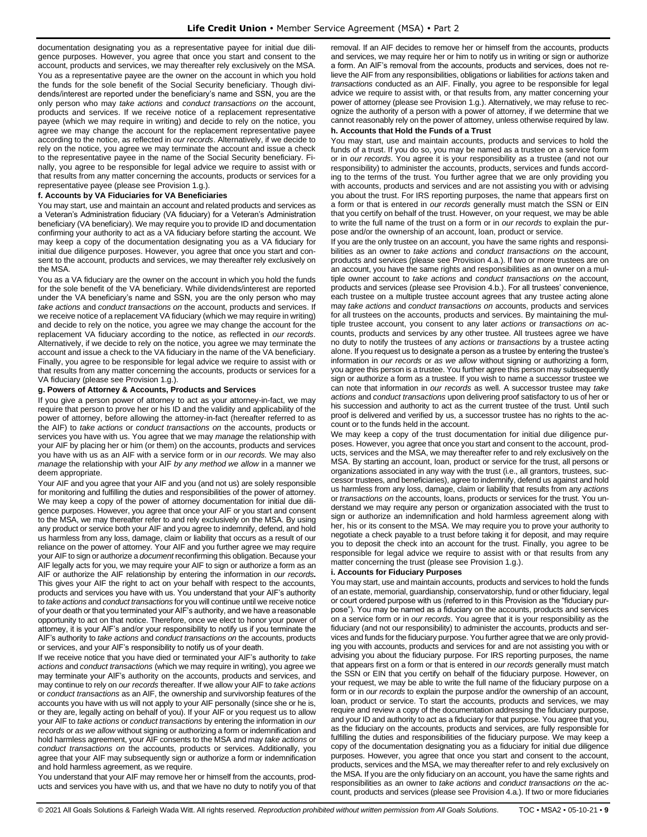documentation designating you as a representative payee for initial due diligence purposes. However, you agree that once you start and consent to the account, products and services, we may thereafter rely exclusively on the MSA. You as a representative payee are the owner on the account in which you hold the funds for the sole benefit of the Social Security beneficiary. Though dividends/interest are reported under the beneficiary's name and SSN, you are the only person who may *take actions* and *conduct transactions on* the account, products and services. If we receive notice of a replacement representative payee (which we may require in writing) and decide to rely on the notice, you agree we may change the account for the replacement representative payee according to the notice, as reflected in *our records*. Alternatively, if we decide to rely on the notice, you agree we may terminate the account and issue a check to the representative payee in the name of the Social Security beneficiary. Finally, you agree to be responsible for legal advice we require to assist with or that results from any matter concerning the accounts, products or services for a representative payee (please see Provision 1.g.).

### **f. Accounts by VA Fiduciaries for VA Beneficiaries**

You may start, use and maintain an account and related products and services as a Veteran's Administration fiduciary (VA fiduciary) for a Veteran's Administration beneficiary (VA beneficiary). We may require you to provide ID and documentation confirming your authority to act as a VA fiduciary before starting the account. We may keep a copy of the documentation designating you as a VA fiduciary for initial due diligence purposes. However, you agree that once you start and consent to the account, products and services, we may thereafter rely exclusively on the MSA.

You as a VA fiduciary are the owner on the account in which you hold the funds for the sole benefit of the VA beneficiary. While dividends/interest are reported under the VA beneficiary's name and SSN, you are the only person who may *take actions* and *conduct transactions on* the account, products and services. If we receive notice of a replacement VA fiduciary (which we may require in writing) and decide to rely on the notice, you agree we may change the account for the replacement VA fiduciary according to the notice, as reflected in *our records*. Alternatively, if we decide to rely on the notice, you agree we may terminate the account and issue a check to the VA fiduciary in the name of the VA beneficiary. Finally, you agree to be responsible for legal advice we require to assist with or that results from any matter concerning the accounts, products or services for a VA fiduciary (please see Provision 1.g.).

#### **g. Powers of Attorney & Accounts, Products and Services**

If you give a person power of attorney to act as your attorney-in-fact, we may require that person to prove her or his ID and the validity and applicability of the power of attorney, before allowing the attorney-in-fact (hereafter referred to as the AIF) to *take actions* or *conduct transactions on* the accounts, products or services you have with us. You agree that we may *manage* the relationship with your AIF by placing her or him (or them) on the accounts, products and services you have with us as an AIF with a service form or in *our records.* We may also *manage* the relationship with your AIF *by any method we allow* in a manner we deem appropriate.

Your AIF and you agree that your AIF and you (and not us) are solely responsible for monitoring and fulfilling the duties and responsibilities of the power of attorney. We may keep a copy of the power of attorney documentation for initial due diligence purposes. However, you agree that once your AIF or you start and consent to the MSA, we may thereafter refer to and rely exclusively on the MSA. By using any product or service both your AIF and you agree to indemnify, defend, and hold us harmless from any loss, damage, claim or liability that occurs as a result of our reliance on the power of attorney. Your AIF and you further agree we may require your AIF to sign or authorize a *document* reconfirming this obligation. Because your AIF legally acts for you, we may require your AIF to sign or authorize a form as an AIF or authorize the AIF relationship by entering the information in *our records***.**  This gives your AIF the right to act on your behalf with respect to the accounts, products and services you have with us. You understand that your AIF's authority to *take actions* and *conduct transactions* for you will continue until we receive notice of your death or that you terminated your AIF's authority, and we have a reasonable opportunity to act on that notice. Therefore, once we elect to honor your power of attorney, it is your AIF's and/or your responsibility to notify us if you terminate the AIF's authority to *take actions* and *conduct transactions on* the accounts, products or services, and your AIF's responsibility to notify us of your death.

If we receive notice that you have died or terminated your AIF's authority to *take actions* and *conduct transactions* (which we may require in writing), you agree we may terminate your AIF's authority on the accounts, products and services, and may continue to rely on *our records* thereafter. If we allow your AIF to *take actions* or *conduct transactions* as an AIF, the ownership and survivorship features of the accounts you have with us will not apply to your AIF personally (since she or he is, or they are, legally acting on behalf of you). If your AIF or you request us to allow your AIF to *take actions* or *conduct transactions* by entering the information in *our records* or *as we allow* without signing or authorizing a form or indemnification and hold harmless agreement, your AIF consents to the MSA and may *take actions* or *conduct transactions on* the accounts, products or services. Additionally, you agree that your AIF may subsequently sign or authorize a form or indemnification and hold harmless agreement, as we require.

You understand that your AIF may remove her or himself from the accounts, products and services you have with us, and that we have no duty to notify you of that removal. If an AIF decides to remove her or himself from the accounts, products and services, we may require her or him to notify us in writing or sign or authorize a form. An AIF's removal from the accounts, products and services, does not relieve the AIF from any responsibilities, obligations or liabilities for *actions* taken and *transactions* conducted as an AIF. Finally, you agree to be responsible for legal advice we require to assist with, or that results from, any matter concerning your power of attorney (please see Provision 1.g.). Alternatively, we may refuse to recognize the authority of a person with a power of attorney, if we determine that we cannot reasonably rely on the power of attorney, unless otherwise required by law.

### **h. Accounts that Hold the Funds of a Trust**

You may start, use and maintain accounts, products and services to hold the funds of a trust. If you do so, you may be named as a trustee on a service form or in *our records*. You agree it is your responsibility as a trustee (and not our responsibility) to administer the accounts, products, services and funds according to the terms of the trust. You further agree that we are only providing you with accounts, products and services and are not assisting you with or advising you about the trust. For IRS reporting purposes, the name that appears first on a form or that is entered in *our records* generally must match the SSN or EIN that you certify on behalf of the trust. However, on your request, we may be able to write the full name of the trust on a form or in *our records* to explain the purpose and/or the ownership of an account, loan, product or service.

If you are the only trustee on an account, you have the same rights and responsibilities as an owner to *take actions* and *conduct transactions on* the account, products and services (please see Provision 4.a.). If two or more trustees are on an account, you have the same rights and responsibilities as an owner on a multiple owner account to *take actions* and *conduct transactions on* the account, products and services (please see Provision 4.b.). For all trustees' convenience, each trustee on a multiple trustee account agrees that any trustee acting alone may *take actions* and *conduct transactions on* accounts, products and services for all trustees on the accounts, products and services. By maintaining the multiple trustee account, you consent to any later *actions* or *transactions on* accounts, products and services by any other trustee. All trustees agree we have no duty to notify the trustees of any *actions* or *transactions* by a trustee acting alone. If you request us to designate a person as a trustee by entering the trustee's information in *our records* or *as we allow* without signing or authorizing a form, you agree this person is a trustee. You further agree this person may subsequently sign or authorize a form as a trustee. If you wish to name a successor trustee we can note that information in *our records* as well. A successor trustee may *take actions* and *conduct transactions* upon delivering proof satisfactory to us of her or his succession and authority to act as the current trustee of the trust. Until such proof is delivered and verified by us, a successor trustee has no rights to the account or to the funds held in the account.

We may keep a copy of the trust documentation for initial due diligence purposes. However, you agree that once you start and consent to the account, products, services and the MSA, we may thereafter refer to and rely exclusively on the MSA. By starting an account, loan, product or service for the trust, all persons or organizations associated in any way with the trust (i.e., all grantors, trustees, successor trustees, and beneficiaries), agree to indemnify, defend us against and hold us harmless from any loss, damage, claim or liability that results from any *actions* or *transactions on* the accounts, loans, products or services for the trust. You understand we may require any person or organization associated with the trust to sign or authorize an indemnification and hold harmless agreement along with her, his or its consent to the MSA. We may require you to prove your authority to negotiate a check payable to a trust before taking it for deposit, and may require you to deposit the check into an account for the trust. Finally, you agree to be responsible for legal advice we require to assist with or that results from any matter concerning the trust (please see Provision 1.g.).

#### **i. Accounts for Fiduciary Purposes**

You may start, use and maintain accounts, products and services to hold the funds of an estate, memorial, guardianship, conservatorship, fund or other fiduciary, legal or court ordered purpose with us (referred to in this Provision as the "fiduciary purpose"). You may be named as a fiduciary on the accounts, products and services on a service form or in *our records*. You agree that it is your responsibility as the fiduciary (and not our responsibility) to administer the accounts, products and services and funds for the fiduciary purpose. You further agree that we are only providing you with accounts, products and services for and are not assisting you with or advising you about the fiduciary purpose. For IRS reporting purposes, the name that appears first on a form or that is entered in *our records* generally must match the SSN or EIN that you certify on behalf of the fiduciary purpose. However, on your request, we may be able to write the full name of the fiduciary purpose on a form or in *our records* to explain the purpose and/or the ownership of an account, loan, product or service. To start the accounts, products and services, we may require and review a copy of the documentation addressing the fiduciary purpose, and your ID and authority to act as a fiduciary for that purpose. You agree that you, as the fiduciary on the accounts, products and services, are fully responsible for fulfilling the duties and responsibilities of the fiduciary purpose. We may keep a copy of the documentation designating you as a fiduciary for initial due diligence purposes. However, you agree that once you start and consent to the account, products, services and the MSA, we may thereafter refer to and rely exclusively on the MSA. If you are the only fiduciary on an account, you have the same rights and responsibilities as an owner to *take actions* and *conduct transactions on* the account, products and services (please see Provision 4.a.). If two or more fiduciaries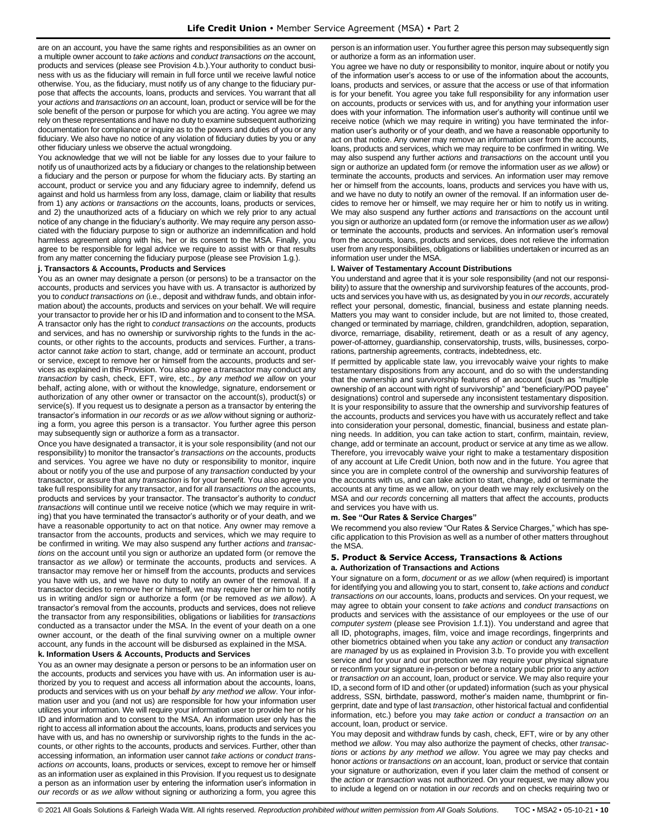are on an account, you have the same rights and responsibilities as an owner on a multiple owner account to *take actions* and *conduct transactions on* the account, products and services (please see Provision 4.b.).Your authority to conduct business with us as the fiduciary will remain in full force until we receive lawful notice otherwise. You, as the fiduciary, must notify us of any change to the fiduciary purpose that affects the accounts, loans, products and services. You warrant that all your *actions* and *transactions on* an account, loan, product or service will be for the sole benefit of the person or purpose for which you are acting. You agree we may rely on these representations and have no duty to examine subsequent authorizing documentation for compliance or inquire as to the powers and duties of you or any fiduciary. We also have no notice of any violation of fiduciary duties by you or any other fiduciary unless we observe the actual wrongdoing.

You acknowledge that we will not be liable for any losses due to your failure to notify us of unauthorized acts by a fiduciary or changes to the relationship between a fiduciary and the person or purpose for whom the fiduciary acts. By starting an account, product or service you and any fiduciary agree to indemnify, defend us against and hold us harmless from any loss, damage, claim or liability that results from 1) any *actions* or *transactions on* the accounts, loans, products or services, and 2) the unauthorized acts of a fiduciary on which we rely prior to any actual notice of any change in the fiduciary's authority. We may require any person associated with the fiduciary purpose to sign or authorize an indemnification and hold harmless agreement along with his, her or its consent to the MSA. Finally, you agree to be responsible for legal advice we require to assist with or that results from any matter concerning the fiduciary purpose (please see Provision 1.g.).

### **j. Transactors & Accounts, Products and Services**

You as an owner may designate a person (or persons) to be a transactor on the accounts, products and services you have with us. A transactor is authorized by you to *conduct transactions on* (i.e., deposit and withdraw funds, and obtain information about) the accounts, products and services on your behalf. We will require your transactor to provide her or his ID and information and to consent to the MSA. A transactor only has the right to *conduct transactions on* the accounts, products and services, and has no ownership or survivorship rights to the funds in the accounts, or other rights to the accounts, products and services. Further, a transactor cannot *take action* to start, change, add or terminate an account, product or service, except to remove her or himself from the accounts, products and services as explained in this Provision. You also agree a transactor may conduct any *transaction* by cash, check, EFT, wire, etc., *by any method we allow* on your behalf, acting alone, with or without the knowledge, signature, endorsement or authorization of any other owner or transactor on the account(s), product(s) or service(s). If you request us to designate a person as a transactor by entering the transactor's information in *our records* or *as we allow* without signing or authorizing a form, you agree this person is a transactor. You further agree this person may subsequently sign or authorize a form as a transactor.

Once you have designated a transactor, it is your sole responsibility (and not our responsibility) to monitor the transactor's *transactions on* the accounts, products and services. You agree we have no duty or responsibility to monitor, inquire about or notify you of the use and purpose of any *transaction* conducted by your transactor, or assure that any *transaction* is for your benefit. You also agree you take full responsibility for any transactor, and for all *transactions on* the accounts, products and services by your transactor. The transactor's authority to *conduct transactions* will continue until we receive notice (which we may require in writing) that you have terminated the transactor's authority or of your death, and we have a reasonable opportunity to act on that notice. Any owner may remove a transactor from the accounts, products and services, which we may require to be confirmed in writing. We may also suspend any further *actions* and *transactions* on the account until you sign or authorize an updated form (or remove the transactor *as we allow*) or terminate the accounts, products and services. A transactor may remove her or himself from the accounts, products and services you have with us, and we have no duty to notify an owner of the removal. If a transactor decides to remove her or himself, we may require her or him to notify us in writing and/or sign or authorize a form (or be removed *as we allow*). A transactor's removal from the accounts, products and services, does not relieve the transactor from any responsibilities, obligations or liabilities for *transactions* conducted as a transactor under the MSA. In the event of your death on a one owner account, or the death of the final surviving owner on a multiple owner account, any funds in the account will be disbursed as explained in the MSA.

#### **k. Information Users & Accounts, Products and Services**

You as an owner may designate a person or persons to be an information user on the accounts, products and services you have with us. An information user is authorized by you to request and access all information about the accounts, loans, products and services with us on your behalf *by any method we allow*. Your information user and you (and not us) are responsible for how your information user utilizes your information. We will require your information user to provide her or his ID and information and to consent to the MSA. An information user only has the right to access all information about the accounts, loans, products and services you have with us, and has no ownership or survivorship rights to the funds in the accounts, or other rights to the accounts, products and services. Further, other than accessing information, an information user cannot *take actions* or *conduct transactions on* accounts, loans, products or services, except to remove her or himself as an information user as explained in this Provision. If you request us to designate a person as an information user by entering the information user's information in *our records* or *as we allow* without signing or authorizing a form, you agree this

person is an information user. You further agree this person may subsequently sign or authorize a form as an information user.

You agree we have no duty or responsibility to monitor, inquire about or notify you of the information user's access to or use of the information about the accounts, loans, products and services, or assure that the access or use of that information is for your benefit. You agree you take full responsibility for any information user on accounts, products or services with us, and for anything your information user does with your information. The information user's authority will continue until we receive notice (which we may require in writing) you have terminated the information user's authority or of your death, and we have a reasonable opportunity to act on that notice. Any owner may remove an information user from the accounts, loans, products and services, which we may require to be confirmed in writing. We may also suspend any further *actions* and *transactions* on the account until you sign or authorize an updated form (or remove the information user *as we allow*) or terminate the accounts, products and services. An information user may remove her or himself from the accounts, loans, products and services you have with us, and we have no duty to notify an owner of the removal. If an information user decides to remove her or himself, we may require her or him to notify us in writing. We may also suspend any further *actions* and *transactions* on the account until you sign or authorize an updated form (or remove the information user *as we allow*) or terminate the accounts, products and services. An information user's removal from the accounts, loans, products and services, does not relieve the information user from any responsibilities, obligations or liabilities undertaken or incurred as an information user under the MSA.

#### **l. Waiver of Testamentary Account Distributions**

You understand and agree that it is your sole responsibility (and not our responsibility) to assure that the ownership and survivorship features of the accounts, products and services you have with us, as designated by you in *our records*, accurately reflect your personal, domestic, financial, business and estate planning needs. Matters you may want to consider include, but are not limited to, those created, changed or terminated by marriage, children, grandchildren, adoption, separation, divorce, remarriage, disability, retirement, death or as a result of any agency, power-of-attorney, guardianship, conservatorship, trusts, wills, businesses, corporations, partnership agreements, contracts, indebtedness, etc.

If permitted by applicable state law, you irrevocably waive your rights to make testamentary dispositions from any account, and do so with the understanding that the ownership and survivorship features of an account (such as "multiple ownership of an account with right of survivorship" and "beneficiary/POD payee" designations) control and supersede any inconsistent testamentary disposition. It is your responsibility to assure that the ownership and survivorship features of the accounts, products and services you have with us accurately reflect and take into consideration your personal, domestic, financial, business and estate planning needs. In addition, you can take action to start, confirm, maintain, review, change, add or terminate an account, product or service at any time as we allow. Therefore, you irrevocably waive your right to make a testamentary disposition of any account at Life Credit Union, both now and in the future. You agree that since you are in complete control of the ownership and survivorship features of the accounts with us, and can take action to start, change, add or terminate the accounts at any time as we allow, on your death we may rely exclusively on the MSA and *our records* concerning all matters that affect the accounts, products and services you have with us.

#### **m. See "Our Rates & Service Charges"**

We recommend you also review "Our Rates & Service Charges," which has specific application to this Provision as well as a number of other matters throughout the MSA.

#### <span id="page-9-0"></span>**5. Product & Service Access, Transactions & Actions a. Authorization of Transactions and Actions**

Your signature on a form, *document* or *as we allow* (when required) is important for identifying you and allowing you to start, consent to, *take actions* and *conduct transactions on* our accounts, loans, products and services. On your request, we may agree to obtain your consent to *take actions* and *conduct transactions* on products and services with the assistance of our employees or the use of our *computer system* (please see Provision 1.f.1)). You understand and agree that all ID, photographs, images, film, voice and image recordings, fingerprints and other biometrics obtained when you take any *action* or conduct any *transaction* are *managed* by us as explained in Provision 3.b. To provide you with excellent service and for your and our protection we may require your physical signature or reconfirm your signature in-person or before a notary public prior to any *action* or *transaction on* an account, loan, product or service. We may also require your ID, a second form of ID and other (or updated) information (such as your physical address, SSN, birthdate, password, mother's maiden name, thumbprint or fingerprint, date and type of last *transaction*, other historical factual and confidential information, etc.) before you may *take action* or *conduct a transaction on* an account, loan, product or service.

You may deposit and withdraw funds by cash, check, EFT, wire or by any other method *we allow*. You may also authorize the payment of checks, other *transactions* or *actions by any method we allow*. You agree we may pay checks and honor *actions* or *transactions on* an account, loan, product or service that contain your signature or authorization, even if you later claim the method of consent or the *action* or *transaction* was not authorized. On your request, we may allow you to include a legend on or notation in *our records* and on checks requiring two or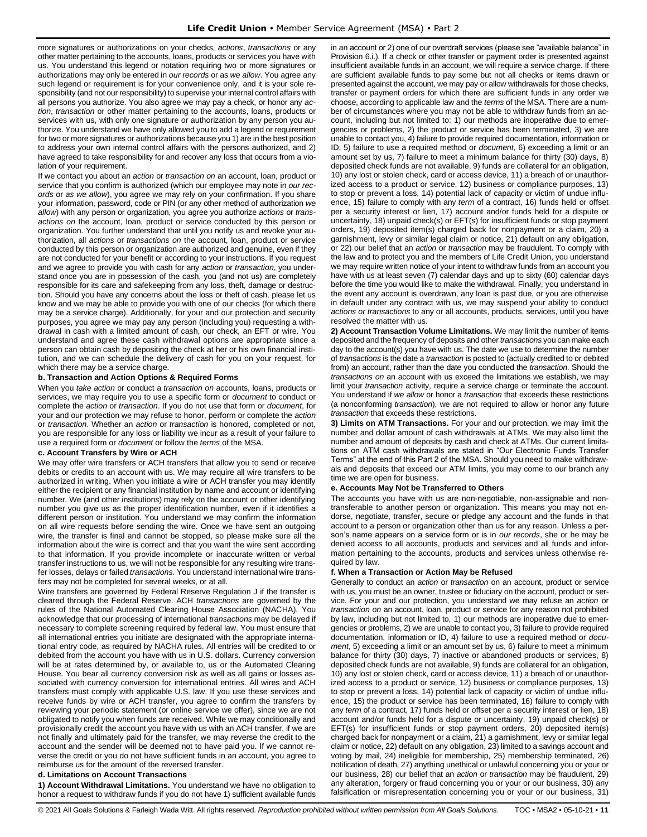more signatures or authorizations on your checks, *actions*, *transactions* or any other matter pertaining to the accounts, loans, products or services you have with us. You understand this legend or notation requiring two or more signatures or authorizations may only be entered in *our records* or as *we allow*. You agree any such legend or requirement is for your convenience only, and it is your sole responsibility (and not our responsibility) to supervise your internal control affairs with all persons you authorize. You also agree we may pay a check, or honor any *action*, *transaction* or other matter pertaining to the accounts, loans, products or services with us, with only one signature or authorization by any person you authorize. You understand we have only allowed you to add a legend or requirement for two or more signatures or authorizations because you 1) are in the best position to address your own internal control affairs with the persons authorized, and 2) have agreed to take responsibility for and recover any loss that occurs from a violation of your requirement.

If we contact you about an *action* or *transaction on* an account, loan, product or service that you confirm is authorized (which our employee may note in *our records* or *as we allow*), you agree we may rely on your confirmation. If you share your information, password, code or PIN (or any other method of authorization *we allow*) with any person or organization, you agree you authorize *actions* or *transactions on* the account, loan, product or service conducted by this person or organization. You further understand that until you notify us and revoke your authorization, all *actions* or *transactions on* the account, loan, product or service conducted by this person or organization are authorized and genuine, even if they are not conducted for your benefit or according to your instructions. If you request and we agree to provide you with cash for any *action* or *transaction*, you understand once you are in possession of the cash, you (and not us) are completely responsible for its care and safekeeping from any loss, theft, damage or destruction. Should you have any concerns about the loss or theft of cash, please let us know and we may be able to provide you with one of our checks (for which there may be a service charge). Additionally, for your and our protection and security purposes, you agree we may pay any person (including you) requesting a withdrawal in cash with a limited amount of cash, our check, an EFT or wire. You understand and agree these cash withdrawal options are appropriate since a person can obtain cash by depositing the check at her or his own financial institution, and we can schedule the delivery of cash for you on your request, for which there may be a service charge.

### **b. Transaction and Action Options & Required Forms**

When you *take action* or conduct a *transaction on* accounts, loans, products or services, we may require you to use a specific form or *document* to conduct or complete the *action* or *transaction*. If you do not use that form or *document*, for your and our protection we may refuse to honor, perform or complete the *action*  or *transaction*. Whether an *action* or *transaction* is honored, completed or not, you are responsible for any loss or liability we incur as a result of your failure to use a required form or *document* or follow the *terms* of the MSA.

### **c. Account Transfers by Wire or ACH**

We may offer wire transfers or ACH transfers that allow you to send or receive debits or credits to an account with us. We may require all wire transfers to be authorized in writing. When you initiate a wire or ACH transfer you may identify either the recipient or any financial institution by name and account or identifying number. We (and other institutions) may rely on the account or other identifying number you give us as the proper identification number, even if it identifies a different person or institution. You understand we may confirm the information on all wire requests before sending the wire. Once we have sent an outgoing wire, the transfer is final and cannot be stopped, so please make sure all the information about the wire is correct and that you want the wire sent according to that information. If you provide incomplete or inaccurate written or verbal transfer instructions to us, we will not be responsible for any resulting wire transfer losses, delays or failed *transactions*. You understand international wire transfers may not be completed for several weeks, or at all.

Wire transfers are governed by Federal Reserve Regulation J if the transfer is cleared through the Federal Reserve. ACH *transactions* are governed by the rules of the National Automated Clearing House Association (NACHA). You acknowledge that our processing of international *transactions* may be delayed if necessary to complete screening required by federal law. You must ensure that all international entries you initiate are designated with the appropriate international entry code, as required by NACHA rules. All entries will be credited to or debited from the account you have with us in U.S. dollars. Currency conversion will be at rates determined by, or available to, us or the Automated Clearing House. You bear all currency conversion risk as well as all gains or losses associated with currency conversion for international entries. All wires and ACH transfers must comply with applicable U.S. law. If you use these services and receive funds by wire or ACH transfer, you agree to confirm the transfers by reviewing your periodic statement (or online service we offer), since we are not obligated to notify you when funds are received. While we may conditionally and provisionally credit the account you have with us with an ACH transfer, if we are not finally and ultimately paid for the transfer, we may reverse the credit to the account and the sender will be deemed not to have paid you. If we cannot reverse the credit or you do not have sufficient funds in an account, you agree to reimburse us for the amount of the reversed transfer.

#### **d. Limitations on Account Transactions**

**1) Account Withdrawal Limitations.** You understand we have no obligation to honor a request to withdraw funds if you do not have 1) sufficient available funds in an account or 2) one of our overdraft services (please see "available balance" in Provision 6.i.). If a check or other transfer or payment order is presented against insufficient available funds in an account, we will require a service charge. If there are sufficient available funds to pay some but not all checks or items drawn or presented against the account, we may pay or allow withdrawals for those checks, transfer or payment orders for which there are sufficient funds in any order we choose, according to applicable law and the *terms* of the MSA. There are a number of circumstances where you may not be able to withdraw funds from an account, including but not limited to: 1) our methods are inoperative due to emergencies or problems, 2) the product or service has been terminated, 3) we are unable to contact you, 4) failure to provide required documentation, information or ID, 5) failure to use a required method or *document*, 6) exceeding a limit or an amount set by us, 7) failure to meet a minimum balance for thirty (30) days, 8) deposited check funds are not available, 9) funds are collateral for an obligation, 10) any lost or stolen check, card or access device, 11) a breach of or unauthorized access to a product or service, 12) business or compliance purposes, 13) to stop or prevent a loss, 14) potential lack of capacity or victim of undue influence, 15) failure to comply with any *term* of a contract, 16) funds held or offset per a security interest or lien, 17) account and/or funds held for a dispute or uncertainty, 18) unpaid check(s) or EFT(s) for insufficient funds or stop payment orders, 19) deposited item(s) charged back for nonpayment or a claim, 20) a garnishment, levy or similar legal claim or notice, 21) default on any obligation, or 22) our belief that an *action* or *transaction* may be fraudulent. To comply with the law and to protect you and the members of Life Credit Union, you understand we may require written notice of your intent to withdraw funds from an account you have with us at least seven (7) calendar days and up to sixty (60) calendar days before the time you would like to make the withdrawal. Finally, you understand in the event any account is overdrawn, any loan is past due, or you are otherwise in default under any contract with us, we may suspend your ability to conduct *actions or transactions* to any or all accounts, products, services, until you have resolved the matter with us.

**2) Account Transaction Volume Limitations.** We may limit the number of items deposited and the frequency of deposits and other *transactions* you can make each day to the account(s) you have with us. The date we use to determine the number of *transactions* is the date a *transaction* is posted to (actually credited to or debited from) an account, rather than the date you conducted the *transaction*. Should the *transactions on* an account with us exceed the limitations we establish, we may limit your *transaction* activity, require a service charge or terminate the account. You understand if *we allow* or honor a *transaction* that exceeds these restrictions (a nonconforming *transaction*), we are not required to allow or honor any future *transaction* that exceeds these restrictions.

**3) Limits on ATM Transactions.** For your and our protection, we may limit the number and dollar amount of cash withdrawals at ATMs. We may also limit the number and amount of deposits by cash and check at ATMs. Our current limitations on ATM cash withdrawals are stated in "Our Electronic Funds Transfer Terms" at the end of this Part 2 of the MSA. Should you need to make withdrawals and deposits that exceed our ATM limits, you may come to our branch any time we are open for business.

### **e. Accounts May Not be Transferred to Others**

The accounts you have with us are non-negotiable, non-assignable and nontransferable to another person or organization. This means you may not endorse, negotiate, transfer, secure or pledge any account and the funds in that account to a person or organization other than us for any reason. Unless a person's name appears on a service form or is in *our records*, she or he may be denied access to all accounts, products and services and all funds and information pertaining to the accounts, products and services unless otherwise required by law.

#### **f. When a Transaction or Action May be Refused**

Generally to conduct an *action* or *transaction* on an account, product or service with us, you must be an owner, trustee or fiduciary on the account, product or service. For your and our protection, you understand we may refuse an *action* or *transaction on* an account, loan, product or service for any reason not prohibited by law, including but not limited to, 1) our methods are inoperative due to emergencies or problems, 2) we are unable to contact you, 3) failure to provide required documentation, information or ID, 4) failure to use a required method or *document*, 5) exceeding a limit or an amount set by us, 6) failure to meet a minimum balance for thirty (30) days, 7) inactive or abandoned products or services, 8) deposited check funds are not available, 9) funds are collateral for an obligation, 10) any lost or stolen check, card or access device, 11) a breach of or unauthorized access to a product or service, 12) business or compliance purposes, 13) to stop or prevent a loss, 14) potential lack of capacity or victim of undue influence, 15) the product or service has been terminated, 16) failure to comply with any *term* of a contract, 17) funds held or offset per a security interest or lien, 18) account and/or funds held for a dispute or uncertainty, 19) unpaid check(s) or EFT(s) for insufficient funds or stop payment orders, 20) deposited item(s) charged back for nonpayment or a claim, 21) a garnishment, levy or similar legal claim or notice, 22) default on any obligation, 23) limited to a savings account and voting by mail, 24) ineligible for membership, 25) membership terminated, 26) notification of death, 27) anything unethical or unlawful concerning you or your or our business, 28) our belief that an *action* or *transaction* may be fraudulent, 29) any alteration, forgery or fraud concerning you or your or our business, 30) any falsification or misrepresentation concerning you or your or our business, 31)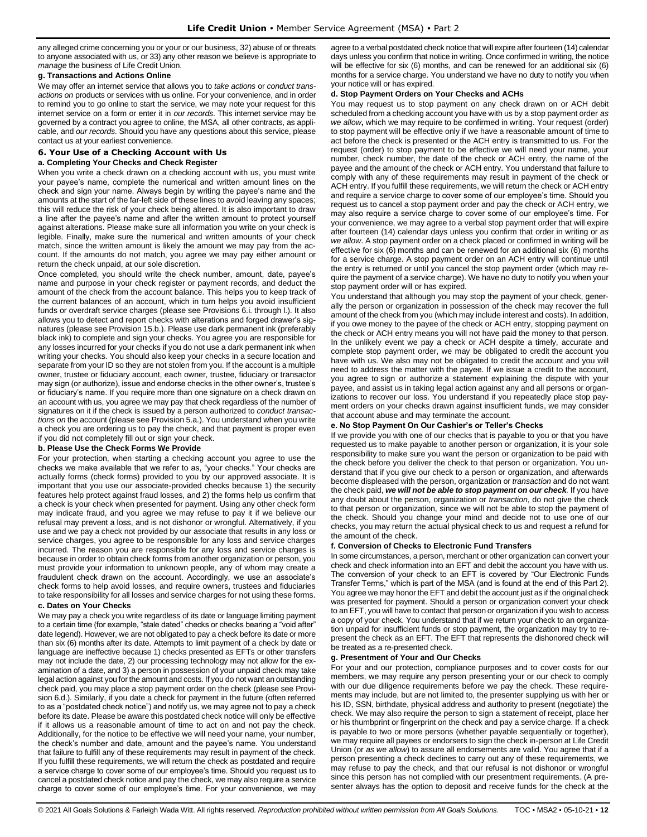any alleged crime concerning you or your or our business, 32) abuse of or threats to anyone associated with us, or 33) any other reason we believe is appropriate to *manage* the business of Life Credit Union.

### **g. Transactions and Actions Online**

We may offer an internet service that allows you to *take actions* or *conduct transactions on* products or services with us online. For your convenience, and in order to remind you to go online to start the service, we may note your request for this internet service on a form or enter it in *our records*. This internet service may be governed by a contract you agree to online, the MSA, all other contracts, as applicable, and *our records*. Should you have any questions about this service, please contact us at your earliest convenience.

### <span id="page-11-0"></span>**6. Your Use of a Checking Account with Us**

#### **a. Completing Your Checks and Check Register**

When you write a check drawn on a checking account with us, you must write your payee's name, complete the numerical and written amount lines on the check and sign your name. Always begin by writing the payee's name and the amounts at the start of the far-left side of these lines to avoid leaving any spaces; this will reduce the risk of your check being altered. It is also important to draw a line after the payee's name and after the written amount to protect yourself against alterations. Please make sure all information you write on your check is legible. Finally, make sure the numerical and written amounts of your check match, since the written amount is likely the amount we may pay from the account. If the amounts do not match, you agree we may pay either amount or return the check unpaid, at our sole discretion.

Once completed, you should write the check number, amount, date, payee's name and purpose in your check register or payment records, and deduct the amount of the check from the account balance. This helps you to keep track of the current balances of an account, which in turn helps you avoid insufficient funds or overdraft service charges (please see Provisions 6.i. through l.). It also allows you to detect and report checks with alterations and forged drawer's signatures (please see Provision 15.b.). Please use dark permanent ink (preferably black ink) to complete and sign your checks. You agree you are responsible for any losses incurred for your checks if you do not use a dark permanent ink when writing your checks. You should also keep your checks in a secure location and separate from your ID so they are not stolen from you. If the account is a multiple owner, trustee or fiduciary account, each owner, trustee, fiduciary or transactor may sign (or authorize), issue and endorse checks in the other owner's, trustee's or fiduciary's name. If you require more than one signature on a check drawn on an account with us, you agree we may pay that check regardless of the number of signatures on it if the check is issued by a person authorized to *conduct transactions on* the account (please see Provision 5.a.). You understand when you write a check you are ordering us to pay the check, and that payment is proper even if you did not completely fill out or sign your check.

### **b. Please Use the Check Forms We Provide**

For your protection, when starting a checking account you agree to use the checks we make available that we refer to as, "your checks." Your checks are actually forms (check forms) provided to you by our approved associate. It is important that you use our associate-provided checks because 1) the security features help protect against fraud losses, and 2) the forms help us confirm that a check is your check when presented for payment. Using any other check form may indicate fraud, and you agree we may refuse to pay it if we believe our refusal may prevent a loss, and is not dishonor or wrongful. Alternatively, if you use and we pay a check not provided by our associate that results in any loss or service charges, you agree to be responsible for any loss and service charges incurred. The reason you are responsible for any loss and service charges is because in order to obtain check forms from another organization or person, you must provide your information to unknown people, any of whom may create a fraudulent check drawn on the account. Accordingly, we use an associate's check forms to help avoid losses, and require owners, trustees and fiduciaries to take responsibility for all losses and service charges for not using these forms.

### **c. Dates on Your Checks**

We may pay a check you write regardless of its date or language limiting payment to a certain time (for example, "stale dated" checks or checks bearing a "void after" date legend). However, we are not obligated to pay a check before its date or more than six (6) months after its date. Attempts to limit payment of a check by date or language are ineffective because 1) checks presented as EFTs or other transfers may not include the date, 2) our processing technology may not allow for the examination of a date, and 3) a person in possession of your unpaid check may take legal action against you for the amount and costs. If you do not want an outstanding check paid, you may place a stop payment order on the check (please see Provision 6.d.). Similarly, if you date a check for payment in the future (often referred to as a "postdated check notice") and notify us, we may agree not to pay a check before its date. Please be aware this postdated check notice will only be effective if it allows us a reasonable amount of time to act on and not pay the check. Additionally, for the notice to be effective we will need your name, your number, the check's number and date, amount and the payee's name. You understand that failure to fulfill any of these requirements may result in payment of the check. If you fulfill these requirements, we will return the check as postdated and require a service charge to cover some of our employee's time. Should you request us to cancel a postdated check notice and pay the check, we may also require a service charge to cover some of our employee's time. For your convenience, we may agree to a verbal postdated check notice that will expire after fourteen (14) calendar days unless you confirm that notice in writing. Once confirmed in writing, the notice will be effective for six (6) months, and can be renewed for an additional six (6) months for a service charge. You understand we have no duty to notify you when your notice will or has expired.

### **d. Stop Payment Orders on Your Checks and ACHs**

You may request us to stop payment on any check drawn on or ACH debit scheduled from a checking account you have with us by a stop payment order *as we allow***,** which we may require to be confirmed in writing. Your request (order) to stop payment will be effective only if we have a reasonable amount of time to act before the check is presented or the ACH entry is transmitted to us. For the request (order) to stop payment to be effective we will need your name, your number, check number, the date of the check or ACH entry, the name of the payee and the amount of the check or ACH entry. You understand that failure to comply with any of these requirements may result in payment of the check or ACH entry. If you fulfill these requirements, we will return the check or ACH entry and require a service charge to cover some of our employee's time. Should you request us to cancel a stop payment order and pay the check or ACH entry, we may also require a service charge to cover some of our employee's time. For your convenience, we may agree to a verbal stop payment order that will expire after fourteen (14) calendar days unless you confirm that order in writing or *as we allow*. A stop payment order on a check placed or confirmed in writing will be effective for six (6) months and can be renewed for an additional six (6) months for a service charge. A stop payment order on an ACH entry will continue until the entry is returned or until you cancel the stop payment order (which may require the payment of a service charge). We have no duty to notify you when your stop payment order will or has expired.

You understand that although you may stop the payment of your check, generally the person or organization in possession of the check may recover the full amount of the check from you (which may include interest and costs). In addition, if you owe money to the payee of the check or ACH entry, stopping payment on the check or ACH entry means you will not have paid the money to that person. In the unlikely event we pay a check or ACH despite a timely, accurate and complete stop payment order, we may be obligated to credit the account you have with us. We also may not be obligated to credit the account and you will need to address the matter with the payee. If we issue a credit to the account, you agree to sign or authorize a statement explaining the dispute with your payee, and assist us in taking legal action against any and all persons or organizations to recover our loss. You understand if you repeatedly place stop payment orders on your checks drawn against insufficient funds, we may consider that account abuse and may terminate the account.

#### **e. No Stop Payment On Our Cashier's or Teller's Checks**

If we provide you with one of our checks that is payable to you or that you have requested us to make payable to another person or organization, it is your sole responsibility to make sure you want the person or organization to be paid with the check before you deliver the check to that person or organization. You understand that if you give our check to a person or organization, and afterwards become displeased with the person, organization or *transaction* and do not want the check paid, *we will not be able to stop payment on our check.* If you have any doubt about the person, organization or *transaction*, do not give the check to that person or organization, since we will not be able to stop the payment of the check. Should you change your mind and decide not to use one of our checks, you may return the actual physical check to us and request a refund for the amount of the check.

#### **f. Conversion of Checks to Electronic Fund Transfers**

In some circumstances, a person, merchant or other organization can convert your check and check information into an EFT and debit the account you have with us. The conversion of your check to an EFT is covered by "Our Electronic Funds Transfer Terms," which is part of the MSA (and is found at the end of this Part 2). You agree we may honor the EFT and debit the account just as if the original check was presented for payment. Should a person or organization convert your check to an EFT, you will have to contact that person or organization if you wish to access a copy of your check. You understand that if we return your check to an organization unpaid for insufficient funds or stop payment, the organization may try to represent the check as an EFT. The EFT that represents the dishonored check will be treated as a re-presented check.

### **g. Presentment of Your and Our Checks**

For your and our protection, compliance purposes and to cover costs for our members, we may require any person presenting your or our check to comply with our due diligence requirements before we pay the check. These requirements may include, but are not limited to, the presenter supplying us with her or his ID, SSN, birthdate, physical address and authority to present (negotiate) the check. We may also require the person to sign a statement of receipt, place her or his thumbprint or fingerprint on the check and pay a service charge. If a check is payable to two or more persons (whether payable sequentially or together), we may require all payees or endorsers to sign the check in-person at Life Credit Union (or *as we allow*) to assure all endorsements are valid. You agree that if a person presenting a check declines to carry out any of these requirements, we may refuse to pay the check, and that our refusal is not dishonor or wrongful since this person has not complied with our presentment requirements. (A presenter always has the option to deposit and receive funds for the check at the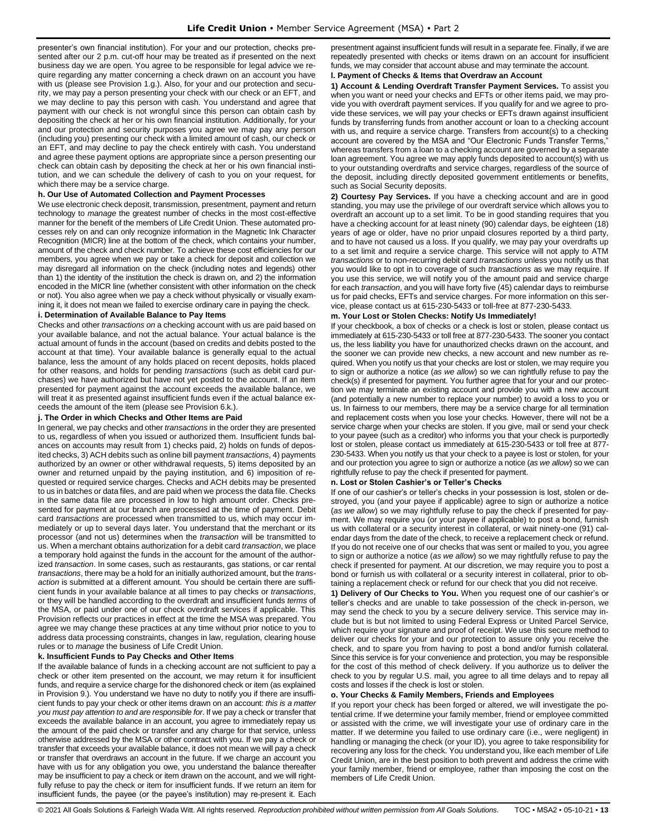presenter's own financial institution). For your and our protection, checks presented after our 2 p.m. cut-off hour may be treated as if presented on the next business day we are open. You agree to be responsible for legal advice we require regarding any matter concerning a check drawn on an account you have with us (please see Provision 1.g.). Also, for your and our protection and security, we may pay a person presenting your check with our check or an EFT, and we may decline to pay this person with cash. You understand and agree that payment with our check is not wrongful since this person can obtain cash by depositing the check at her or his own financial institution. Additionally, for your and our protection and security purposes you agree we may pay any person (including you) presenting our check with a limited amount of cash, our check or an EFT, and may decline to pay the check entirely with cash. You understand and agree these payment options are appropriate since a person presenting our check can obtain cash by depositing the check at her or his own financial institution, and we can schedule the delivery of cash to you on your request, for which there may be a service charge.

#### **h. Our Use of Automated Collection and Payment Processes**

We use electronic check deposit, transmission, presentment, payment and return technology to *manage* the greatest number of checks in the most cost-effective manner for the benefit of the members of Life Credit Union. These automated processes rely on and can only recognize information in the Magnetic Ink Character Recognition (MICR) line at the bottom of the check, which contains your number, amount of the check and check number. To achieve these cost efficiencies for our members, you agree when we pay or take a check for deposit and collection we may disregard all information on the check (including notes and legends) other than 1) the identity of the institution the check is drawn on, and 2) the information encoded in the MICR line (whether consistent with other information on the check or not). You also agree when we pay a check without physically or visually examining it, it does not mean we failed to exercise ordinary care in paying the check.

#### **i. Determination of Available Balance to Pay Items**

Checks and other *transactions on* a checking account with us are paid based on your available balance, and not the actual balance. Your actual balance is the actual amount of funds in the account (based on credits and debits posted to the account at that time). Your available balance is generally equal to the actual balance, less the amount of any holds placed on recent deposits, holds placed for other reasons, and holds for pending *transactions* (such as debit card purchases) we have authorized but have not yet posted to the account. If an item presented for payment against the account exceeds the available balance, we will treat it as presented against insufficient funds even if the actual balance exceeds the amount of the item (please see Provision 6.k.).

#### **j. The Order in which Checks and Other Items are Paid**

In general, we pay checks and other *transactions* in the order they are presented to us, regardless of when you issued or authorized them. Insufficient funds balances on accounts may result from 1) checks paid, 2) holds on funds of deposited checks, 3) ACH debits such as online bill payment *transactions*, 4) payments authorized by an owner or other withdrawal requests, 5) items deposited by an owner and returned unpaid by the paying institution, and 6) imposition of requested or required service charges. Checks and ACH debits may be presented to us in batches or data files, and are paid when we process the data file. Checks in the same data file are processed in low to high amount order. Checks presented for payment at our branch are processed at the time of payment. Debit card *transactions* are processed when transmitted to us, which may occur immediately or up to several days later. You understand that the merchant or its processor (and not us) determines when the *transaction* will be transmitted to us. When a merchant obtains authorization for a debit card *transaction*, we place a temporary hold against the funds in the account for the amount of the authorized *transaction*. In some cases, such as restaurants, gas stations, or car rental *transactions*, there may be a hold for an initially authorized amount, but the *transaction* is submitted at a different amount. You should be certain there are sufficient funds in your available balance at all times to pay checks or *transactions*, or they will be handled according to the overdraft and insufficient funds *terms* of the MSA, or paid under one of our check overdraft services if applicable. This Provision reflects our practices in effect at the time the MSA was prepared. You agree we may change these practices at any time without prior notice to you to address data processing constraints, changes in law, regulation, clearing house rules or to *manage* the business of Life Credit Union.

### **k. Insufficient Funds to Pay Checks and Other Items**

If the available balance of funds in a checking account are not sufficient to pay a check or other item presented on the account, we may return it for insufficient funds, and require a service charge for the dishonored check or item (as explained in Provision 9.). You understand we have no duty to notify you if there are insufficient funds to pay your check or other items drawn on an account: *this is a matter you must pay attention to and are responsible for*. If we pay a check or transfer that exceeds the available balance in an account, you agree to immediately repay us the amount of the paid check or transfer and any charge for that service, unless otherwise addressed by the MSA or other contract with you. If we pay a check or transfer that exceeds your available balance, it does not mean we will pay a check or transfer that overdraws an account in the future. If we charge an account you have with us for any obligation you owe, you understand the balance thereafter may be insufficient to pay a check or item drawn on the account, and we will rightfully refuse to pay the check or item for insufficient funds. If we return an item for insufficient funds, the payee (or the payee's institution) may re-present it. Each

presentment against insufficient funds will result in a separate fee. Finally, if we are repeatedly presented with checks or items drawn on an account for insufficient funds, we may consider that account abuse and may terminate the account.

### **l. Payment of Checks & Items that Overdraw an Account**

**1) Account & Lending Overdraft Transfer Payment Services.** To assist you when you want or need your checks and EFTs or other items paid, we may provide you with overdraft payment services. If you qualify for and we agree to provide these services, we will pay your checks or EFTs drawn against insufficient funds by transferring funds from another account or loan to a checking account with us, and require a service charge. Transfers from account(s) to a checking account are covered by the MSA and "Our Electronic Funds Transfer Terms," whereas transfers from a loan to a checking account are governed by a separate loan agreement. You agree we may apply funds deposited to account(s) with us to your outstanding overdrafts and service charges, regardless of the source of the deposit, including directly deposited government entitlements or benefits, such as Social Security deposits.

**2) Courtesy Pay Services.** If you have a checking account and are in good standing, you may use the privilege of our overdraft service which allows you to overdraft an account up to a set limit. To be in good standing requires that you have a checking account for at least ninety (90) calendar days, be eighteen (18) years of age or older, have no prior unpaid closures reported by a third party, and to have not caused us a loss. If you qualify, we may pay your overdrafts up to a set limit and require a service charge. This service will not apply to ATM *transactions* or to non-recurring debit card *transactions* unless you notify us that you would like to opt in to coverage of such *transactions* as we may require. If you use this service, we will notify you of the amount paid and service charge for each *transaction*, and you will have forty five (45) calendar days to reimburse us for paid checks, EFTs and service charges. For more information on this service, please contact us at 615-230-5433 or toll-free at 877-230-5433.

### **m. Your Lost or Stolen Checks: Notify Us Immediately!**

If your checkbook, a box of checks or a check is lost or stolen, please contact us immediately at 615-230-5433 or toll free at 877-230-5433. The sooner you contact us, the less liability you have for unauthorized checks drawn on the account, and the sooner we can provide new checks, a new account and new number as required. When you notify us that your checks are lost or stolen, we may require you to sign or authorize a notice (*as we allow*) so we can rightfully refuse to pay the check(s) if presented for payment. You further agree that for your and our protection we may terminate an existing account and provide you with a new account (and potentially a new number to replace your number) to avoid a loss to you or us. In fairness to our members, there may be a service charge for all termination and replacement costs when you lose your checks. However, there will not be a service charge when your checks are stolen. If you give, mail or send your check to your payee (such as a creditor) who informs you that your check is purportedly lost or stolen, please contact us immediately at 615-230-5433 or toll free at 877- 230-5433. When you notify us that your check to a payee is lost or stolen, for your and our protection you agree to sign or authorize a notice (*as we allow*) so we can rightfully refuse to pay the check if presented for payment.

### **n. Lost or Stolen Cashier's or Teller's Checks**

If one of our cashier's or teller's checks in your possession is lost, stolen or destroyed, you (and your payee if applicable) agree to sign or authorize a notice (*as we allow*) so we may rightfully refuse to pay the check if presented for payment. We may require you (or your payee if applicable) to post a bond, furnish us with collateral or a security interest in collateral, or wait ninety-one (91) calendar days from the date of the check, to receive a replacement check or refund. If you do not receive one of our checks that was sent or mailed to you, you agree to sign or authorize a notice (*as we allow*) so we may rightfully refuse to pay the check if presented for payment. At our discretion, we may require you to post a bond or furnish us with collateral or a security interest in collateral, prior to obtaining a replacement check or refund for our check that you did not receive.

**1) Delivery of Our Checks to You.** When you request one of our cashier's or teller's checks and are unable to take possession of the check in-person, we may send the check to you by a secure delivery service. This service may include but is but not limited to using Federal Express or United Parcel Service, which require your signature and proof of receipt. We use this secure method to deliver our checks for your and our protection to assure only you receive the check, and to spare you from having to post a bond and/or furnish collateral. Since this service is for your convenience and protection, you may be responsible for the cost of this method of check delivery. If you authorize us to deliver the check to you by regular U.S. mail, you agree to all time delays and to repay all costs and losses if the check is lost or stolen.

### **o. Your Checks & Family Members, Friends and Employees**

If you report your check has been forged or altered, we will investigate the potential crime. If we determine your family member, friend or employee committed or assisted with the crime, we will investigate your use of ordinary care in the matter. If we determine you failed to use ordinary care (i.e., were negligent) in handling or managing the check (or your ID), you agree to take responsibility for recovering any loss for the check. You understand you, like each member of Life Credit Union, are in the best position to both prevent and address the crime with your family member, friend or employee, rather than imposing the cost on the members of Life Credit Union.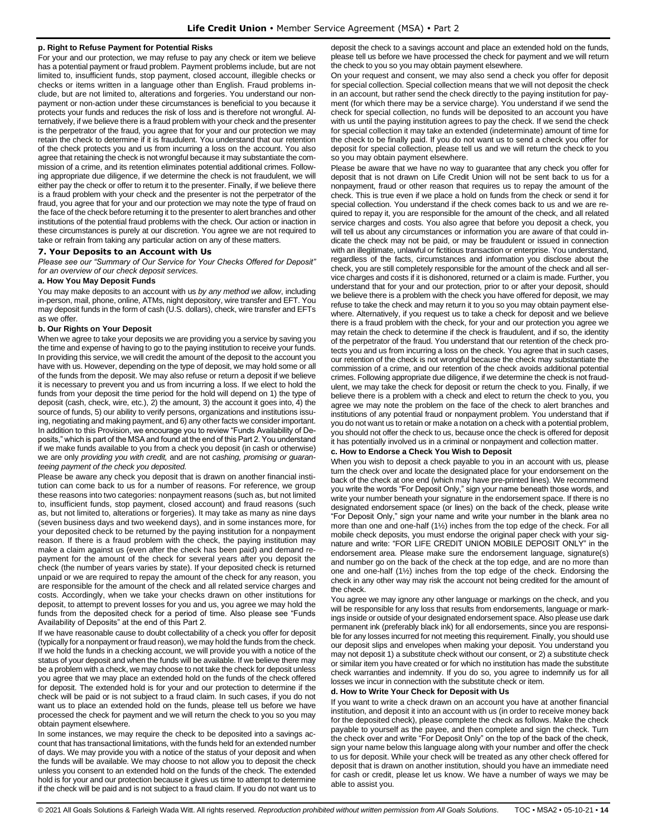### **p. Right to Refuse Payment for Potential Risks**

For your and our protection, we may refuse to pay any check or item we believe has a potential payment or fraud problem. Payment problems include, but are not limited to, insufficient funds, stop payment, closed account, illegible checks or checks or items written in a language other than English. Fraud problems include, but are not limited to, alterations and forgeries. You understand our nonpayment or non-action under these circumstances is beneficial to you because it protects your funds and reduces the risk of loss and is therefore not wrongful. Alternatively, if we believe there is a fraud problem with your check and the presenter is the perpetrator of the fraud, you agree that for your and our protection we may retain the check to determine if it is fraudulent. You understand that our retention of the check protects you and us from incurring a loss on the account. You also agree that retaining the check is not wrongful because it may substantiate the commission of a crime, and its retention eliminates potential additional crimes. Following appropriate due diligence, if we determine the check is not fraudulent, we will either pay the check or offer to return it to the presenter. Finally, if we believe there is a fraud problem with your check and the presenter is not the perpetrator of the fraud, you agree that for your and our protection we may note the type of fraud on the face of the check before returning it to the presenter to alert branches and other institutions of the potential fraud problems with the check. Our action or inaction in these circumstances is purely at our discretion. You agree we are not required to take or refrain from taking any particular action on any of these matters.

#### <span id="page-13-0"></span>**7. Your Deposits to an Account with Us**

*Please see our "Summary of Our Service for Your Checks Offered for Deposit" for an overview of our check deposit services.*

### **a. How You May Deposit Funds**

You may make deposits to an account with us *by any method we allow*, including in-person, mail, phone, online, ATMs, night depository, wire transfer and EFT. You may deposit funds in the form of cash (U.S. dollars), check, wire transfer and EFTs as we offer.

#### **b. Our Rights on Your Deposit**

When we agree to take your deposits we are providing you a service by saving you the time and expense of having to go to the paying institution to receive your funds. In providing this service, we will credit the amount of the deposit to the account you have with us. However, depending on the type of deposit, we may hold some or all of the funds from the deposit. We may also refuse or return a deposit if we believe it is necessary to prevent you and us from incurring a loss. If we elect to hold the funds from your deposit the time period for the hold will depend on 1) the type of deposit (cash, check, wire, etc.), 2) the amount, 3) the account it goes into, 4) the source of funds, 5) our ability to verify persons, organizations and institutions issuing, negotiating and making payment, and 6) any other facts we consider important. In addition to this Provision, we encourage you to review "Funds Availability of Deposits," which is part of the MSA and found at the end of this Part 2. You understand if we make funds available to you from a check you deposit (in cash or otherwise) we are only *providing you with credit,* and are not *cashing, promising or guaranteeing payment of the check you deposited*.

Please be aware any check you deposit that is drawn on another financial institution can come back to us for a number of reasons. For reference, we group these reasons into two categories: nonpayment reasons (such as, but not limited to, insufficient funds, stop payment, closed account) and fraud reasons (such as, but not limited to, alterations or forgeries). It may take as many as nine days (seven business days and two weekend days), and in some instances more, for your deposited check to be returned by the paying institution for a nonpayment reason. If there is a fraud problem with the check, the paying institution may make a claim against us (even after the check has been paid) and demand repayment for the amount of the check for several years after you deposit the check (the number of years varies by state). If your deposited check is returned unpaid or we are required to repay the amount of the check for any reason, you are responsible for the amount of the check and all related service charges and costs. Accordingly, when we take your checks drawn on other institutions for deposit, to attempt to prevent losses for you and us, you agree we may hold the funds from the deposited check for a period of time. Also please see "Funds Availability of Deposits" at the end of this Part 2.

If we have reasonable cause to doubt collectability of a check you offer for deposit (typically for a nonpayment or fraud reason), we may hold the funds from the check. If we hold the funds in a checking account, we will provide you with a notice of the status of your deposit and when the funds will be available. If we believe there may be a problem with a check, we may choose to not take the check for deposit unless you agree that we may place an extended hold on the funds of the check offered for deposit. The extended hold is for your and our protection to determine if the check will be paid or is not subject to a fraud claim. In such cases, if you do not want us to place an extended hold on the funds, please tell us before we have processed the check for payment and we will return the check to you so you may obtain payment elsewhere.

In some instances, we may require the check to be deposited into a savings account that has transactional limitations, with the funds held for an extended number of days. We may provide you with a notice of the status of your deposit and when the funds will be available. We may choose to not allow you to deposit the check unless you consent to an extended hold on the funds of the check. The extended hold is for your and our protection because it gives us time to attempt to determine if the check will be paid and is not subject to a fraud claim. If you do not want us to deposit the check to a savings account and place an extended hold on the funds, please tell us before we have processed the check for payment and we will return the check to you so you may obtain payment elsewhere.

On your request and consent, we may also send a check you offer for deposit for special collection. Special collection means that we will not deposit the check in an account, but rather send the check directly to the paying institution for payment (for which there may be a service charge). You understand if we send the check for special collection, no funds will be deposited to an account you have with us until the paying institution agrees to pay the check. If we send the check for special collection it may take an extended (indeterminate) amount of time for the check to be finally paid. If you do not want us to send a check you offer for deposit for special collection, please tell us and we will return the check to you so you may obtain payment elsewhere.

Please be aware that we have no way to guarantee that any check you offer for deposit that is not drawn on Life Credit Union will not be sent back to us for a nonpayment, fraud or other reason that requires us to repay the amount of the check. This is true even if we place a hold on funds from the check or send it for special collection. You understand if the check comes back to us and we are required to repay it, you are responsible for the amount of the check, and all related service charges and costs. You also agree that before you deposit a check, you will tell us about any circumstances or information you are aware of that could indicate the check may not be paid, or may be fraudulent or issued in connection with an illegitimate, unlawful or fictitious transaction or enterprise. You understand, regardless of the facts, circumstances and information you disclose about the check, you are still completely responsible for the amount of the check and all service charges and costs if it is dishonored, returned or a claim is made. Further, you understand that for your and our protection, prior to or after your deposit, should we believe there is a problem with the check you have offered for deposit, we may refuse to take the check and may return it to you so you may obtain payment elsewhere. Alternatively, if you request us to take a check for deposit and we believe there is a fraud problem with the check, for your and our protection you agree we may retain the check to determine if the check is fraudulent, and if so, the identity of the perpetrator of the fraud. You understand that our retention of the check protects you and us from incurring a loss on the check. You agree that in such cases, our retention of the check is not wrongful because the check may substantiate the commission of a crime, and our retention of the check avoids additional potential crimes. Following appropriate due diligence, if we determine the check is not fraudulent, we may take the check for deposit or return the check to you. Finally, if we believe there is a problem with a check and elect to return the check to you, you agree we may note the problem on the face of the check to alert branches and institutions of any potential fraud or nonpayment problem. You understand that if you do not want us to retain or make a notation on a check with a potential problem, you should not offer the check to us, because once the check is offered for deposit it has potentially involved us in a criminal or nonpayment and collection matter.

### **c. How to Endorse a Check You Wish to Deposit**

When you wish to deposit a check payable to you in an account with us, please turn the check over and locate the designated place for your endorsement on the back of the check at one end (which may have pre-printed lines). We recommend you write the words "For Deposit Only," sign your name beneath those words, and write your number beneath your signature in the endorsement space. If there is no designated endorsement space (or lines) on the back of the check, please write "For Deposit Only," sign your name and write your number in the blank area no more than one and one-half (1½) inches from the top edge of the check. For all mobile check deposits, you must endorse the original paper check with your signature and write: "FOR LIFE CREDIT UNION MOBILE DEPOSIT ONLY" in the endorsement area. Please make sure the endorsement language, signature(s) and number go on the back of the check at the top edge, and are no more than one and one-half (1½) inches from the top edge of the check. Endorsing the check in any other way may risk the account not being credited for the amount of the check.

You agree we may ignore any other language or markings on the check, and you will be responsible for any loss that results from endorsements, language or markings inside or outside of your designated endorsement space. Also please use dark permanent ink (preferably black ink) for all endorsements, since you are responsible for any losses incurred for not meeting this requirement. Finally, you should use our deposit slips and envelopes when making your deposit. You understand you may not deposit 1) a substitute check without our consent, or 2) a substitute check or similar item you have created or for which no institution has made the substitute check warranties and indemnity. If you do so, you agree to indemnify us for all losses we incur in connection with the substitute check or item.

#### **d. How to Write Your Check for Deposit with Us**

If you want to write a check drawn on an account you have at another financial institution, and deposit it into an account with us (in order to receive money back for the deposited check), please complete the check as follows. Make the check payable to yourself as the payee, and then complete and sign the check. Turn the check over and write "For Deposit Only" on the top of the back of the check, sign your name below this language along with your number and offer the check to us for deposit. While your check will be treated as any other check offered for deposit that is drawn on another institution, should you have an immediate need for cash or credit, please let us know. We have a number of ways we may be able to assist you.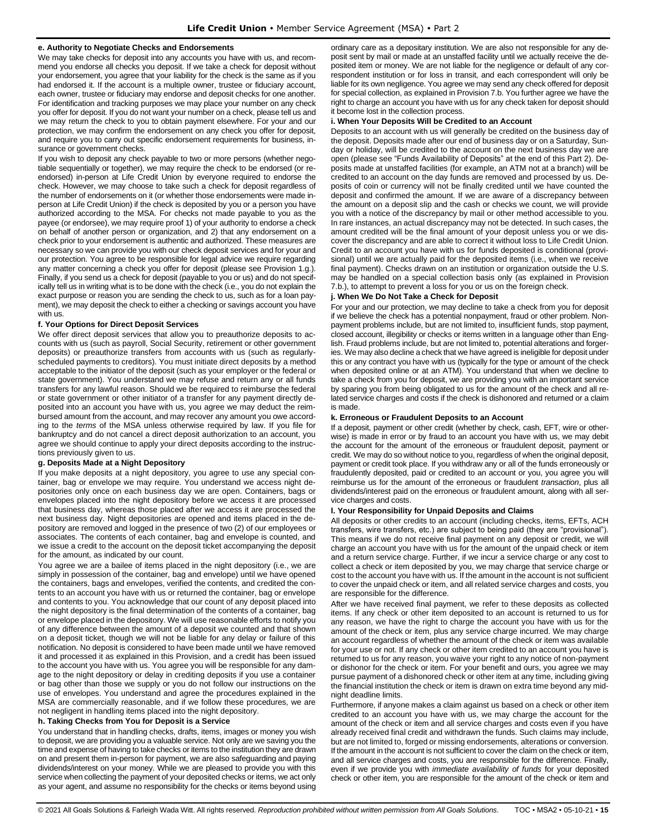### **e. Authority to Negotiate Checks and Endorsements**

We may take checks for deposit into any accounts you have with us, and recommend you endorse all checks you deposit. If we take a check for deposit without your endorsement, you agree that your liability for the check is the same as if you had endorsed it. If the account is a multiple owner, trustee or fiduciary account, each owner, trustee or fiduciary may endorse and deposit checks for one another. For identification and tracking purposes we may place your number on any check you offer for deposit. If you do not want your number on a check, please tell us and we may return the check to you to obtain payment elsewhere. For your and our protection, we may confirm the endorsement on any check you offer for deposit, and require you to carry out specific endorsement requirements for business, insurance or government checks.

If you wish to deposit any check payable to two or more persons (whether negotiable sequentially or together), we may require the check to be endorsed (or reendorsed) in-person at Life Credit Union by everyone required to endorse the check. However, we may choose to take such a check for deposit regardless of the number of endorsements on it (or whether those endorsements were made inperson at Life Credit Union) if the check is deposited by you or a person you have authorized according to the MSA. For checks not made payable to you as the payee (or endorsee), we may require proof 1) of your authority to endorse a check on behalf of another person or organization, and 2) that any endorsement on a check prior to your endorsement is authentic and authorized. These measures are necessary so we can provide you with our check deposit services and for your and our protection. You agree to be responsible for legal advice we require regarding any matter concerning a check you offer for deposit (please see Provision 1.g.). Finally, if you send us a check for deposit (payable to you or us) and do not specifically tell us in writing what is to be done with the check (i.e., you do not explain the exact purpose or reason you are sending the check to us, such as for a loan payment), we may deposit the check to either a checking or savings account you have with us.

### **f. Your Options for Direct Deposit Services**

We offer direct deposit services that allow you to preauthorize deposits to accounts with us (such as payroll, Social Security, retirement or other government deposits) or preauthorize transfers from accounts with us (such as regularlyscheduled payments to creditors). You must initiate direct deposits by a method acceptable to the initiator of the deposit (such as your employer or the federal or state government). You understand we may refuse and return any or all funds transfers for any lawful reason. Should we be required to reimburse the federal or state government or other initiator of a transfer for any payment directly deposited into an account you have with us, you agree we may deduct the reimbursed amount from the account, and may recover any amount you owe according to the *terms* of the MSA unless otherwise required by law. If you file for bankruptcy and do not cancel a direct deposit authorization to an account, you agree we should continue to apply your direct deposits according to the instructions previously given to us.

### **g. Deposits Made at a Night Depository**

If you make deposits at a night depository, you agree to use any special container, bag or envelope we may require. You understand we access night depositories only once on each business day we are open. Containers, bags or envelopes placed into the night depository before we access it are processed that business day, whereas those placed after we access it are processed the next business day. Night depositories are opened and items placed in the depository are removed and logged in the presence of two (2) of our employees or associates. The contents of each container, bag and envelope is counted, and we issue a credit to the account on the deposit ticket accompanying the deposit for the amount, as indicated by our count.

You agree we are a bailee of items placed in the night depository (i.e., we are simply in possession of the container, bag and envelope) until we have opened the containers, bags and envelopes, verified the contents, and credited the contents to an account you have with us or returned the container, bag or envelope and contents to you. You acknowledge that our count of any deposit placed into the night depository is the final determination of the contents of a container, bag or envelope placed in the depository. We will use reasonable efforts to notify you of any difference between the amount of a deposit we counted and that shown on a deposit ticket, though we will not be liable for any delay or failure of this notification. No deposit is considered to have been made until we have removed it and processed it as explained in this Provision, and a credit has been issued to the account you have with us. You agree you will be responsible for any damage to the night depository or delay in crediting deposits if you use a container or bag other than those we supply or you do not follow our instructions on the use of envelopes. You understand and agree the procedures explained in the MSA are commercially reasonable, and if we follow these procedures, we are not negligent in handling items placed into the night depository.

#### **h. Taking Checks from You for Deposit is a Service**

You understand that in handling checks, drafts, items, images or money you wish to deposit, we are providing you a valuable service. Not only are we saving you the time and expense of having to take checks or items to the institution they are drawn on and present them in-person for payment, we are also safeguarding and paying dividends/interest on your money. While we are pleased to provide you with this service when collecting the payment of your deposited checks or items, we act only as your agent, and assume no responsibility for the checks or items beyond using ordinary care as a depositary institution. We are also not responsible for any deposit sent by mail or made at an unstaffed facility until we actually receive the deposited item or money. We are not liable for the negligence or default of any correspondent institution or for loss in transit, and each correspondent will only be liable for its own negligence. You agree we may send any check offered for deposit for special collection, as explained in Provision 7.b. You further agree we have the right to charge an account you have with us for any check taken for deposit should it become lost in the collection process.

#### **i. When Your Deposits Will be Credited to an Account**

Deposits to an account with us will generally be credited on the business day of the deposit. Deposits made after our end of business day or on a Saturday, Sunday or holiday, will be credited to the account on the next business day we are open (please see "Funds Availability of Deposits" at the end of this Part 2). Deposits made at unstaffed facilities (for example, an ATM not at a branch) will be credited to an account on the day funds are removed and processed by us. Deposits of coin or currency will not be finally credited until we have counted the deposit and confirmed the amount. If we are aware of a discrepancy between the amount on a deposit slip and the cash or checks we count, we will provide you with a notice of the discrepancy by mail or other method accessible to you. In rare instances, an actual discrepancy may not be detected. In such cases, the amount credited will be the final amount of your deposit unless you or we discover the discrepancy and are able to correct it without loss to Life Credit Union. Credit to an account you have with us for funds deposited is conditional (provisional) until we are actually paid for the deposited items (i.e., when we receive final payment). Checks drawn on an institution or organization outside the U.S. may be handled on a special collection basis only (as explained in Provision 7.b.), to attempt to prevent a loss for you or us on the foreign check.

#### **j. When We Do Not Take a Check for Deposit**

For your and our protection, we may decline to take a check from you for deposit if we believe the check has a potential nonpayment, fraud or other problem. Nonpayment problems include, but are not limited to, insufficient funds, stop payment, closed account, illegibility or checks or items written in a language other than English. Fraud problems include, but are not limited to, potential alterations and forgeries. We may also decline a check that we have agreed is ineligible for deposit under this or any contract you have with us (typically for the type or amount of the check when deposited online or at an ATM). You understand that when we decline to take a check from you for deposit, we are providing you with an important service by sparing you from being obligated to us for the amount of the check and all related service charges and costs if the check is dishonored and returned or a claim is made.

#### **k. Erroneous or Fraudulent Deposits to an Account**

If a deposit, payment or other credit (whether by check, cash, EFT, wire or otherwise) is made in error or by fraud to an account you have with us, we may debit the account for the amount of the erroneous or fraudulent deposit, payment or credit. We may do so without notice to you, regardless of when the original deposit, payment or credit took place. If you withdraw any or all of the funds erroneously or fraudulently deposited, paid or credited to an account or you, you agree you will reimburse us for the amount of the erroneous or fraudulent *transaction*, plus all dividends/interest paid on the erroneous or fraudulent amount, along with all service charges and costs.

#### **l. Your Responsibility for Unpaid Deposits and Claims**

All deposits or other credits to an account (including checks, items, EFTs, ACH transfers, wire transfers, etc.) are subject to being paid (they are "provisional"). This means if we do not receive final payment on any deposit or credit, we will charge an account you have with us for the amount of the unpaid check or item and a return service charge. Further, if we incur a service charge or any cost to collect a check or item deposited by you, we may charge that service charge or cost to the account you have with us. If the amount in the account is not sufficient to cover the unpaid check or item, and all related service charges and costs, you are responsible for the difference.

After we have received final payment, we refer to these deposits as collected items. If any check or other item deposited to an account is returned to us for any reason, we have the right to charge the account you have with us for the amount of the check or item, plus any service charge incurred. We may charge an account regardless of whether the amount of the check or item was available for your use or not. If any check or other item credited to an account you have is returned to us for any reason, you waive your right to any notice of non-payment or dishonor for the check or item. For your benefit and ours, you agree we may pursue payment of a dishonored check or other item at any time, including giving the financial institution the check or item is drawn on extra time beyond any midnight deadline limits.

Furthermore, if anyone makes a claim against us based on a check or other item credited to an account you have with us, we may charge the account for the amount of the check or item and all service charges and costs even if you have already received final credit and withdrawn the funds. Such claims may include, but are not limited to, forged or missing endorsements, alterations or conversion. If the amount in the account is not sufficient to cover the claim on the check or item, and all service charges and costs, you are responsible for the difference. Finally, even if we provide you with *immediate availability of funds* for your deposited check or other item, you are responsible for the amount of the check or item and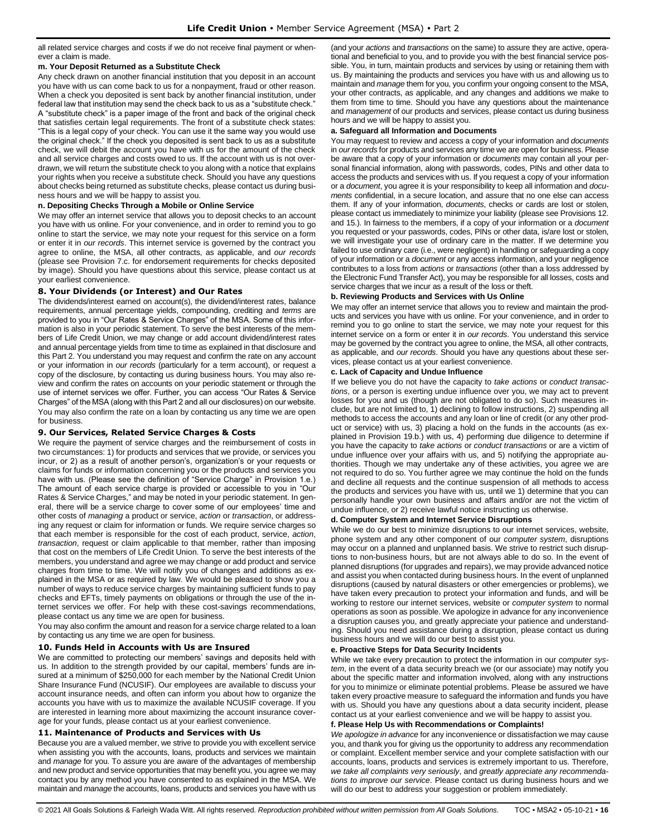all related service charges and costs if we do not receive final payment or whenever a claim is made.

#### **m. Your Deposit Returned as a Substitute Check**

Any check drawn on another financial institution that you deposit in an account you have with us can come back to us for a nonpayment, fraud or other reason. When a check you deposited is sent back by another financial institution, under federal law that institution may send the check back to us as a "substitute check." A "substitute check" is a paper image of the front and back of the original check that satisfies certain legal requirements. The front of a substitute check states: "This is a legal copy of your check. You can use it the same way you would use the original check." If the check you deposited is sent back to us as a substitute check, we will debit the account you have with us for the amount of the check and all service charges and costs owed to us. If the account with us is not overdrawn, we will return the substitute check to you along with a notice that explains your rights when you receive a substitute check. Should you have any questions about checks being returned as substitute checks, please contact us during business hours and we will be happy to assist you.

#### **n. Depositing Checks Through a Mobile or Online Service**

We may offer an internet service that allows you to deposit checks to an account you have with us online. For your convenience, and in order to remind you to go online to start the service, we may note your request for this service on a form or enter it in *our records*. This internet service is governed by the contract you agree to online, the MSA, all other contracts, as applicable, and *our records* (please see Provision 7.c. for endorsement requirements for checks deposited by image). Should you have questions about this service, please contact us at your earliest convenience.

### <span id="page-15-0"></span>**8. Your Dividends (or Interest) and Our Rates**

The dividends/interest earned on account(s), the dividend/interest rates, balance requirements, annual percentage yields, compounding, crediting and *terms* are provided to you in "Our Rates & Service Charges" of the MSA. Some of this information is also in your periodic statement. To serve the best interests of the members of Life Credit Union, we may change or add account dividend/interest rates and annual percentage yields from time to time as explained in that disclosure and this Part 2. You understand you may request and confirm the rate on any account or your information in *our records* (particularly for a term account), or request a copy of the disclosure, by contacting us during business hours. You may also review and confirm the rates on accounts on your periodic statement or through the use of internet services we offer. Further, you can access "Our Rates & Service Charges" of the MSA (along with this Part 2 and all our disclosures) on our website. You may also confirm the rate on a loan by contacting us any time we are open for business.

### <span id="page-15-1"></span>**9. Our Services, Related Service Charges & Costs**

We require the payment of service charges and the reimbursement of costs in two circumstances: 1) for products and services that we provide, or services you incur, or 2) as a result of another person's, organization's or your requests or claims for funds or information concerning you or the products and services you have with us. (Please see the definition of "Service Charge" in Provision 1.e.) The amount of each service charge is provided or accessible to you in "Our Rates & Service Charges," and may be noted in your periodic statement. In general, there will be a service charge to cover some of our employees' time and other costs of *managing* a product or service, *action* or *transaction*, or addressing any request or claim for information or funds. We require service charges so that each member is responsible for the cost of each product, service, *action*, *transaction*, request or claim applicable to that member, rather than imposing that cost on the members of Life Credit Union. To serve the best interests of the members, you understand and agree we may change or add product and service charges from time to time. We will notify you of changes and additions as explained in the MSA or as required by law. We would be pleased to show you a number of ways to reduce service charges by maintaining sufficient funds to pay checks and EFTs, timely payments on obligations or through the use of the internet services we offer. For help with these cost-savings recommendations, please contact us any time we are open for business.

You may also confirm the amount and reason for a service charge related to a loan by contacting us any time we are open for business.

### <span id="page-15-2"></span>**10. Funds Held in Accounts with Us are Insured**

We are committed to protecting our members' savings and deposits held with us. In addition to the strength provided by our capital, members' funds are insured at a minimum of \$250,000 for each member by the National Credit Union Share Insurance Fund (NCUSIF). Our employees are available to discuss your account insurance needs, and often can inform you about how to organize the accounts you have with us to maximize the available NCUSIF coverage. If you are interested in learning more about maximizing the account insurance coverage for your funds, please contact us at your earliest convenience.

#### <span id="page-15-3"></span>**11. Maintenance of Products and Services with Us**

Because you are a valued member, we strive to provide you with excellent service when assisting you with the accounts, loans, products and services we maintain and *manage* for you. To assure you are aware of the advantages of membership and new product and service opportunities that may benefit you, you agree we may contact you by any method you have consented to as explained in the MSA. We maintain and *manage* the accounts, loans, products and services you have with us (and your *actions* and *transactions* on the same) to assure they are active, operational and beneficial to you, and to provide you with the best financial service possible. You, in turn, maintain products and services by using or retaining them with us. By maintaining the products and services you have with us and allowing us to maintain and *manage* them for you, you confirm your ongoing consent to the MSA, your other contracts, as applicable, and any changes and additions we make to them from time to time. Should you have any questions about the maintenance and *management* of our products and services, please contact us during business hours and we will be happy to assist you.

#### **a. Safeguard all Information and Documents**

You may request to review and access a copy of your information and *documents* in *our records* for products and services any time we are open for business. Please be aware that a copy of your information or *documents* may contain all your personal financial information, along with passwords, codes, PINs and other data to access the products and services with us. If you request a copy of your information or a *document*, you agree it is your responsibility to keep all information and *documents* confidential, in a secure location, and assure that no one else can access them. If any of your information, *documents*, checks or cards are lost or stolen, please contact us immediately to minimize your liability (please see Provisions 12. and 15.). In fairness to the members, if a copy of your information or a *document* you requested or your passwords, codes, PINs or other data, is/are lost or stolen, we will investigate your use of ordinary care in the matter. If we determine you failed to use ordinary care (i.e., were negligent) in handling or safeguarding a copy of your information or a *document* or any access information, and your negligence contributes to a loss from *actions* or *transactions* (other than a loss addressed by the Electronic Fund Transfer Act), you may be responsible for all losses, costs and service charges that we incur as a result of the loss or theft.

#### **b. Reviewing Products and Services with Us Online**

We may offer an internet service that allows you to review and maintain the products and services you have with us online. For your convenience, and in order to remind you to go online to start the service, we may note your request for this internet service on a form or enter it in *our records*. You understand this service may be governed by the contract you agree to online, the MSA, all other contracts, as applicable, and *our records*. Should you have any questions about these services, please contact us at your earliest convenience.

#### **c. Lack of Capacity and Undue Influence**

If we believe you do not have the capacity to *take actions* or *conduct transactions*, or a person is exerting undue influence over you, we may act to prevent losses for you and us (though are not obligated to do so). Such measures include, but are not limited to, 1) declining to follow instructions, 2) suspending all methods to access the accounts and any loan or line of credit (or any other product or service) with us, 3) placing a hold on the funds in the accounts (as explained in Provision 19.b.) with us, 4) performing due diligence to determine if you have the capacity to *take actions* or *conduct transactions* or are a victim of undue influence over your affairs with us, and 5) notifying the appropriate authorities. Though we may undertake any of these activities, you agree we are not required to do so. You further agree we may continue the hold on the funds and decline all requests and the continue suspension of all methods to access the products and services you have with us, until we 1) determine that you can personally handle your own business and affairs and/or are not the victim of undue influence, or 2) receive lawful notice instructing us otherwise.

### **d. Computer System and Internet Service Disruptions**

While we do our best to minimize disruptions to our internet services, website, phone system and any other component of our *computer system*, disruptions may occur on a planned and unplanned basis. We strive to restrict such disruptions to non-business hours, but are not always able to do so. In the event of planned disruptions (for upgrades and repairs), we may provide advanced notice and assist you when contacted during business hours. In the event of unplanned disruptions (caused by natural disasters or other emergencies or problems), we have taken every precaution to protect your information and funds, and will be working to restore our internet services, website or *computer system* to normal operations as soon as possible. We apologize in advance for any inconvenience a disruption causes you, and greatly appreciate your patience and understanding. Should you need assistance during a disruption, please contact us during business hours and we will do our best to assist you.

### **e. Proactive Steps for Data Security Incidents**

While we take every precaution to protect the information in our *computer system*, in the event of a data security breach we (or our associate) may notify you about the specific matter and information involved, along with any instructions for you to minimize or eliminate potential problems. Please be assured we have taken every proactive measure to safeguard the information and funds you have with us. Should you have any questions about a data security incident, please contact us at your earliest convenience and we will be happy to assist you.

#### **f. Please Help Us with Recommendations or Complaints!**

*We apologize in advance* for any inconvenience or dissatisfaction we may cause you, and thank you for giving us the opportunity to address any recommendation or complaint. Excellent member service and your complete satisfaction with our accounts, loans, products and services is extremely important to us. Therefore, *we take all complaints very seriously*, and *greatly appreciate any recommendations to improve our service*. Please contact us during business hours and we will do our best to address your suggestion or problem immediately.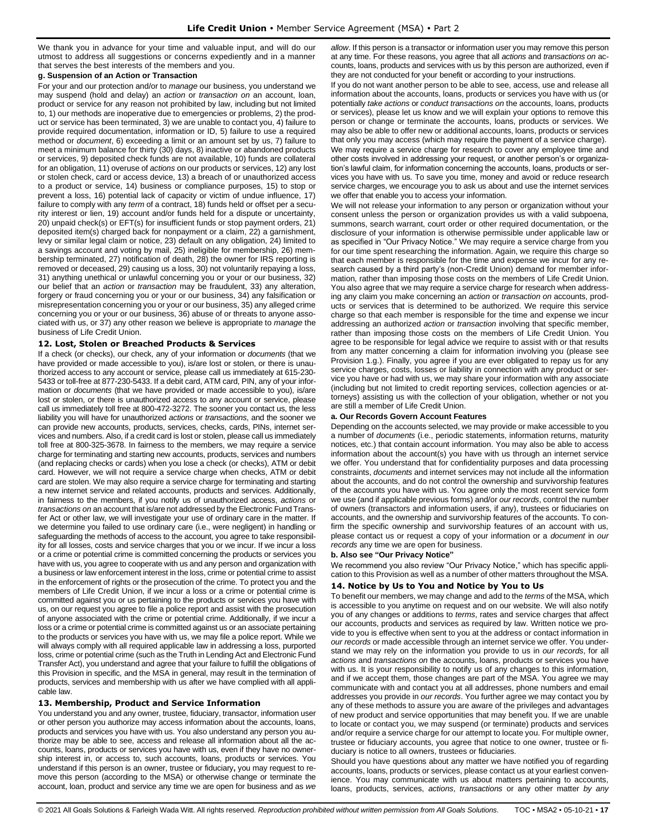We thank you in advance for your time and valuable input, and will do our utmost to address all suggestions or concerns expediently and in a manner that serves the best interests of the members and you.

### **g. Suspension of an Action or Transaction**

For your and our protection and/or to *manage* our business, you understand we may suspend (hold and delay) an *action* or *transaction on* an account, loan, product or service for any reason not prohibited by law, including but not limited to, 1) our methods are inoperative due to emergencies or problems, 2) the product or service has been terminated, 3) we are unable to contact you, 4) failure to provide required documentation, information or ID, 5) failure to use a required method or *document*, 6) exceeding a limit or an amount set by us, 7) failure to meet a minimum balance for thirty (30) days, 8) inactive or abandoned products or services, 9) deposited check funds are not available, 10) funds are collateral for an obligation, 11) overuse of *actions* on our products or services, 12) any lost or stolen check, card or access device, 13) a breach of or unauthorized access to a product or service, 14) business or compliance purposes, 15) to stop or prevent a loss, 16) potential lack of capacity or victim of undue influence, 17) failure to comply with any *term* of a contract, 18) funds held or offset per a security interest or lien, 19) account and/or funds held for a dispute or uncertainty, 20) unpaid check(s) or EFT(s) for insufficient funds or stop payment orders, 21) deposited item(s) charged back for nonpayment or a claim, 22) a garnishment, levy or similar legal claim or notice, 23) default on any obligation, 24) limited to a savings account and voting by mail, 25) ineligible for membership, 26) membership terminated, 27) notification of death, 28) the owner for IRS reporting is removed or deceased, 29) causing us a loss, 30) not voluntarily repaying a loss, 31) anything unethical or unlawful concerning you or your or our business, 32) our belief that an *action* or *transaction* may be fraudulent, 33) any alteration, forgery or fraud concerning you or your or our business, 34) any falsification or misrepresentation concerning you or your or our business, 35) any alleged crime concerning you or your or our business, 36) abuse of or threats to anyone associated with us, or 37) any other reason we believe is appropriate to *manage* the business of Life Credit Union.

### <span id="page-16-0"></span>**12. Lost, Stolen or Breached Products & Services**

If a check (or checks), our check, any of your information or *documents* (that we have provided or made accessible to you), is/are lost or stolen, or there is unauthorized access to any account or service, please call us immediately at 615-230- 5433 or toll-free at 877-230-5433. If a debit card, ATM card, PIN, any of your information or *documents* (that we have provided or made accessible to you), is/are lost or stolen, or there is unauthorized access to any account or service, please call us immediately toll free at 800-472-3272. The sooner you contact us, the less liability you will have for unauthorized *actions* or *transactions*, and the sooner we can provide new accounts, products, services, checks, cards, PINs, internet services and numbers. Also, if a credit card is lost or stolen, please call us immediately toll free at 800-325-3678. In fairness to the members, we may require a service charge for terminating and starting new accounts, products, services and numbers (and replacing checks or cards) when you lose a check (or checks), ATM or debit card. However, we will not require a service charge when checks, ATM or debit card are stolen. We may also require a service charge for terminating and starting a new internet service and related accounts, products and services. Additionally, in fairness to the members, if you notify us of unauthorized access, *actions* or *transactions on* an account that is/are not addressed by the Electronic Fund Transfer Act or other law, we will investigate your use of ordinary care in the matter. If we determine you failed to use ordinary care (i.e., were negligent) in handling or safeguarding the methods of access to the account, you agree to take responsibility for all losses, costs and service charges that you or we incur. If we incur a loss or a crime or potential crime is committed concerning the products or services you have with us, you agree to cooperate with us and any person and organization with a business or law enforcement interest in the loss, crime or potential crime to assist in the enforcement of rights or the prosecution of the crime. To protect you and the members of Life Credit Union, if we incur a loss or a crime or potential crime is committed against you or us pertaining to the products or services you have with us, on our request you agree to file a police report and assist with the prosecution of anyone associated with the crime or potential crime. Additionally, if we incur a loss or a crime or potential crime is committed against us or an associate pertaining to the products or services you have with us, we may file a police report. While we will always comply with all required applicable law in addressing a loss, purported loss, crime or potential crime (such as the Truth in Lending Act and Electronic Fund Transfer Act), you understand and agree that your failure to fulfill the obligations of this Provision in specific, and the MSA in general, may result in the termination of products, services and membership with us after we have complied with all applicable law.

### <span id="page-16-1"></span>**13. Membership, Product and Service Information**

You understand you and any owner, trustee, fiduciary, transactor, information user or other person you authorize may access information about the accounts, loans, products and services you have with us. You also understand any person you authorize may be able to see, access and release all information about all the accounts, loans, products or services you have with us, even if they have no ownership interest in, or access to, such accounts, loans, products or services. You understand if this person is an owner, trustee or fiduciary**,** you may request to remove this person (according to the MSA) or otherwise change or terminate the account, loan, product and service any time we are open for business and as *we*  *allow*. If this person is a transactor or information user you may remove this person at any time. For these reasons, you agree that all *actions* and *transactions on* accounts, loans, products and services with us by this person are authorized, even if they are not conducted for your benefit or according to your instructions.

If you do not want another person to be able to see, access, use and release all information about the accounts, loans, products or services you have with us (or potentially *take actions* or *conduct transactions on* the accounts, loans, products or services), please let us know and we will explain your options to remove this person or change or terminate the accounts, loans, products or services. We may also be able to offer new or additional accounts, loans, products or services that only you may access (which may require the payment of a service charge).

We may require a service charge for research to cover any employee time and other costs involved in addressing your request, or another person's or organization's lawful claim, for information concerning the accounts, loans, products or services you have with us. To save you time, money and avoid or reduce research service charges, we encourage you to ask us about and use the internet services we offer that enable you to access your information.

We will not release your information to any person or organization without your consent unless the person or organization provides us with a valid subpoena, summons, search warrant, court order or other required documentation, or the disclosure of your information is otherwise permissible under applicable law or as specified in "Our Privacy Notice." We may require a service charge from you for our time spent researching the information. Again, we require this charge so that each member is responsible for the time and expense we incur for any research caused by a third party's (non-Credit Union) demand for member information, rather than imposing those costs on the members of Life Credit Union. You also agree that we may require a service charge for research when addressing any claim you make concerning an *action* or *transaction on* accounts, products or services that is determined to be authorized. We require this service charge so that each member is responsible for the time and expense we incur addressing an authorized *action* or *transaction* involving that specific member, rather than imposing those costs on the members of Life Credit Union. You agree to be responsible for legal advice we require to assist with or that results from any matter concerning a claim for information involving you (please see Provision 1.g.). Finally, you agree if you are ever obligated to repay us for any service charges, costs, losses or liability in connection with any product or service you have or had with us, we may share your information with any associate (including but not limited to credit reporting services, collection agencies or attorneys) assisting us with the collection of your obligation, whether or not you are still a member of Life Credit Union.

### **a. Our Records Govern Account Features**

Depending on the accounts selected, we may provide or make accessible to you a number of *documents* (i.e., periodic statements, information returns, maturity notices, etc.) that contain account information. You may also be able to access information about the account(s) you have with us through an internet service we offer. You understand that for confidentiality purposes and data processing constraints, *documents* and internet services may not include all the information about the accounts, and do not control the ownership and survivorship features of the accounts you have with us. You agree only the most recent service form we use (and if applicable previous forms) and/or *our records*, control the number of owners (transactors and information users, if any), trustees or fiduciaries on accounts, and the ownership and survivorship features of the accounts. To confirm the specific ownership and survivorship features of an account with us, please contact us or request a copy of your information or a *document* in *our records* any time we are open for business.

#### **b. Also see "Our Privacy Notice"**

We recommend you also review "Our Privacy Notice," which has specific application to this Provision as well as a number of other matters throughout the MSA.

### <span id="page-16-2"></span>**14. Notice by Us to You and Notice by You to Us**

To benefit our members, we may change and add to the *terms* of the MSA, which is accessible to you anytime on request and on our website. We will also notify you of any changes or additions to *terms*, rates and service charges that affect our accounts, products and services as required by law. Written notice we provide to you is effective when sent to you at the address or contact information in *our records* or made accessible through an internet service we offer. You understand we may rely on the information you provide to us in *our records*, for all *actions* and *transactions on* the accounts, loans, products or services you have with us. It is your responsibility to notify us of any changes to this information, and if we accept them, those changes are part of the MSA. You agree we may communicate with and contact you at all addresses, phone numbers and email addresses you provide in *our records*. You further agree we may contact you by any of these methods to assure you are aware of the privileges and advantages of new product and service opportunities that may benefit you. If we are unable to locate or contact you, we may suspend (or terminate) products and services and/or require a service charge for our attempt to locate you. For multiple owner, trustee or fiduciary accounts, you agree that notice to one owner, trustee or fiduciary is notice to all owners, trustees or fiduciaries.

Should you have questions about any matter we have notified you of regarding accounts, loans, products or services, please contact us at your earliest convenience. You may communicate with us about matters pertaining to accounts, loans, products, services, *actions*, *transactions* or any other matter *by any*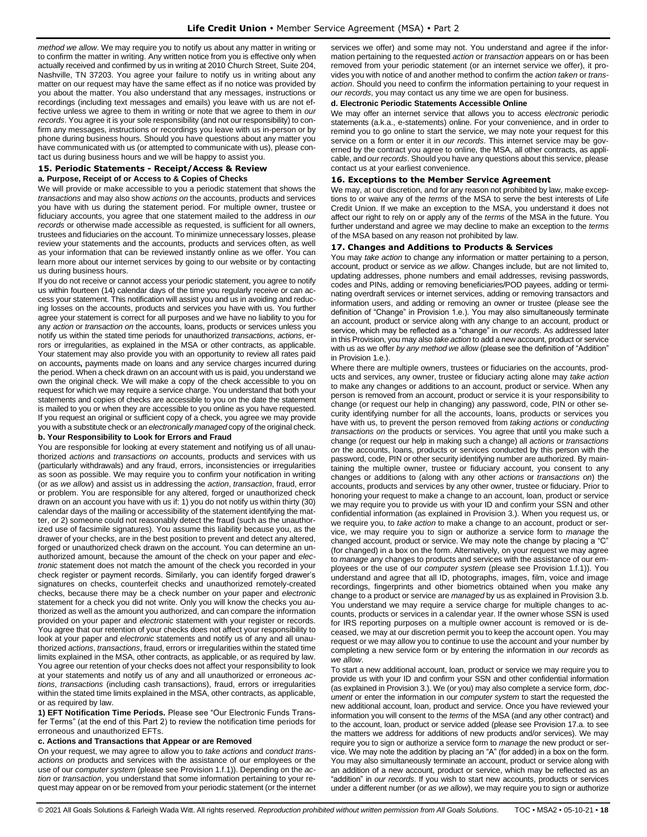*method we allow*. We may require you to notify us about any matter in writing or to confirm the matter in writing. Any written notice from you is effective only when actually received and confirmed by us in writing at 2010 Church Street, Suite 204, Nashville, TN 37203. You agree your failure to notify us in writing about any matter on our request may have the same effect as if no notice was provided by you about the matter. You also understand that any messages, instructions or recordings (including text messages and emails) you leave with us are not effective unless we agree to them in writing or note that we agree to them in *our records*. You agree it is your sole responsibility (and not our responsibility) to confirm any messages, instructions or recordings you leave with us in-person or by phone during business hours. Should you have questions about any matter you have communicated with us (or attempted to communicate with us), please contact us during business hours and we will be happy to assist you.

### <span id="page-17-0"></span>**15. Periodic Statements - Receipt/Access & Review a. Purpose, Receipt of or Access to & Copies of Checks**

We will provide or make accessible to you a periodic statement that shows the *transactions* and may also show *actions on* the accounts, products and services you have with us during the statement period. For multiple owner, trustee or fiduciary accounts, you agree that one statement mailed to the address in *our records* or otherwise made accessible as requested, is sufficient for all owners, trustees and fiduciaries on the account. To minimize unnecessary losses, please review your statements and the accounts, products and services often, as well as your information that can be reviewed instantly online as we offer. You can learn more about our internet services by going to our website or by contacting us during business hours.

If you do not receive or cannot access your periodic statement, you agree to notify us within fourteen (14) calendar days of the time you regularly receive or can access your statement. This notification will assist you and us in avoiding and reducing losses on the accounts, products and services you have with us. You further agree your statement is correct for all purposes and we have no liability to you for any *action* or *transaction on* the accounts, loans, products or services unless you notify us within the stated time periods for unauthorized *transactions*, *actions*, errors or irregularities, as explained in the MSA or other contracts, as applicable. Your statement may also provide you with an opportunity to review all rates paid on accounts**,** payments made on loans and any service charges incurred during the period. When a check drawn on an account with us is paid, you understand we own the original check. We will make a copy of the check accessible to you on request for which we may require a service charge. You understand that both your statements and copies of checks are accessible to you on the date the statement is mailed to you or when they are accessible to you online as you have requested. If you request an original or sufficient copy of a check, you agree we may provide you with a substitute check or an *electronically managed* copy of the original check.

#### **b. Your Responsibility to Look for Errors and Fraud**

You are responsible for looking at every statement and notifying us of all unauthorized *actions* and *transactions on* accounts, products and services with us (particularly withdrawals) and any fraud, errors, inconsistencies or irregularities as soon as possible. We may require you to confirm your notification in writing (or as *we allow*) and assist us in addressing the *action*, *transaction*, fraud, error or problem. You are responsible for any altered, forged or unauthorized check drawn on an account you have with us if: 1) you do not notify us within thirty (30) calendar days of the mailing or accessibility of the statement identifying the matter, or 2) someone could not reasonably detect the fraud (such as the unauthorized use of facsimile signatures). You assume this liability because you, as the drawer of your checks, are in the best position to prevent and detect any altered, forged or unauthorized check drawn on the account. You can determine an unauthorized amount, because the amount of the check on your paper and *electronic* statement does not match the amount of the check you recorded in your check register or payment records. Similarly, you can identify forged drawer's signatures on checks, counterfeit checks and unauthorized remotely-created checks, because there may be a check number on your paper and *electronic* statement for a check you did not write. Only you will know the checks you authorized as well as the amount you authorized, and can compare the information provided on your paper and *electronic* statement with your register or records. You agree that our retention of your checks does not affect your responsibility to look at your paper and *electronic* statements and notify us of any and all unauthorized *actions*, *transactions*, fraud, errors or irregularities within the stated time limits explained in the MSA, other contracts, as applicable, or as required by law. You agree our retention of your checks does not affect your responsibility to look at your statements and notify us of any and all unauthorized or erroneous *actions*, *transactions* (including cash transactions), fraud, errors or irregularities within the stated time limits explained in the MSA, other contracts, as applicable, or as required by law.

**1) EFT Notification Time Periods.** Please see "Our Electronic Funds Transfer Terms" (at the end of this Part 2) to review the notification time periods for erroneous and unauthorized EFTs.

### **c. Actions and Transactions that Appear or are Removed**

On your request, we may agree to allow you to *take actions* and *conduct transactions on* products and services with the assistance of our employees or the use of our *computer system* (please see Provision 1.f.1)). Depending on the *action* or *transaction*, you understand that some information pertaining to your request may appear on or be removed from your periodic statement (or the internet services we offer) and some may not. You understand and agree if the information pertaining to the requested *action* or *transaction* appears on or has been removed from your periodic statement (or an internet service we offer), it provides you with notice of and another method to confirm the *action taken* or *transaction*. Should you need to confirm the information pertaining to your request in *our records*, you may contact us any time we are open for business.

### **d. Electronic Periodic Statements Accessible Online**

We may offer an internet service that allows you to access *electronic* periodic statements (a.k.a., e-statements) online. For your convenience, and in order to remind you to go online to start the service, we may note your request for this service on a form or enter it in *our records*. This internet service may be governed by the contract you agree to online, the MSA, all other contracts, as applicable, and *our records*. Should you have any questions about this service, please contact us at your earliest convenience.

### <span id="page-17-1"></span>**16. Exceptions to the Member Service Agreement**

We may, at our discretion, and for any reason not prohibited by law, make exceptions to or waive any of the *terms* of the MSA to serve the best interests of Life Credit Union. If we make an exception to the MSA, you understand it does not affect our right to rely on or apply any of the *terms* of the MSA in the future. You further understand and agree we may decline to make an exception to the *terms* of the MSA based on any reason not prohibited by law.

### <span id="page-17-2"></span>**17. Changes and Additions to Products & Services**

You may *take action* to change any information or matter pertaining to a person, account, product or service as *we allow*. Changes include, but are not limited to, updating addresses, phone numbers and email addresses, revising passwords, codes and PINs, adding or removing beneficiaries/POD payees, adding or terminating overdraft services or internet services, adding or removing transactors and information users, and adding or removing an owner or trustee (please see the definition of "Change" in Provision 1.e.). You may also simultaneously terminate an account, product or service along with any change to an account, product or service, which may be reflected as a "change" in *our records*. As addressed later in this Provision, you may also *take action* to add a new account, product or service with us as we offer *by any method we allow* (please see the definition of "Addition" in Provision 1.e.).

Where there are multiple owners, trustees or fiduciaries on the accounts, products and services, any owner, trustee or fiduciary acting alone may *take action*  to make any changes or additions to an account, product or service. When any person is removed from an account, product or service it is your responsibility to change (or request our help in changing) any password, code, PIN or other security identifying number for all the accounts, loans, products or services you have with us, to prevent the person removed from *taking actions* or *conducting transactions on* the products or services. You agree that until you make such a change (or request our help in making such a change) all *actions* or *transactions on* the accounts, loans, products or services conducted by this person with the password, code, PIN or other security identifying number are authorized. By maintaining the multiple owner, trustee or fiduciary account, you consent to any changes or additions to (along with any other *actions* or *transactions on*) the accounts, products and services by any other owner, trustee or fiduciary. Prior to honoring your request to make a change to an account, loan, product or service we may require you to provide us with your ID and confirm your SSN and other confidential information (as explained in Provision 3.). When you request us, or we require you, to *take action* to make a change to an account, product or service, we may require you to sign or authorize a service form to *manage* the changed account, product or service. We may note the change by placing a "C" (for changed) in a box on the form. Alternatively, on your request we may agree to *manage* any changes to products and services with the assistance of our employees or the use of our *computer system* (please see Provision 1.f.1)). You understand and agree that all ID, photographs, images, film, voice and image recordings, fingerprints and other biometrics obtained when you make any change to a product or service are *managed* by us as explained in Provision 3.b. You understand we may require a service charge for multiple changes to accounts, products or services in a calendar year. If the owner whose SSN is used for IRS reporting purposes on a multiple owner account is removed or is deceased, we may at our discretion permit you to keep the account open. You may request or we may allow you to continue to use the account and your number by completing a new service form or by entering the information in *our records* as *we allow*.

To start a new additional account, loan, product or service we may require you to provide us with your ID and confirm your SSN and other confidential information (as explained in Provision 3.). We (or you) may also complete a service form, *document* or enter the information in our *computer system* to start the requested the new additional account, loan, product and service. Once you have reviewed your information you will consent to the *terms* of the MSA (and any other contract) and to the account, loan, product or service added (please see Provision 17.a. to see the matters we address for additions of new products and/or services). We may require you to sign or authorize a service form to *manage* the new product or service. We may note the addition by placing an "A" (for added) in a box on the form. You may also simultaneously terminate an account, product or service along with an addition of a new account, product or service, which may be reflected as an "addition" in *our records*. If you wish to start new accounts, products or services under a different number (or *as we allow*), we may require you to sign or authorize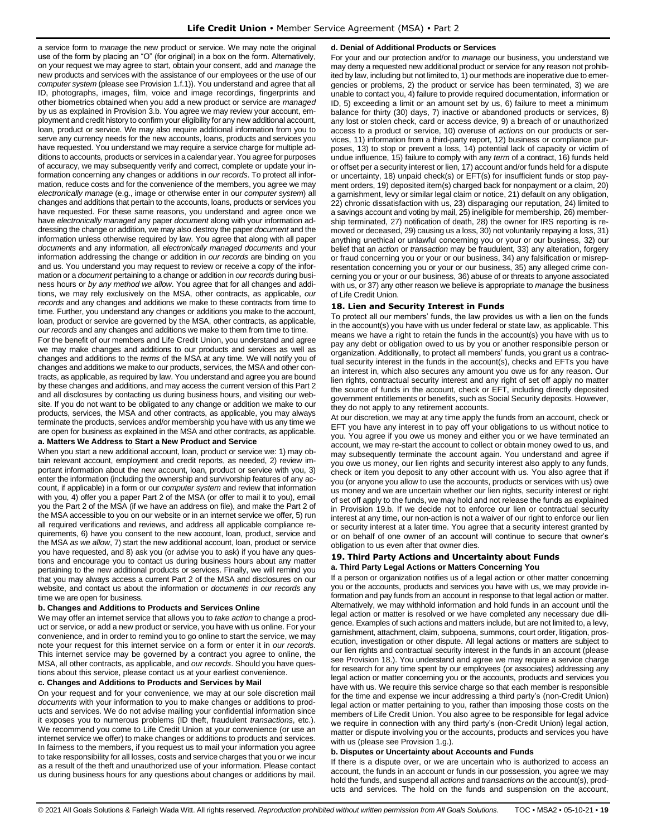a service form to *manage* the new product or service. We may note the original use of the form by placing an "O" (for original) in a box on the form. Alternatively, on your request we may agree to start, obtain your consent, add and *manage* the new products and services with the assistance of our employees or the use of our *computer system* (please see Provision 1.f.1)). You understand and agree that all ID, photographs, images, film, voice and image recordings, fingerprints and other biometrics obtained when you add a new product or service are *managed* by us as explained in Provision 3.b. You agree we may review your account, employment and credit history to confirm your eligibility for any new additional account, loan, product or service. We may also require additional information from you to serve any currency needs for the new accounts, loans, products and services you have requested. You understand we may require a service charge for multiple additions to accounts, products or services in a calendar year. You agree for purposes of accuracy, we may subsequently verify and correct, complete or update your information concerning any changes or additions in *our records*. To protect all information, reduce costs and for the convenience of the members, you agree we may *electronically manage* (e.g., image or otherwise enter in our *computer system*) all changes and additions that pertain to the accounts, loans, products or services you have requested. For these same reasons, you understand and agree once we have *electronically managed* any paper *document* along with your information addressing the change or addition*,* we may also destroy the paper *document* and the information unless otherwise required by law. You agree that along with all paper *documents* and any information*,* all *electronically managed documents* and your information addressing the change or addition in *our records* are binding on you and us. You understand you may request to review or receive a copy of the information or a *document* pertaining to a change or addition in *our records* during business hours or *by any method we allow*. You agree that for all changes and additions, we may rely exclusively on the MSA, other contracts, as applicable, *our records* and any changes and additions we make to these contracts from time to time. Further, you understand any changes or additions you make to the account, loan, product or service are governed by the MSA, other contracts, as applicable, *our records* and any changes and additions we make to them from time to time.

For the benefit of our members and Life Credit Union, you understand and agree we may make changes and additions to our products and services as well as changes and additions to the *terms* of the MSA at any time. We will notify you of changes and additions we make to our products, services, the MSA and other contracts, as applicable, as required by law. You understand and agree you are bound by these changes and additions, and may access the current version of this Part 2 and all disclosures by contacting us during business hours, and visiting our website. If you do not want to be obligated to any change or addition we make to our products, services, the MSA and other contracts, as applicable, you may always terminate the products, services and/or membership you have with us any time we are open for business as explained in the MSA and other contracts, as applicable.

### **a. Matters We Address to Start a New Product and Service**

When you start a new additional account, loan, product or service we: 1) may obtain relevant account, employment and credit reports, as needed, 2) review important information about the new account, loan, product or service with you, 3) enter the information (including the ownership and survivorship features of any account, if applicable) in a form or our *computer system* and review that information with you, 4) offer you a paper Part 2 of the MSA (or offer to mail it to you), email you the Part 2 of the MSA (if we have an address on file), and make the Part 2 of the MSA accessible to you on our website or in an internet service we offer, 5) run all required verifications and reviews, and address all applicable compliance requirements, 6) have you consent to the new account, loan, product, service and the MSA *as we allow*, 7) start the new additional account, loan, product or service you have requested, and 8) ask you (or advise you to ask) if you have any questions and encourage you to contact us during business hours about any matter pertaining to the new additional products or services. Finally, we will remind you that you may always access a current Part 2 of the MSA and disclosures on our website, and contact us about the information or *documents* in *our records* any time we are open for business.

#### **b. Changes and Additions to Products and Services Online**

We may offer an internet service that allows you to *take action* to change a product or service, or add a new product or service, you have with us online. For your convenience, and in order to remind you to go online to start the service, we may note your request for this internet service on a form or enter it in *our records*. This internet service may be governed by a contract you agree to online, the MSA, all other contracts, as applicable, and *our records*. Should you have questions about this service, please contact us at your earliest convenience.

#### **c. Changes and Additions to Products and Services by Mail**

On your request and for your convenience, we may at our sole discretion mail *documents* with your information to you to make changes or additions to products and services. We do not advise mailing your confidential information since it exposes you to numerous problems (ID theft, fraudulent *transactions*, etc.). We recommend you come to Life Credit Union at your convenience (or use an internet service we offer) to make changes or additions to products and services. In fairness to the members, if you request us to mail your information you agree to take responsibility for all losses, costs and service charges that you or we incur as a result of the theft and unauthorized use of your information. Please contact us during business hours for any questions about changes or additions by mail.

### **d. Denial of Additional Products or Services**

For your and our protection and/or to *manage* our business, you understand we may deny a requested new additional product or service for any reason not prohibited by law, including but not limited to, 1) our methods are inoperative due to emergencies or problems, 2) the product or service has been terminated, 3) we are unable to contact you, 4) failure to provide required documentation, information or ID, 5) exceeding a limit or an amount set by us, 6) failure to meet a minimum balance for thirty (30) days, 7) inactive or abandoned products or services, 8) any lost or stolen check, card or access device, 9) a breach of or unauthorized access to a product or service, 10) overuse of *actions* on our products or services, 11) information from a third-party report, 12) business or compliance purposes, 13) to stop or prevent a loss, 14) potential lack of capacity or victim of undue influence, 15) failure to comply with any *term* of a contract, 16) funds held or offset per a security interest or lien, 17) account and/or funds held for a dispute or uncertainty, 18) unpaid check(s) or EFT(s) for insufficient funds or stop payment orders, 19) deposited item(s) charged back for nonpayment or a claim, 20) a garnishment, levy or similar legal claim or notice, 21) default on any obligation, 22) chronic dissatisfaction with us, 23) disparaging our reputation, 24) limited to a savings account and voting by mail, 25) ineligible for membership, 26) membership terminated, 27) notification of death, 28) the owner for IRS reporting is removed or deceased, 29) causing us a loss, 30) not voluntarily repaying a loss, 31) anything unethical or unlawful concerning you or your or our business, 32) our belief that an *action* or *transaction* may be fraudulent, 33) any alteration, forgery or fraud concerning you or your or our business, 34) any falsification or misrepresentation concerning you or your or our business, 35) any alleged crime concerning you or your or our business, 36) abuse of or threats to anyone associated with us, or 37) any other reason we believe is appropriate to *manage* the business of Life Credit Union.

### <span id="page-18-0"></span>**18. Lien and Security Interest in Funds**

To protect all our members' funds, the law provides us with a lien on the funds in the account(s) you have with us under federal or state law, as applicable. This means we have a right to retain the funds in the account(s) you have with us to pay any debt or obligation owed to us by you or another responsible person or organization. Additionally, to protect all members' funds, you grant us a contractual security interest in the funds in the account(s), checks and EFTs you have an interest in, which also secures any amount you owe us for any reason. Our lien rights, contractual security interest and any right of set off apply no matter the source of funds in the account, check or EFT, including directly deposited government entitlements or benefits, such as Social Security deposits. However, they do not apply to any retirement accounts.

At our discretion, we may at any time apply the funds from an account, check or EFT you have any interest in to pay off your obligations to us without notice to you. You agree if you owe us money and either you or we have terminated an account, we may re-start the account to collect or obtain money owed to us, and may subsequently terminate the account again. You understand and agree if you owe us money, our lien rights and security interest also apply to any funds. check or item you deposit to any other account with us. You also agree that if you (or anyone you allow to use the accounts, products or services with us) owe us money and we are uncertain whether our lien rights, security interest or right of set off apply to the funds, we may hold and not release the funds as explained in Provision 19.b. If we decide not to enforce our lien or contractual security interest at any time, our non-action is not a waiver of our right to enforce our lien or security interest at a later time. You agree that a security interest granted by or on behalf of one owner of an account will continue to secure that owner's obligation to us even after that owner dies.

#### <span id="page-18-1"></span>**19. Third Party Actions and Uncertainty about Funds a. Third Party Legal Actions or Matters Concerning You**

If a person or organization notifies us of a legal action or other matter concerning you or the accounts, products and services you have with us, we may provide information and pay funds from an account in response to that legal action or matter. Alternatively, we may withhold information and hold funds in an account until the legal action or matter is resolved or we have completed any necessary due diligence. Examples of such actions and matters include, but are not limited to, a levy, garnishment, attachment, claim, subpoena, summons, court order, litigation, prosecution, investigation or other dispute. All legal actions or matters are subject to our lien rights and contractual security interest in the funds in an account (please see Provision 18.). You understand and agree we may require a service charge for research for any time spent by our employees (or associates) addressing any legal action or matter concerning you or the accounts, products and services you have with us. We require this service charge so that each member is responsible for the time and expense we incur addressing a third party's (non-Credit Union) legal action or matter pertaining to you, rather than imposing those costs on the members of Life Credit Union. You also agree to be responsible for legal advice we require in connection with any third party's (non-Credit Union) legal action, matter or dispute involving you or the accounts, products and services you have with us (please see Provision 1.g.).

#### **b. Disputes or Uncertainty about Accounts and Funds**

If there is a dispute over, or we are uncertain who is authorized to access an account, the funds in an account or funds in our possession, you agree we may hold the funds, and suspend all *actions* and *transactions on* the account(s), products and services. The hold on the funds and suspension on the account,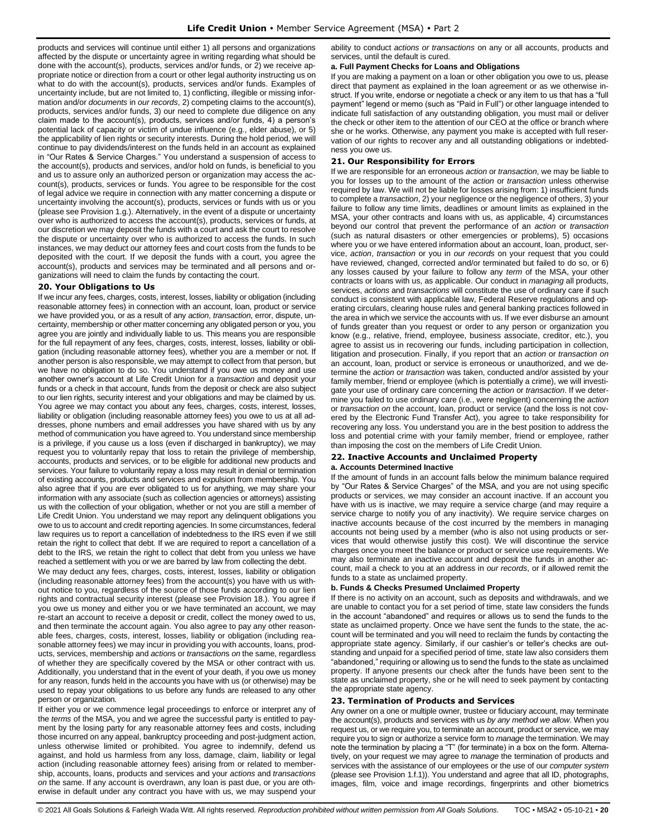products and services will continue until either 1) all persons and organizations affected by the dispute or uncertainty agree in writing regarding what should be done with the account(s), products, services and/or funds, or 2) we receive appropriate notice or direction from a court or other legal authority instructing us on what to do with the account(s), products, services and/or funds. Examples of uncertainty include, but are not limited to, 1) conflicting, illegible or missing information and/or *documents* in *our records*, 2) competing claims to the account(s), products, services and/or funds, 3) our need to complete due diligence on any claim made to the account(s), products, services and/or funds, 4) a person's potential lack of capacity or victim of undue influence (e.g., elder abuse), or 5) the applicability of lien rights or security interests. During the hold period, we will continue to pay dividends/interest on the funds held in an account as explained in "Our Rates & Service Charges." You understand a suspension of access to the account(s), products and services, and/or hold on funds, is beneficial to you and us to assure only an authorized person or organization may access the account(s), products, services or funds. You agree to be responsible for the cost of legal advice we require in connection with any matter concerning a dispute or uncertainty involving the account(s), products, services or funds with us or you (please see Provision 1.g.). Alternatively, in the event of a dispute or uncertainty over who is authorized to access the account(s), products, services or funds, at our discretion we may deposit the funds with a court and ask the court to resolve the dispute or uncertainty over who is authorized to access the funds. In such instances, we may deduct our attorney fees and court costs from the funds to be deposited with the court. If we deposit the funds with a court, you agree the account(s), products and services may be terminated and all persons and organizations will need to claim the funds by contacting the court.

### <span id="page-19-0"></span>**20. Your Obligations to Us**

If we incur any fees, charges, costs, interest, losses, liability or obligation (including reasonable attorney fees) in connection with an account, loan, product or service we have provided you, or as a result of any *action*, *transaction*, error, dispute, uncertainty, membership or other matter concerning any obligated person or you, you agree you are jointly and individually liable to us. This means you are responsible for the full repayment of any fees, charges, costs, interest, losses, liability or obligation (including reasonable attorney fees), whether you are a member or not. If another person is also responsible, we may attempt to collect from that person, but we have no obligation to do so. You understand if you owe us money and use another owner's account at Life Credit Union for a *transaction* and deposit your funds or a check in that account, funds from the deposit or check are also subject to our lien rights, security interest and your obligations and may be claimed by us. You agree we may contact you about any fees, charges, costs, interest, losses, liability or obligation (including reasonable attorney fees) you owe to us at all addresses, phone numbers and email addresses you have shared with us by any method of communication you have agreed to. You understand since membership is a privilege, if you cause us a loss (even if discharged in bankruptcy), we may request you to voluntarily repay that loss to retain the privilege of membership, accounts, products and services, or to be eligible for additional new products and services. Your failure to voluntarily repay a loss may result in denial or termination of existing accounts, products and services and expulsion from membership. You also agree that if you are ever obligated to us for anything, we may share your information with any associate (such as collection agencies or attorneys) assisting us with the collection of your obligation, whether or not you are still a member of Life Credit Union. You understand we may report any delinquent obligations you owe to us to account and credit reporting agencies. In some circumstances, federal law requires us to report a cancellation of indebtedness to the IRS even if we still retain the right to collect that debt. If we are required to report a cancellation of a debt to the IRS, we retain the right to collect that debt from you unless we have reached a settlement with you or we are barred by law from collecting the debt.

We may deduct any fees, charges, costs, interest, losses, liability or obligation (including reasonable attorney fees) from the account(s) you have with us without notice to you, regardless of the source of those funds according to our lien rights and contractual security interest (please see Provision 18.). You agree if you owe us money and either you or we have terminated an account, we may re-start an account to receive a deposit or credit, collect the money owed to us, and then terminate the account again. You also agree to pay any other reasonable fees, charges, costs, interest, losses, liability or obligation (including reasonable attorney fees) we may incur in providing you with accounts, loans, products, services, membership and *action*s or *transaction*s *on* the same, regardless of whether they are specifically covered by the MSA or other contract with us. Additionally, you understand that in the event of your death, if you owe us money for any reason, funds held in the accounts you have with us (or otherwise) may be used to repay your obligations to us before any funds are released to any other person or organization.

If either you or we commence legal proceedings to enforce or interpret any of the *terms* of the MSA, you and we agree the successful party is entitled to payment by the losing party for any reasonable attorney fees and costs, including those incurred on any appeal, bankruptcy proceeding and post-judgment action, unless otherwise limited or prohibited. You agree to indemnify, defend us against, and hold us harmless from any loss, damage, claim, liability or legal action (including reasonable attorney fees) arising from or related to membership, accounts, loans, products and services and your *actions* and *transactions on* the same. If any account is overdrawn, any loan is past due, or you are otherwise in default under any contract you have with us, we may suspend your

ability to conduct *actions or transactions* on any or all accounts, products and services, until the default is cured.

#### **a. Full Payment Checks for Loans and Obligations**

If you are making a payment on a loan or other obligation you owe to us, please direct that payment as explained in the loan agreement or as we otherwise instruct. If you write, endorse or negotiate a check or any item to us that has a "full payment" legend or memo (such as "Paid in Full") or other language intended to indicate full satisfaction of any outstanding obligation, you must mail or deliver the check or other item to the attention of our CEO at the office or branch where she or he works. Otherwise, any payment you make is accepted with full reservation of our rights to recover any and all outstanding obligations or indebtedness you owe us.

### <span id="page-19-1"></span>**21. Our Responsibility for Errors**

If we are responsible for an erroneous *action* or *transaction*, we may be liable to you for losses up to the amount of the *action* or *transaction* unless otherwise required by law. We will not be liable for losses arising from: 1) insufficient funds to complete a *transaction*, 2) your negligence or the negligence of others, 3) your failure to follow any time limits, deadlines or amount limits as explained in the MSA, your other contracts and loans with us, as applicable, 4) circumstances beyond our control that prevent the performance of an *action* or *transaction*  (such as natural disasters or other emergencies or problems), 5) occasions where you or we have entered information about an account, loan, product, service, *action*, *transaction* or you in *our records* on your request that you could have reviewed, changed, corrected and/or terminated but failed to do so, or 6) any losses caused by your failure to follow any *term* of the MSA, your other contracts or loans with us, as applicable. Our conduct in *managing* all products, services, *actions* and *transactions* will constitute the use of ordinary care if such conduct is consistent with applicable law, Federal Reserve regulations and operating circulars, clearing house rules and general banking practices followed in the area in which we service the accounts with us. If we ever disburse an amount of funds greater than you request or order to any person or organization you know (e.g., relative, friend, employee, business associate, creditor, etc.), you agree to assist us in recovering our funds, including participation in collection, litigation and prosecution. Finally, if you report that an *action* or *transaction on*  an account, loan, product or service is erroneous or unauthorized, and we determine the *action* or *transaction* was taken, conducted and/or assisted by your family member, friend or employee (which is potentially a crime), we will investigate your use of ordinary care concerning the *action* or *transaction*. If we determine you failed to use ordinary care (i.e., were negligent) concerning the *action* or *transaction on* the account, loan, product or service (and the loss is not covered by the Electronic Fund Transfer Act), you agree to take responsibility for recovering any loss. You understand you are in the best position to address the loss and potential crime with your family member, friend or employee, rather than imposing the cost on the members of Life Credit Union.

# <span id="page-19-2"></span>**22. Inactive Accounts and Unclaimed Property**

#### **a. Accounts Determined Inactive**

If the amount of funds in an account falls below the minimum balance required by "Our Rates & Service Charges" of the MSA, and you are not using specific products or services, we may consider an account inactive. If an account you have with us is inactive, we may require a service charge (and may require a service charge to notify you of any inactivity). We require service charges on inactive accounts because of the cost incurred by the members in managing accounts not being used by a member (who is also not using products or services that would otherwise justify this cost). We will discontinue the service charges once you meet the balance or product or service use requirements. We may also terminate an inactive account and deposit the funds in another account, mail a check to you at an address in *our records*, or if allowed remit the funds to a state as unclaimed property.

### **b. Funds & Checks Presumed Unclaimed Property**

If there is no activity on an account, such as deposits and withdrawals, and we are unable to contact you for a set period of time, state law considers the funds in the account "abandoned" and requires or allows us to send the funds to the state as unclaimed property. Once we have sent the funds to the state, the account will be terminated and you will need to reclaim the funds by contacting the appropriate state agency. Similarly, if our cashier's or teller's checks are outstanding and unpaid for a specified period of time, state law also considers them "abandoned," requiring or allowing us to send the funds to the state as unclaimed property. If anyone presents our check after the funds have been sent to the state as unclaimed property, she or he will need to seek payment by contacting the appropriate state agency.

### <span id="page-19-3"></span>**23. Termination of Products and Services**

Any owner on a one or multiple owner, trustee or fiduciary account, may terminate the account(s), products and services with us *by any method we allow*. When you request us, or we require you, to terminate an account, product or service, we may require you to sign or authorize a service form to *manage* the termination. We may note the termination by placing a "T" (for terminate) in a box on the form. Alternatively, on your request we may agree to *manage* the termination of products and services with the assistance of our employees or the use of our *computer system* (please see Provision 1.f.1)). You understand and agree that all ID, photographs, images, film, voice and image recordings, fingerprints and other biometrics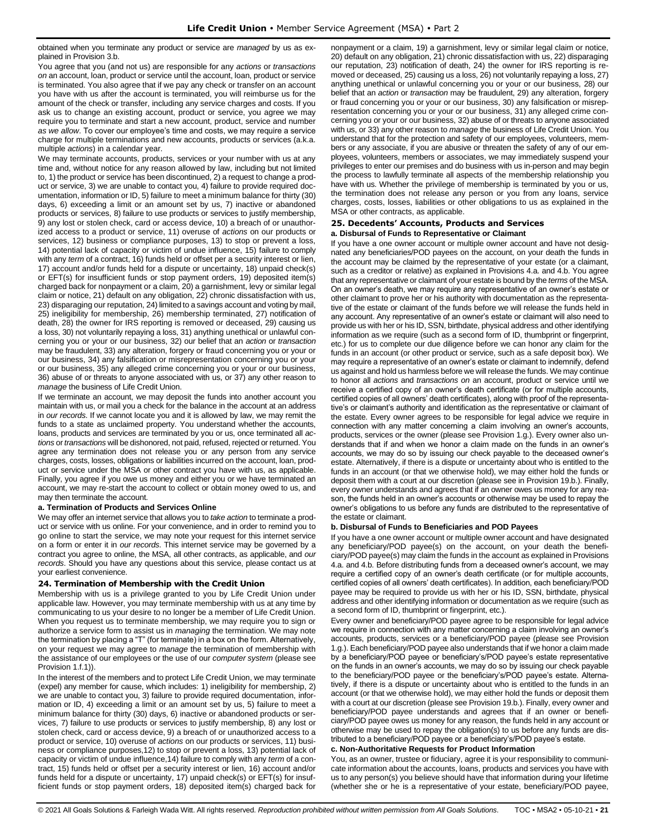obtained when you terminate any product or service are *managed* by us as explained in Provision 3.b.

You agree that you (and not us) are responsible for any *actions* or *transactions on* an account, loan, product or service until the account, loan, product or service is terminated. You also agree that if we pay any check or transfer on an account you have with us after the account is terminated, you will reimburse us for the amount of the check or transfer, including any service charges and costs. If you ask us to change an existing account, product or service, you agree we may require you to terminate and start a new account, product, service and number *as we allow*. To cover our employee's time and costs, we may require a service charge for multiple terminations and new accounts, products or services (a.k.a. multiple *actions*) in a calendar year.

We may terminate accounts, products, services or your number with us at any time and, without notice for any reason allowed by law, including but not limited to, 1) the product or service has been discontinued, 2) a request to change a product or service, 3) we are unable to contact you, 4) failure to provide required documentation, information or ID, 5) failure to meet a minimum balance for thirty (30) days, 6) exceeding a limit or an amount set by us, 7) inactive or abandoned products or services, 8) failure to use products or services to justify membership, 9) any lost or stolen check, card or access device, 10) a breach of or unauthorized access to a product or service, 11) overuse of *actions* on our products or services, 12) business or compliance purposes, 13) to stop or prevent a loss, 14) potential lack of capacity or victim of undue influence, 15) failure to comply with any *term* of a contract, 16) funds held or offset per a security interest or lien, 17) account and/or funds held for a dispute or uncertainty, 18) unpaid check(s) or EFT(s) for insufficient funds or stop payment orders, 19) deposited item(s) charged back for nonpayment or a claim, 20) a garnishment, levy or similar legal claim or notice, 21) default on any obligation, 22) chronic dissatisfaction with us, 23) disparaging our reputation, 24) limited to a savings account and voting by mail, 25) ineligibility for membership, 26) membership terminated, 27) notification of death, 28) the owner for IRS reporting is removed or deceased, 29) causing us a loss, 30) not voluntarily repaying a loss, 31) anything unethical or unlawful concerning you or your or our business, 32) our belief that an *action* or *transaction* may be fraudulent, 33) any alteration, forgery or fraud concerning you or your or our business, 34) any falsification or misrepresentation concerning you or your or our business, 35) any alleged crime concerning you or your or our business, 36) abuse of or threats to anyone associated with us, or 37) any other reason to *manage* the business of Life Credit Union.

If we terminate an account, we may deposit the funds into another account you maintain with us, or mail you a check for the balance in the account at an address in *our records*. If we cannot locate you and it is allowed by law, we may remit the funds to a state as unclaimed property. You understand whether the accounts, loans, products and services are terminated by you or us, once terminated all *actions* or *transactions* will be dishonored, not paid, refused, rejected or returned. You agree any termination does not release you or any person from any service charges, costs, losses, obligations or liabilities incurred on the account, loan, product or service under the MSA or other contract you have with us, as applicable. Finally, you agree if you owe us money and either you or we have terminated an account, we may re-start the account to collect or obtain money owed to us, and may then terminate the account.

### **a. Termination of Products and Services Online**

We may offer an internet service that allows you to *take action* to terminate a product or service with us online. For your convenience, and in order to remind you to go online to start the service, we may note your request for this internet service on a form or enter it in *our records*. This internet service may be governed by a contract you agree to online, the MSA, all other contracts, as applicable, and *our records*. Should you have any questions about this service, please contact us at your earliest convenience.

### <span id="page-20-0"></span>**24. Termination of Membership with the Credit Union**

Membership with us is a privilege granted to you by Life Credit Union under applicable law. However, you may terminate membership with us at any time by communicating to us your desire to no longer be a member of Life Credit Union. When you request us to terminate membership, we may require you to sign or authorize a service form to assist us in *managing* the termination. We may note the termination by placing a "T" (for terminate) in a box on the form. Alternatively, on your request we may agree to *manage* the termination of membership with the assistance of our employees or the use of our *computer system* (please see Provision 1.f.1)).

In the interest of the members and to protect Life Credit Union, we may terminate (expel) any member for cause, which includes: 1) ineligibility for membership, 2) we are unable to contact you, 3) failure to provide required documentation, information or ID, 4) exceeding a limit or an amount set by us, 5) failure to meet a minimum balance for thirty (30) days, 6) inactive or abandoned products or services, 7) failure to use products or services to justify membership, 8) any lost or stolen check, card or access device, 9) a breach of or unauthorized access to a product or service, 10) overuse of *actions* on our products or services, 11) business or compliance purposes,12) to stop or prevent a loss, 13) potential lack of capacity or victim of undue influence,14) failure to comply with any *term* of a contract, 15) funds held or offset per a security interest or lien, 16) account and/or funds held for a dispute or uncertainty, 17) unpaid check(s) or EFT(s) for insufficient funds or stop payment orders, 18) deposited item(s) charged back for nonpayment or a claim, 19) a garnishment, levy or similar legal claim or notice, 20) default on any obligation, 21) chronic dissatisfaction with us, 22) disparaging our reputation, 23) notification of death, 24) the owner for IRS reporting is removed or deceased, 25) causing us a loss, 26) not voluntarily repaying a loss, 27) anything unethical or unlawful concerning you or your or our business, 28) our belief that an *action* or *transaction* may be fraudulent, 29) any alteration, forgery or fraud concerning you or your or our business, 30) any falsification or misrepresentation concerning you or your or our business, 31) any alleged crime concerning you or your or our business, 32) abuse of or threats to anyone associated with us, or 33) any other reason to *manage* the business of Life Credit Union. You understand that for the protection and safety of our employees, volunteers, members or any associate, if you are abusive or threaten the safety of any of our employees, volunteers, members or associates, we may immediately suspend your privileges to enter our premises and do business with us in-person and may begin the process to lawfully terminate all aspects of the membership relationship you have with us. Whether the privilege of membership is terminated by you or us, the termination does not release any person or you from any loans, service charges, costs, losses, liabilities or other obligations to us as explained in the MSA or other contracts, as applicable.

### <span id="page-20-1"></span>**25. Decedents' Accounts, Products and Services a. Disbursal of Funds to Representative or Claimant**

If you have a one owner account or multiple owner account and have not designated any beneficiaries/POD payees on the account, on your death the funds in the account may be claimed by the representative of your estate (or a claimant, such as a creditor or relative) as explained in Provisions 4.a. and 4.b. You agree that any representative or claimant of your estate is bound by the *terms* of the MSA. On an owner's death, we may require any representative of an owner's estate or other claimant to prove her or his authority with documentation as the representative of the estate or claimant of the funds before we will release the funds held in any account. Any representative of an owner's estate or claimant will also need to provide us with her or his ID, SSN, birthdate, physical address and other identifying information as we require (such as a second form of ID, thumbprint or fingerprint, etc.) for us to complete our due diligence before we can honor any claim for the funds in an account (or other product or service, such as a safe deposit box). We may require a representative of an owner's estate or claimant to indemnify, defend us against and hold us harmless before we will release the funds. We may continue to honor all *actions* and *transactions on* an account, product or service until we receive a certified copy of an owner's death certificate (or for multiple accounts, certified copies of all owners' death certificates), along with proof of the representative's or claimant's authority and identification as the representative or claimant of the estate. Every owner agrees to be responsible for legal advice we require in connection with any matter concerning a claim involving an owner's accounts, products, services or the owner (please see Provision 1.g.). Every owner also understands that if and when we honor a claim made on the funds in an owner's accounts, we may do so by issuing our check payable to the deceased owner's estate. Alternatively, if there is a dispute or uncertainty about who is entitled to the funds in an account (or that we otherwise hold), we may either hold the funds or deposit them with a court at our discretion (please see in Provision 19.b.). Finally, every owner understands and agrees that if an owner owes us money for any reason, the funds held in an owner's accounts or otherwise may be used to repay the owner's obligations to us before any funds are distributed to the representative of the estate or claimant.

### **b. Disbursal of Funds to Beneficiaries and POD Payees**

If you have a one owner account or multiple owner account and have designated any beneficiary/POD payee(s) on the account, on your death the beneficiary/POD payee(s) may claim the funds in the account as explained in Provisions 4.a. and 4.b. Before distributing funds from a deceased owner's account, we may require a certified copy of an owner's death certificate (or for multiple accounts, certified copies of all owners' death certificates). In addition, each beneficiary/POD payee may be required to provide us with her or his ID, SSN, birthdate, physical address and other identifying information or documentation as we require (such as a second form of ID, thumbprint or fingerprint, etc.).

Every owner and beneficiary/POD payee agree to be responsible for legal advice we require in connection with any matter concerning a claim involving an owner's accounts, products, services or a beneficiary/POD payee (please see Provision 1.g.). Each beneficiary/POD payee also understands that if we honor a claim made by a beneficiary/POD payee or beneficiary's/POD payee's estate representative on the funds in an owner's accounts, we may do so by issuing our check payable to the beneficiary/POD payee or the beneficiary's/POD payee's estate. Alternatively, if there is a dispute or uncertainty about who is entitled to the funds in an account (or that we otherwise hold), we may either hold the funds or deposit them with a court at our discretion (please see Provision 19.b.). Finally, every owner and beneficiary/POD payee understands and agrees that if an owner or beneficiary/POD payee owes us money for any reason, the funds held in any account or otherwise may be used to repay the obligation(s) to us before any funds are distributed to a beneficiary/POD payee or a beneficiary's/POD payee's estate.

### **c. Non-Authoritative Requests for Product Information**

You, as an owner, trustee or fiduciary, agree it is your responsibility to communicate information about the accounts, loans, products and services you have with us to any person(s) you believe should have that information during your lifetime (whether she or he is a representative of your estate, beneficiary/POD payee,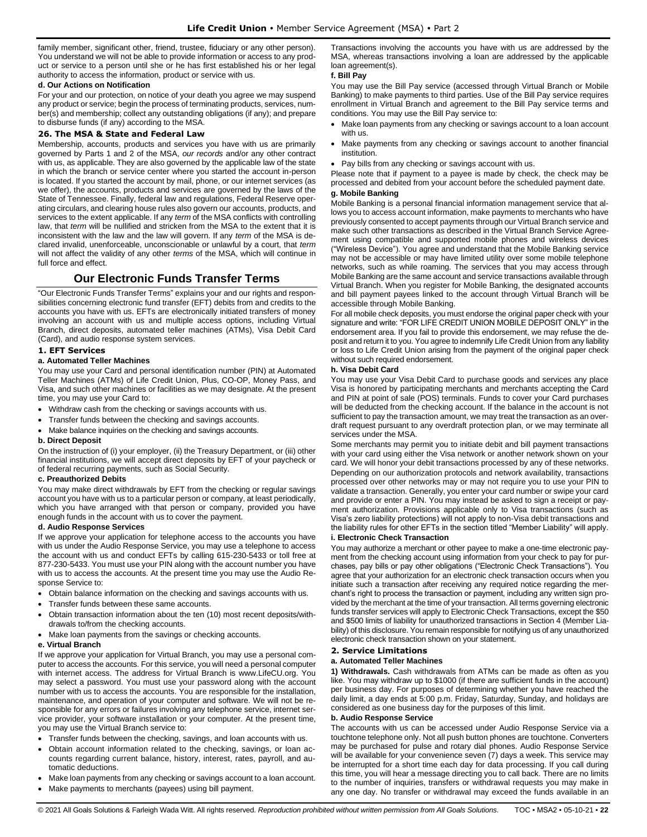family member, significant other, friend, trustee, fiduciary or any other person). You understand we will not be able to provide information or access to any product or service to a person until she or he has first established his or her legal authority to access the information, product or service with us.

### **d. Our Actions on Notification**

For your and our protection, on notice of your death you agree we may suspend any product or service; begin the process of terminating products, services, number(s) and membership; collect any outstanding obligations (if any); and prepare to disburse funds (if any) according to the MSA.

### <span id="page-21-0"></span>**26. The MSA & State and Federal Law**

Membership, accounts, products and services you have with us are primarily governed by Parts 1 and 2 of the MSA, *our records* and/or any other contract with us, as applicable. They are also governed by the applicable law of the state in which the branch or service center where you started the account in-person is located. If you started the account by mail, phone, or our internet services (as we offer), the accounts, products and services are governed by the laws of the State of Tennessee. Finally, federal law and regulations, Federal Reserve operating circulars, and clearing house rules also govern our accounts, products, and services to the extent applicable. If any *term* of the MSA conflicts with controlling law, that *term* will be nullified and stricken from the MSA to the extent that it is inconsistent with the law and the law will govern. If any *term* of the MSA is declared invalid, unenforceable, unconscionable or unlawful by a court, that *term* will not affect the validity of any other *terms* of the MSA, which will continue in full force and effect.

# **Our Electronic Funds Transfer Terms**

<span id="page-21-1"></span>"Our Electronic Funds Transfer Terms" explains your and our rights and responsibilities concerning electronic fund transfer (EFT) debits from and credits to the accounts you have with us. EFTs are electronically initiated transfers of money involving an account with us and multiple access options, including Virtual Branch, direct deposits, automated teller machines (ATMs), Visa Debit Card (Card), and audio response system services.

### <span id="page-21-2"></span>**1. EFT Services**

### **a. Automated Teller Machines**

You may use your Card and personal identification number (PIN) at Automated Teller Machines (ATMs) of Life Credit Union, Plus, CO-OP, Money Pass, and Visa, and such other machines or facilities as we may designate. At the present time, you may use your Card to:

- Withdraw cash from the checking or savings accounts with us.
- Transfer funds between the checking and savings accounts.
- Make balance inquiries on the checking and savings accounts.

### **b. Direct Deposit**

On the instruction of (i) your employer, (ii) the Treasury Department, or (iii) other financial institutions, we will accept direct deposits by EFT of your paycheck or of federal recurring payments, such as Social Security.

#### **c. Preauthorized Debits**

You may make direct withdrawals by EFT from the checking or regular savings account you have with us to a particular person or company, at least periodically, which you have arranged with that person or company, provided you have enough funds in the account with us to cover the payment.

### **d. Audio Response Services**

If we approve your application for telephone access to the accounts you have with us under the Audio Response Service, you may use a telephone to access the account with us and conduct EFTs by calling 615-230-5433 or toll free at 877-230-5433. You must use your PIN along with the account number you have with us to access the accounts. At the present time you may use the Audio Response Service to:

- Obtain balance information on the checking and savings accounts with us.
- Transfer funds between these same accounts.
- Obtain transaction information about the ten (10) most recent deposits/withdrawals to/from the checking accounts.
- Make loan payments from the savings or checking accounts.

### **e. Virtual Branch**

If we approve your application for Virtual Branch, you may use a personal computer to access the accounts. For this service, you will need a personal computer with internet access. The address for Virtual Branch is www.LifeCU.org. You may select a password. You must use your password along with the account number with us to access the accounts. You are responsible for the installation, maintenance, and operation of your computer and software. We will not be responsible for any errors or failures involving any telephone service, internet service provider, your software installation or your computer. At the present time, you may use the Virtual Branch service to:

- Transfer funds between the checking, savings, and loan accounts with us.
- Obtain account information related to the checking, savings, or loan accounts regarding current balance, history, interest, rates, payroll, and automatic deductions.
- Make loan payments from any checking or savings account to a loan account.
- Make payments to merchants (payees) using bill payment.

Transactions involving the accounts you have with us are addressed by the MSA, whereas transactions involving a loan are addressed by the applicable loan agreement(s).

### **f. Bill Pay**

You may use the Bill Pay service (accessed through Virtual Branch or Mobile Banking) to make payments to third parties. Use of the Bill Pay service requires enrollment in Virtual Branch and agreement to the Bill Pay service terms and conditions. You may use the Bill Pay service to:

- Make loan payments from any checking or savings account to a loan account with us.
- Make payments from any checking or savings account to another financial institution.
- Pay bills from any checking or savings account with us.

Please note that if payment to a payee is made by check, the check may be processed and debited from your account before the scheduled payment date.

### **g. Mobile Banking**

Mobile Banking is a personal financial information management service that allows you to access account information, make payments to merchants who have previously consented to accept payments through our Virtual Branch service and make such other transactions as described in the Virtual Branch Service Agreement using compatible and supported mobile phones and wireless devices ("Wireless Device"). You agree and understand that the Mobile Banking service may not be accessible or may have limited utility over some mobile telephone networks, such as while roaming. The services that you may access through Mobile Banking are the same account and service transactions available through Virtual Branch. When you register for Mobile Banking, the designated accounts and bill payment payees linked to the account through Virtual Branch will be accessible through Mobile Banking.

For all mobile check deposits, you must endorse the original paper check with your signature and write: "FOR LIFE CREDIT UNION MOBILE DEPOSIT ONLY" in the endorsement area. If you fail to provide this endorsement, we may refuse the deposit and return it to you. You agree to indemnify Life Credit Union from any liability or loss to Life Credit Union arising from the payment of the original paper check without such required endorsement.

### **h. Visa Debit Card**

You may use your Visa Debit Card to purchase goods and services any place Visa is honored by participating merchants and merchants accepting the Card and PIN at point of sale (POS) terminals. Funds to cover your Card purchases will be deducted from the checking account. If the balance in the account is not sufficient to pay the transaction amount, we may treat the transaction as an overdraft request pursuant to any overdraft protection plan, or we may terminate all services under the MSA.

Some merchants may permit you to initiate debit and bill payment transactions with your card using either the Visa network or another network shown on your card. We will honor your debit transactions processed by any of these networks. Depending on our authorization protocols and network availability, transactions processed over other networks may or may not require you to use your PIN to validate a transaction. Generally, you enter your card number or swipe your card and provide or enter a PIN. You may instead be asked to sign a receipt or payment authorization. Provisions applicable only to Visa transactions (such as Visa's zero liability protections) will not apply to non-Visa debit transactions and the liability rules for other EFTs in the section titled "Member Liability" will apply.

### **i. Electronic Check Transaction**

You may authorize a merchant or other payee to make a one-time electronic payment from the checking account using information from your check to pay for purchases, pay bills or pay other obligations ("Electronic Check Transactions"). You agree that your authorization for an electronic check transaction occurs when you initiate such a transaction after receiving any required notice regarding the merchant's right to process the transaction or payment, including any written sign provided by the merchant at the time of your transaction. All terms governing electronic funds transfer services will apply to Electronic Check Transactions, except the \$50 and \$500 limits of liability for unauthorized transactions in Section 4 (Member Liability) of this disclosure. You remain responsible for notifying us of any unauthorized electronic check transaction shown on your statement.

#### <span id="page-21-3"></span>**2. Service Limitations**

#### **a. Automated Teller Machines**

**1) Withdrawals.** Cash withdrawals from ATMs can be made as often as you like. You may withdraw up to \$1000 (if there are sufficient funds in the account) per business day. For purposes of determining whether you have reached the daily limit, a day ends at 5:00 p.m. Friday, Saturday, Sunday, and holidays are considered as one business day for the purposes of this limit.

### **b. Audio Response Service**

The accounts with us can be accessed under Audio Response Service via a touchtone telephone only. Not all push button phones are touchtone. Converters may be purchased for pulse and rotary dial phones. Audio Response Service will be available for your convenience seven (7) days a week. This service may be interrupted for a short time each day for data processing. If you call during this time, you will hear a message directing you to call back. There are no limits to the number of inquiries, transfers or withdrawal requests you may make in any one day. No transfer or withdrawal may exceed the funds available in an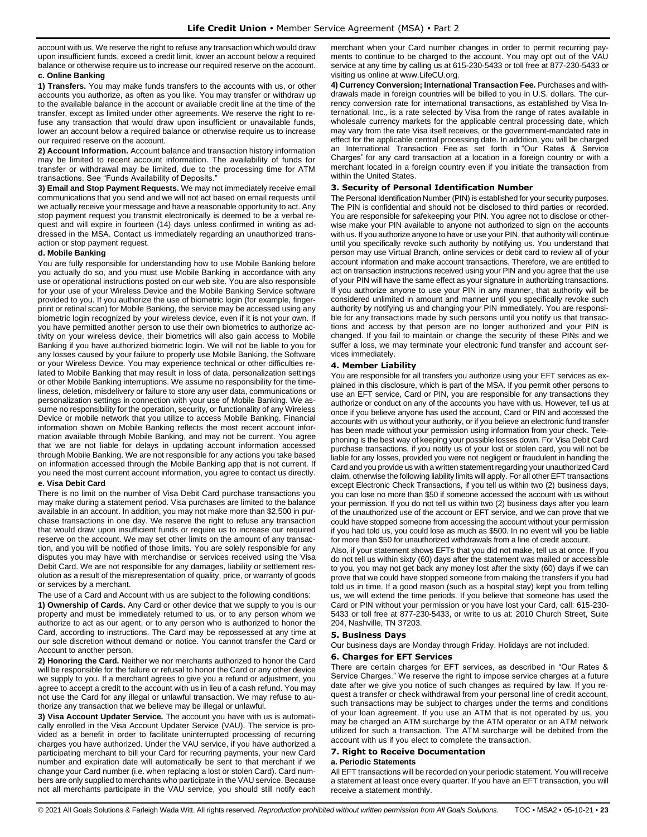account with us. We reserve the right to refuse any transaction which would draw upon insufficient funds, exceed a credit limit, lower an account below a required balance or otherwise require us to increase our required reserve on the account.

### **c. Online Banking**

**1) Transfers.** You may make funds transfers to the accounts with us, or other accounts you authorize, as often as you like. You may transfer or withdraw up to the available balance in the account or available credit line at the time of the transfer, except as limited under other agreements. We reserve the right to refuse any transaction that would draw upon insufficient or unavailable funds, lower an account below a required balance or otherwise require us to increase our required reserve on the account.

**2) Account Information.** Account balance and transaction history information may be limited to recent account information. The availability of funds for transfer or withdrawal may be limited, due to the processing time for ATM transactions. See "Funds Availability of Deposits."

**3) Email and Stop Payment Requests.** We may not immediately receive email communications that you send and we will not act based on email requests until we actually receive your message and have a reasonable opportunity to act. Any stop payment request you transmit electronically is deemed to be a verbal request and will expire in fourteen (14) days unless confirmed in writing as addressed in the MSA. Contact us immediately regarding an unauthorized transaction or stop payment request.

### **d. Mobile Banking**

You are fully responsible for understanding how to use Mobile Banking before you actually do so, and you must use Mobile Banking in accordance with any use or operational instructions posted on our web site. You are also responsible for your use of your Wireless Device and the Mobile Banking Service software provided to you. If you authorize the use of biometric login (for example, fingerprint or retinal scan) for Mobile Banking, the service may be accessed using any biometric login recognized by your wireless device, even if it is not your own. If you have permitted another person to use their own biometrics to authorize activity on your wireless device, their biometrics will also gain access to Mobile Banking if you have authorized biometric login. We will not be liable to you for any losses caused by your failure to properly use Mobile Banking, the Software or your Wireless Device. You may experience technical or other difficulties related to Mobile Banking that may result in loss of data, personalization settings or other Mobile Banking interruptions. We assume no responsibility for the timeliness, deletion, misdelivery or failure to store any user data, communications or personalization settings in connection with your use of Mobile Banking. We assume no responsibility for the operation, security, or functionality of any Wireless Device or mobile network that you utilize to access Mobile Banking. Financial information shown on Mobile Banking reflects the most recent account information available through Mobile Banking, and may not be current. You agree that we are not liable for delays in updating account information accessed through Mobile Banking. We are not responsible for any actions you take based on information accessed through the Mobile Banking app that is not current. If you need the most current account information, you agree to contact us directly.

### **e. Visa Debit Card**

There is no limit on the number of Visa Debit Card purchase transactions you may make during a statement period. Visa purchases are limited to the balance available in an account. In addition, you may not make more than \$2,500 in purchase transactions in one day. We reserve the right to refuse any transaction that would draw upon insufficient funds or require us to increase our required reserve on the account. We may set other limits on the amount of any transaction, and you will be notified of those limits. You are solely responsible for any disputes you may have with merchandise or services received using the Visa Debit Card. We are not responsible for any damages, liability or settlement resolution as a result of the misrepresentation of quality, price, or warranty of goods or services by a merchant.

The use of a Card and Account with us are subject to the following conditions:

**1) Ownership of Cards.** Any Card or other device that we supply to you is our property and must be immediately returned to us, or to any person whom we authorize to act as our agent, or to any person who is authorized to honor the Card, according to instructions. The Card may be repossessed at any time at our sole discretion without demand or notice. You cannot transfer the Card or Account to another person.

**2) Honoring the Card.** Neither we nor merchants authorized to honor the Card will be responsible for the failure or refusal to honor the Card or any other device we supply to you. If a merchant agrees to give you a refund or adjustment, you agree to accept a credit to the account with us in lieu of a cash refund. You may not use the Card for any illegal or unlawful transaction. We may refuse to authorize any transaction that we believe may be illegal or unlawful.

**3) Visa Account Updater Service.** The account you have with us is automatically enrolled in the Visa Account Updater Service (VAU). The service is provided as a benefit in order to facilitate uninterrupted processing of recurring charges you have authorized. Under the VAU service, if you have authorized a participating merchant to bill your Card for recurring payments, your new Card number and expiration date will automatically be sent to that merchant if we change your Card number (i.e. when replacing a lost or stolen Card). Card numbers are only supplied to merchants who participate in the VAU service. Because not all merchants participate in the VAU service, you should still notify each merchant when your Card number changes in order to permit recurring payments to continue to be charged to the account. You may opt out of the VAU service at any time by calling us at 615-230-5433 or toll free at 877-230-5433 or visiting us online at www.LifeCU.org.

**4) Currency Conversion; International Transaction Fee.** Purchases and withdrawals made in foreign countries will be billed to you in U.S. dollars. The currency conversion rate for international transactions, as established by Visa International, Inc., is a rate selected by Visa from the range of rates available in wholesale currency markets for the applicable central processing date, which may vary from the rate Visa itself receives, or the government-mandated rate in effect for the applicable central processing date. In addition, you will be charged an International Transaction Fee as set forth in "Our Rates & Service Charges" for any card transaction at a location in a foreign country or with a merchant located in a foreign country even if you initiate the transaction from within the United States.

### <span id="page-22-0"></span>**3. Security of Personal Identification Number**

The Personal Identification Number (PIN) is established for your security purposes. The PIN is confidential and should not be disclosed to third parties or recorded. You are responsible for safekeeping your PIN. You agree not to disclose or otherwise make your PIN available to anyone not authorized to sign on the accounts with us. If you authorize anyone to have or use your PIN, that authority will continue until you specifically revoke such authority by notifying us. You understand that person may use Virtual Branch, online services or debit card to review all of your account information and make account transactions. Therefore, we are entitled to act on transaction instructions received using your PIN and you agree that the use of your PIN will have the same effect as your signature in authorizing transactions. If you authorize anyone to use your PIN in any manner, that authority will be considered unlimited in amount and manner until you specifically revoke such authority by notifying us and changing your PIN immediately. You are responsible for any transactions made by such persons until you notify us that transactions and access by that person are no longer authorized and your PIN is changed. If you fail to maintain or change the security of these PINs and we suffer a loss, we may terminate your electronic fund transfer and account services immediately.

### <span id="page-22-1"></span>**4. Member Liability**

You are responsible for all transfers you authorize using your EFT services as explained in this disclosure, which is part of the MSA. If you permit other persons to use an EFT service, Card or PIN, you are responsible for any transactions they authorize or conduct on any of the accounts you have with us. However, tell us at once if you believe anyone has used the account, Card or PIN and accessed the accounts with us without your authority, or if you believe an electronic fund transfer has been made without your permission using information from your check. Telephoning is the best way of keeping your possible losses down. For Visa Debit Card purchase transactions, if you notify us of your lost or stolen card, you will not be liable for any losses, provided you were not negligent or fraudulent in handling the Card and you provide us with a written statement regarding your unauthorized Card claim, otherwise the following liability limits will apply. For all other EFT transactions except Electronic Check Transactions, if you tell us within two (2) business days, you can lose no more than \$50 if someone accessed the account with us without your permission. If you do not tell us within two (2) business days after you learn of the unauthorized use of the account or EFT service, and we can prove that we could have stopped someone from accessing the account without your permission if you had told us, you could lose as much as \$500. In no event will you be liable for more than \$50 for unauthorized withdrawals from a line of credit account.

Also, if your statement shows EFTs that you did not make, tell us at once. If you do not tell us within sixty (60) days after the statement was mailed or accessible to you, you may not get back any money lost after the sixty (60) days if we can prove that we could have stopped someone from making the transfers if you had told us in time. If a good reason (such as a hospital stay) kept you from telling us, we will extend the time periods. If you believe that someone has used the Card or PIN without your permission or you have lost your Card, call: 615-230- 5433 or toll free at 877-230-5433, or write to us at: 2010 Church Street, Suite 204, Nashville, TN 37203.

#### <span id="page-22-2"></span>**5. Business Days**

Our business days are Monday through Friday. Holidays are not included.

### <span id="page-22-3"></span>**6. Charges for EFT Services**

There are certain charges for EFT services, as described in "Our Rates & Service Charges." We reserve the right to impose service charges at a future date after we give you notice of such changes as required by law. If you request a transfer or check withdrawal from your personal line of credit account, such transactions may be subject to charges under the terms and conditions of your loan agreement. If you use an ATM that is not operated by us, you may be charged an ATM surcharge by the ATM operator or an ATM network utilized for such a transaction. The ATM surcharge will be debited from the account with us if you elect to complete the transaction.

#### <span id="page-22-4"></span>**7. Right to Receive Documentation**

### **a. Periodic Statements**

All EFT transactions will be recorded on your periodic statement. You will receive a statement at least once every quarter. If you have an EFT transaction, you will receive a statement monthly.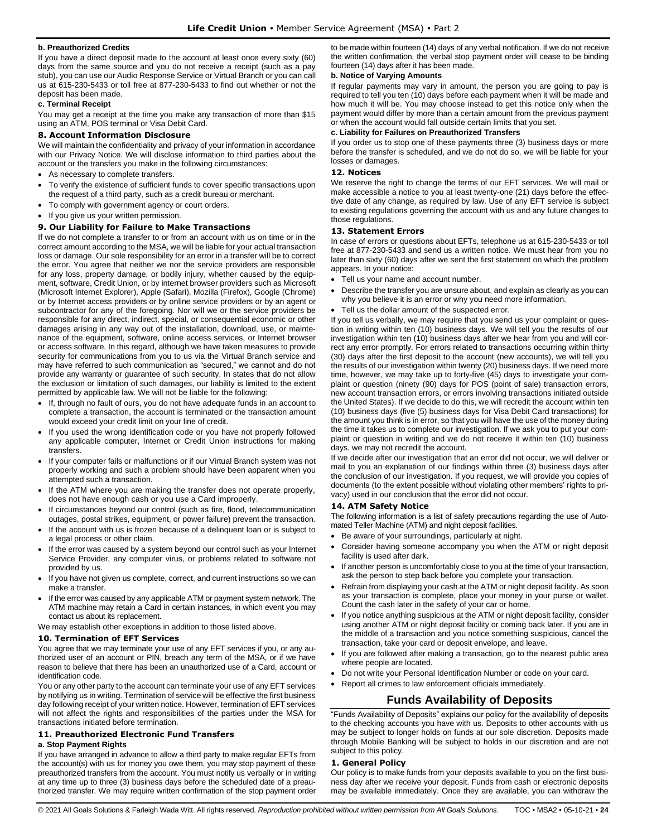### **b. Preauthorized Credits**

If you have a direct deposit made to the account at least once every sixty (60) days from the same source and you do not receive a receipt (such as a pay stub), you can use our Audio Response Service or Virtual Branch or you can call us at 615-230-5433 or toll free at 877-230-5433 to find out whether or not the deposit has been made.

### **c. Terminal Receipt**

You may get a receipt at the time you make any transaction of more than \$15 using an ATM, POS terminal or Visa Debit Card.

### <span id="page-23-0"></span>**8. Account Information Disclosure**

We will maintain the confidentiality and privacy of your information in accordance with our Privacy Notice. We will disclose information to third parties about the account or the transfers you make in the following circumstances:

- As necessary to complete transfers.
- To verify the existence of sufficient funds to cover specific transactions upon the request of a third party, such as a credit bureau or merchant.
- To comply with government agency or court orders.
- If you give us your written permission.

#### <span id="page-23-1"></span>**9. Our Liability for Failure to Make Transactions**

If we do not complete a transfer to or from an account with us on time or in the correct amount according to the MSA, we will be liable for your actual transaction loss or damage. Our sole responsibility for an error in a transfer will be to correct the error. You agree that neither we nor the service providers are responsible for any loss, property damage, or bodily injury, whether caused by the equipment, software, Credit Union, or by internet browser providers such as Microsoft (Microsoft Internet Explorer), Apple (Safari), Mozilla (Firefox), Google (Chrome) or by Internet access providers or by online service providers or by an agent or subcontractor for any of the foregoing. Nor will we or the service providers be responsible for any direct, indirect, special, or consequential economic or other damages arising in any way out of the installation, download, use, or maintenance of the equipment, software, online access services, or Internet browser or access software. In this regard, although we have taken measures to provide security for communications from you to us via the Virtual Branch service and may have referred to such communication as "secured," we cannot and do not provide any warranty or guarantee of such security. In states that do not allow the exclusion or limitation of such damages, our liability is limited to the extent permitted by applicable law. We will not be liable for the following:

- If, through no fault of ours, you do not have adequate funds in an account to complete a transaction, the account is terminated or the transaction amount would exceed your credit limit on your line of credit.
- If you used the wrong identification code or you have not properly followed any applicable computer, Internet or Credit Union instructions for making transfers.
- If your computer fails or malfunctions or if our Virtual Branch system was not properly working and such a problem should have been apparent when you attempted such a transaction.
- If the ATM where you are making the transfer does not operate properly, does not have enough cash or you use a Card improperly.
- If circumstances beyond our control (such as fire, flood, telecommunication outages, postal strikes, equipment, or power failure) prevent the transaction.
- If the account with us is frozen because of a delinquent loan or is subject to a legal process or other claim.
- If the error was caused by a system beyond our control such as your Internet Service Provider, any computer virus, or problems related to software not provided by us.
- If you have not given us complete, correct, and current instructions so we can make a transfer.
- If the error was caused by any applicable ATM or payment system network. The ATM machine may retain a Card in certain instances, in which event you may contact us about its replacement.
- We may establish other exceptions in addition to those listed above.

### <span id="page-23-2"></span>**10. Termination of EFT Services**

You agree that we may terminate your use of any EFT services if you, or any authorized user of an account or PIN, breach any term of the MSA, or if we have reason to believe that there has been an unauthorized use of a Card, account or identification code.

You or any other party to the account can terminate your use of any EFT services by notifying us in writing. Termination of service will be effective the first business day following receipt of your written notice. However, termination of EFT services will not affect the rights and responsibilities of the parties under the MSA for transactions initiated before termination.

### <span id="page-23-3"></span>**11. Preauthorized Electronic Fund Transfers**

#### **a. Stop Payment Rights**

If you have arranged in advance to allow a third party to make regular EFTs from the account(s) with us for money you owe them, you may stop payment of these preauthorized transfers from the account. You must notify us verbally or in writing at any time up to three (3) business days before the scheduled date of a preauthorized transfer. We may require written confirmation of the stop payment order

to be made within fourteen (14) days of any verbal notification. If we do not receive the written confirmation, the verbal stop payment order will cease to be binding fourteen (14) days after it has been made.

### **b. Notice of Varying Amounts**

If regular payments may vary in amount, the person you are going to pay is required to tell you ten (10) days before each payment when it will be made and how much it will be. You may choose instead to get this notice only when the payment would differ by more than a certain amount from the previous payment or when the account would fall outside certain limits that you set.

### **c. Liability for Failures on Preauthorized Transfers**

If you order us to stop one of these payments three (3) business days or more before the transfer is scheduled, and we do not do so, we will be liable for your losses or damages.

### <span id="page-23-4"></span>**12. Notices**

We reserve the right to change the terms of our EFT services. We will mail or make accessible a notice to you at least twenty-one (21) days before the effective date of any change, as required by law. Use of any EFT service is subject to existing regulations governing the account with us and any future changes to those regulations.

### <span id="page-23-5"></span>**13. Statement Errors**

In case of errors or questions about EFTs, telephone us at 615-230-5433 or toll free at 877-230-5433 and send us a written notice. We must hear from you no later than sixty (60) days after we sent the first statement on which the problem appears. In your notice:

• Tell us your name and account number.

- Describe the transfer you are unsure about, and explain as clearly as you can why you believe it is an error or why you need more information.
- Tell us the dollar amount of the suspected error.

If you tell us verbally, we may require that you send us your complaint or question in writing within ten (10) business days. We will tell you the results of our investigation within ten (10) business days after we hear from you and will correct any error promptly. For errors related to transactions occurring within thirty (30) days after the first deposit to the account (new accounts), we will tell you the results of our investigation within twenty (20) business days. If we need more time, however, we may take up to forty-five (45) days to investigate your complaint or question (ninety (90) days for POS (point of sale) transaction errors, new account transaction errors, or errors involving transactions initiated outside the United States). If we decide to do this, we will recredit the account within ten (10) business days (five (5) business days for Visa Debit Card transactions) for the amount you think is in error, so that you will have the use of the money during the time it takes us to complete our investigation. If we ask you to put your complaint or question in writing and we do not receive it within ten (10) business days, we may not recredit the account.

If we decide after our investigation that an error did not occur, we will deliver or mail to you an explanation of our findings within three (3) business days after the conclusion of our investigation. If you request, we will provide you copies of documents (to the extent possible without violating other members' rights to privacy) used in our conclusion that the error did not occur.

#### <span id="page-23-6"></span>**14. ATM Safety Notice**

The following information is a list of safety precautions regarding the use of Automated Teller Machine (ATM) and night deposit facilities.

- Be aware of your surroundings, particularly at night.
- Consider having someone accompany you when the ATM or night deposit facility is used after dark.
- If another person is uncomfortably close to you at the time of your transaction, ask the person to step back before you complete your transaction.
- Refrain from displaying your cash at the ATM or night deposit facility. As soon as your transaction is complete, place your money in your purse or wallet. Count the cash later in the safety of your car or home.
- If you notice anything suspicious at the ATM or night deposit facility, consider using another ATM or night deposit facility or coming back later. If you are in the middle of a transaction and you notice something suspicious, cancel the transaction, take your card or deposit envelope, and leave.
- If you are followed after making a transaction, go to the nearest public area where people are located.
- Do not write your Personal Identification Number or code on your card.
- <span id="page-23-7"></span>• Report all crimes to law enforcement officials immediately.

## **Funds Availability of Deposits**

"Funds Availability of Deposits" explains our policy for the availability of deposits to the checking accounts you have with us. Deposits to other accounts with us may be subject to longer holds on funds at our sole discretion. Deposits made through Mobile Banking will be subject to holds in our discretion and are not subject to this policy.

#### <span id="page-23-8"></span>**1. General Policy**

Our policy is to make funds from your deposits available to you on the first business day after we receive your deposit. Funds from cash or electronic deposits may be available immediately. Once they are available, you can withdraw the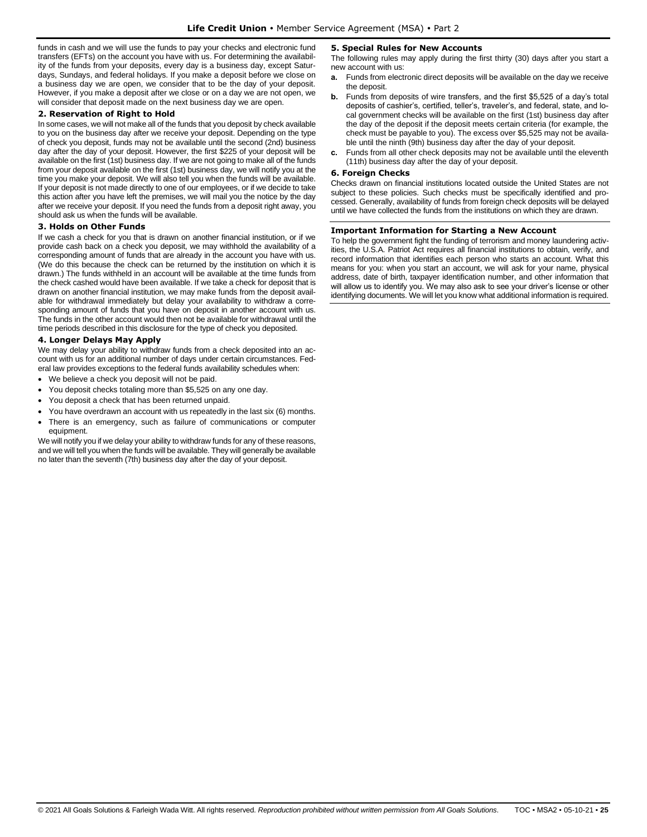funds in cash and we will use the funds to pay your checks and electronic fund transfers (EFTs) on the account you have with us. For determining the availability of the funds from your deposits, every day is a business day, except Saturdays, Sundays, and federal holidays. If you make a deposit before we close on a business day we are open, we consider that to be the day of your deposit. However, if you make a deposit after we close or on a day we are not open, we will consider that deposit made on the next business day we are open.

### <span id="page-24-0"></span>**2. Reservation of Right to Hold**

In some cases, we will not make all of the funds that you deposit by check available to you on the business day after we receive your deposit. Depending on the type of check you deposit, funds may not be available until the second (2nd) business day after the day of your deposit. However, the first \$225 of your deposit will be available on the first (1st) business day. If we are not going to make all of the funds from your deposit available on the first (1st) business day, we will notify you at the time you make your deposit. We will also tell you when the funds will be available. If your deposit is not made directly to one of our employees, or if we decide to take this action after you have left the premises, we will mail you the notice by the day after we receive your deposit. If you need the funds from a deposit right away, you should ask us when the funds will be available.

### <span id="page-24-1"></span>**3. Holds on Other Funds**

If we cash a check for you that is drawn on another financial institution, or if we provide cash back on a check you deposit, we may withhold the availability of a corresponding amount of funds that are already in the account you have with us. (We do this because the check can be returned by the institution on which it is drawn.) The funds withheld in an account will be available at the time funds from the check cashed would have been available. If we take a check for deposit that is drawn on another financial institution, we may make funds from the deposit available for withdrawal immediately but delay your availability to withdraw a corresponding amount of funds that you have on deposit in another account with us. The funds in the other account would then not be available for withdrawal until the time periods described in this disclosure for the type of check you deposited.

### <span id="page-24-2"></span>**4. Longer Delays May Apply**

We may delay your ability to withdraw funds from a check deposited into an account with us for an additional number of days under certain circumstances. Federal law provides exceptions to the federal funds availability schedules when:

- We believe a check you deposit will not be paid.
- You deposit checks totaling more than \$5,525 on any one day.
- You deposit a check that has been returned unpaid.
- You have overdrawn an account with us repeatedly in the last six (6) months.
- There is an emergency, such as failure of communications or computer equipment.

<span id="page-24-3"></span>We will notify you if we delay your ability to withdraw funds for any of these reasons, and we will tell you when the funds will be available. They will generally be available no later than the seventh (7th) business day after the day of your deposit.

### **5. Special Rules for New Accounts**

The following rules may apply during the first thirty (30) days after you start a new account with us:

- **a.** Funds from electronic direct deposits will be available on the day we receive the deposit.
- **b.** Funds from deposits of wire transfers, and the first \$5,525 of a day's total deposits of cashier's, certified, teller's, traveler's, and federal, state, and local government checks will be available on the first (1st) business day after the day of the deposit if the deposit meets certain criteria (for example, the check must be payable to you). The excess over \$5,525 may not be available until the ninth (9th) business day after the day of your deposit.
- **c.** Funds from all other check deposits may not be available until the eleventh (11th) business day after the day of your deposit.

### <span id="page-24-4"></span>**6. Foreign Checks**

Checks drawn on financial institutions located outside the United States are not subject to these policies. Such checks must be specifically identified and processed. Generally, availability of funds from foreign check deposits will be delayed until we have collected the funds from the institutions on which they are drawn.

### <span id="page-24-5"></span>**Important Information for Starting a New Account**

To help the government fight the funding of terrorism and money laundering activities, the U.S.A. Patriot Act requires all financial institutions to obtain, verify, and record information that identifies each person who starts an account. What this means for you: when you start an account, we will ask for your name, physical address, date of birth, taxpayer identification number, and other information that will allow us to identify you. We may also ask to see your driver's license or other identifying documents. We will let you know what additional information is required.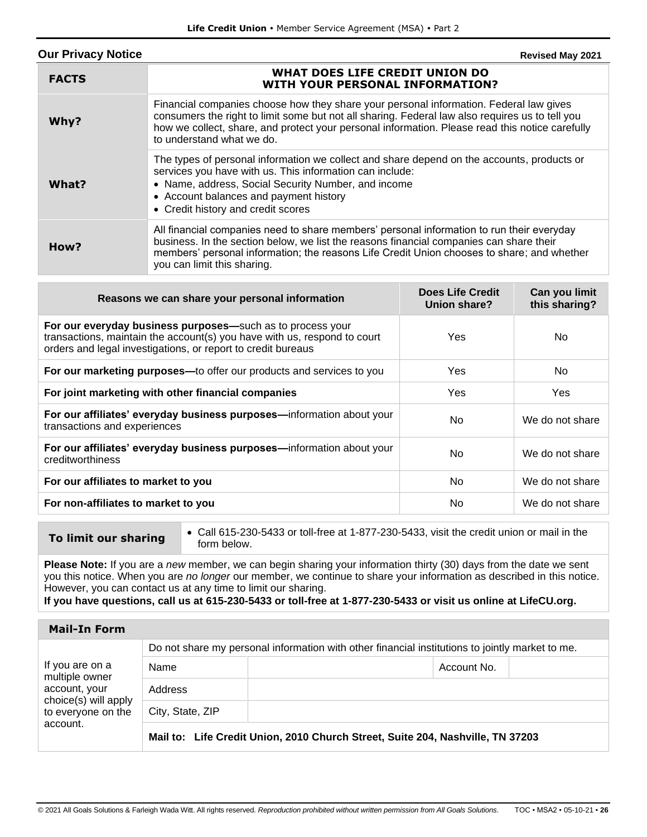<span id="page-25-0"></span>

| <b>Our Privacy Notice</b> | Revised May 2021                                                                                                                                                                                                                                                                                                          |
|---------------------------|---------------------------------------------------------------------------------------------------------------------------------------------------------------------------------------------------------------------------------------------------------------------------------------------------------------------------|
| <b>FACTS</b>              | WHAT DOES LIFE CREDIT UNION DO<br><b>WITH YOUR PERSONAL INFORMATION?</b>                                                                                                                                                                                                                                                  |
| Why?                      | Financial companies choose how they share your personal information. Federal law gives<br>consumers the right to limit some but not all sharing. Federal law also requires us to tell you<br>how we collect, share, and protect your personal information. Please read this notice carefully<br>to understand what we do. |
| What?                     | The types of personal information we collect and share depend on the accounts, products or<br>services you have with us. This information can include:<br>• Name, address, Social Security Number, and income<br>• Account balances and payment history<br>• Credit history and credit scores                             |
| How?                      | All financial companies need to share members' personal information to run their everyday<br>business. In the section below, we list the reasons financial companies can share their<br>members' personal information; the reasons Life Credit Union chooses to share; and whether<br>you can limit this sharing.         |

| <b>Does Life Credit</b><br>Union share? | Can you limit<br>this sharing? |
|-----------------------------------------|--------------------------------|
| Yes                                     | No.                            |
| Yes                                     | No.                            |
| Yes                                     | Yes                            |
| No.                                     | We do not share                |
| N <sub>o</sub>                          | We do not share                |
| No                                      | We do not share                |
| N <sub>o</sub>                          | We do not share                |
|                                         |                                |

- 
- **To limit our sharing**  $\cdot$  Call 615-230-5433 or toll-free at 1-877-230-5433, visit the credit union or mail in the form below.

**Please Note:** If you are a *new* member, we can begin sharing your information thirty (30) days from the date we sent you this notice. When you are *no longer* our member, we continue to share your information as described in this notice. However, you can contact us at any time to limit our sharing.

**If you have questions, call us at 615-230-5433 or toll-free at 1-877-230-5433 or visit us online at LifeCU.org.**

| <b>Mail-In Form</b>                                                                                          |                                                                                                 |                                                                                |  |
|--------------------------------------------------------------------------------------------------------------|-------------------------------------------------------------------------------------------------|--------------------------------------------------------------------------------|--|
| If you are on a<br>multiple owner<br>account, your<br>choice(s) will apply<br>to everyone on the<br>account. | Do not share my personal information with other financial institutions to jointly market to me. |                                                                                |  |
|                                                                                                              | Name                                                                                            | Account No.                                                                    |  |
|                                                                                                              | Address                                                                                         |                                                                                |  |
|                                                                                                              | City, State, ZIP                                                                                |                                                                                |  |
|                                                                                                              |                                                                                                 | Mail to: Life Credit Union, 2010 Church Street, Suite 204, Nashville, TN 37203 |  |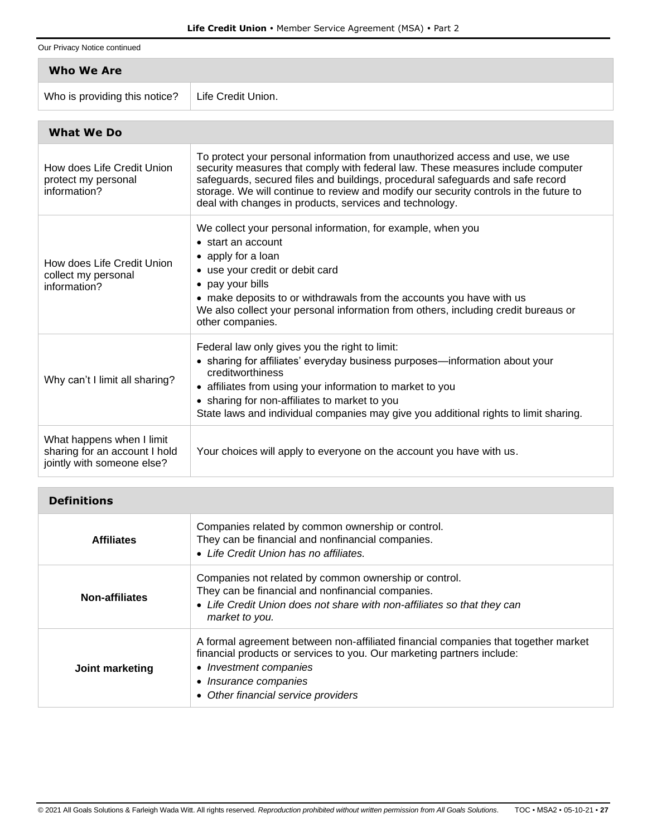Our Privacy Notice continued

| Who We Are                    |                    |
|-------------------------------|--------------------|
| Who is providing this notice? | Life Credit Union. |

| <b>What We Do</b>                                                                        |                                                                                                                                                                                                                                                                                                                                                                                                        |  |
|------------------------------------------------------------------------------------------|--------------------------------------------------------------------------------------------------------------------------------------------------------------------------------------------------------------------------------------------------------------------------------------------------------------------------------------------------------------------------------------------------------|--|
| How does Life Credit Union<br>protect my personal<br>information?                        | To protect your personal information from unauthorized access and use, we use<br>security measures that comply with federal law. These measures include computer<br>safeguards, secured files and buildings, procedural safeguards and safe record<br>storage. We will continue to review and modify our security controls in the future to<br>deal with changes in products, services and technology. |  |
| How does Life Credit Union<br>collect my personal<br>information?                        | We collect your personal information, for example, when you<br>• start an account<br>• apply for a loan<br>• use your credit or debit card<br>• pay your bills<br>• make deposits to or withdrawals from the accounts you have with us<br>We also collect your personal information from others, including credit bureaus or<br>other companies.                                                       |  |
| Why can't I limit all sharing?                                                           | Federal law only gives you the right to limit:<br>• sharing for affiliates' everyday business purposes—information about your<br>creditworthiness<br>• affiliates from using your information to market to you<br>• sharing for non-affiliates to market to you<br>State laws and individual companies may give you additional rights to limit sharing.                                                |  |
| What happens when I limit<br>sharing for an account I hold<br>jointly with someone else? | Your choices will apply to everyone on the account you have with us.                                                                                                                                                                                                                                                                                                                                   |  |

| <b>Definitions</b>    |                                                                                                                                                                                                                                                        |
|-----------------------|--------------------------------------------------------------------------------------------------------------------------------------------------------------------------------------------------------------------------------------------------------|
| <b>Affiliates</b>     | Companies related by common ownership or control.<br>They can be financial and nonfinancial companies.<br>• Life Credit Union has no affiliates.                                                                                                       |
| <b>Non-affiliates</b> | Companies not related by common ownership or control.<br>They can be financial and nonfinancial companies.<br>• Life Credit Union does not share with non-affiliates so that they can<br>market to you.                                                |
| Joint marketing       | A formal agreement between non-affiliated financial companies that together market<br>financial products or services to you. Our marketing partners include:<br>• Investment companies<br>• Insurance companies<br>• Other financial service providers |